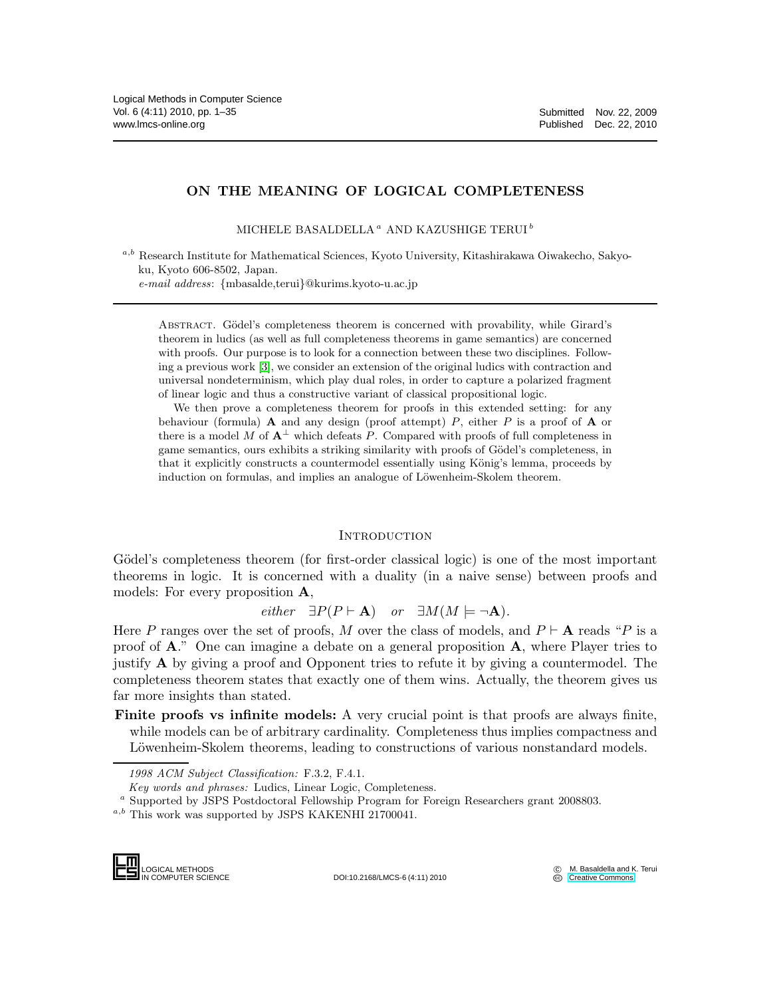# ON THE MEANING OF LOGICAL COMPLETENESS

MICHELE BASALDELLA<sup> $a$ </sup> AND KAZUSHIGE TERUI<sup>b</sup>

a,b Research Institute for Mathematical Sciences, Kyoto University, Kitashirakawa Oiwakecho, Sakyoku, Kyoto 606-8502, Japan. e-mail address: {mbasalde,terui}@kurims.kyoto-u.ac.jp

ABSTRACT. Gödel's completeness theorem is concerned with provability, while Girard's theorem in ludics (as well as full completeness theorems in game semantics) are concerned with proofs. Our purpose is to look for a connection between these two disciplines. Following a previous work [\[3\]](#page-28-0), we consider an extension of the original ludics with contraction and universal nondeterminism, which play dual roles, in order to capture a polarized fragment of linear logic and thus a constructive variant of classical propositional logic.

We then prove a completeness theorem for proofs in this extended setting: for any behaviour (formula) **A** and any design (proof attempt)  $P$ , either  $P$  is a proof of **A** or there is a model M of  $A^{\perp}$  which defeats P. Compared with proofs of full completeness in game semantics, ours exhibits a striking similarity with proofs of Gödel's completeness, in that it explicitly constructs a countermodel essentially using König's lemma, proceeds by induction on formulas, and implies an analogue of Löwenheim-Skolem theorem.

#### **INTRODUCTION**

Gödel's completeness theorem (for first-order classical logic) is one of the most important theorems in logic. It is concerned with a duality (in a naive sense) between proofs and models: For every proposition A,

 $either \exists P(P \vdash A) \text{ or } \exists M(M \models \neg A).$ 

Here P ranges over the set of proofs, M over the class of models, and  $P \vdash A$  reads "P is a proof of  $\mathbf{A}$ ." One can imagine a debate on a general proposition  $\mathbf{A}$ , where Player tries to justify A by giving a proof and Opponent tries to refute it by giving a countermodel. The completeness theorem states that exactly one of them wins. Actually, the theorem gives us far more insights than stated.

Finite proofs vs infinite models: A very crucial point is that proofs are always finite, while models can be of arbitrary cardinality. Completeness thus implies compactness and Löwenheim-Skolem theorems, leading to constructions of various nonstandard models.

<sup>a</sup> Supported by JSPS Postdoctoral Fellowship Program for Foreign Researchers grant 2008803.

 $a,b$  This work was supported by JSPS KAKENHI 21700041.



DOI:10.2168/LMCS-6 (4:11) 2010

<sup>1998</sup> ACM Subject Classification: F.3.2, F.4.1.

Key words and phrases: Ludics, Linear Logic, Completeness.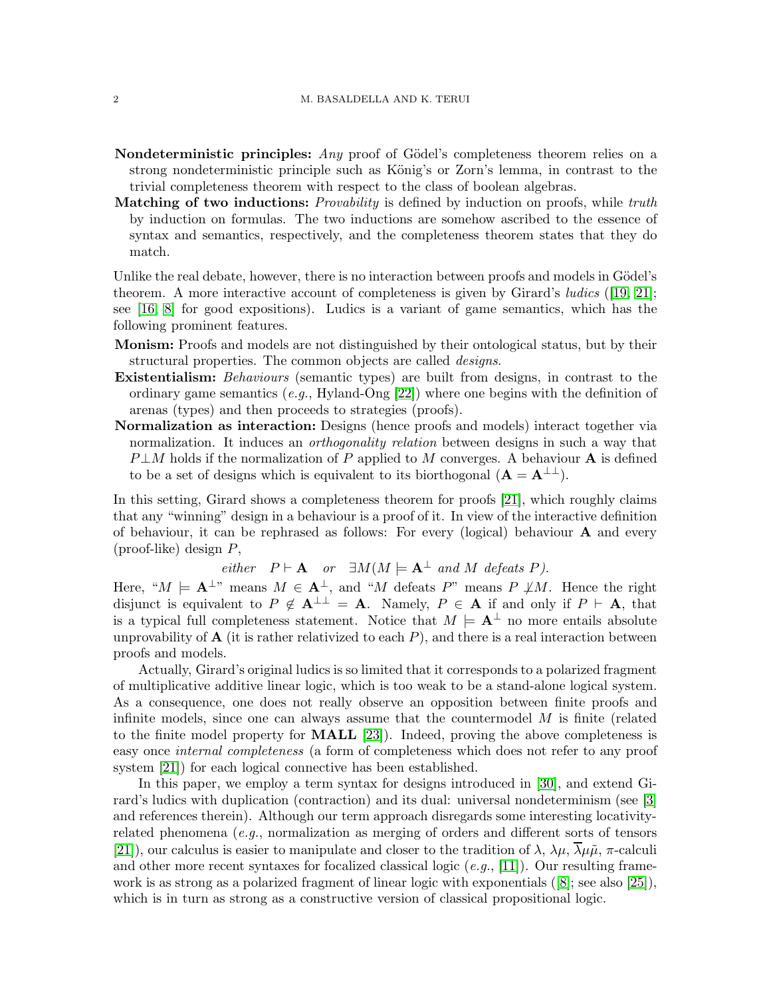- Nondeterministic principles: *Any* proof of Gödel's completeness theorem relies on a strong nondeterministic principle such as König's or Zorn's lemma, in contrast to the trivial completeness theorem with respect to the class of boolean algebras.
- Matching of two inductions: *Provability* is defined by induction on proofs, while *truth* by induction on formulas. The two inductions are somehow ascribed to the essence of syntax and semantics, respectively, and the completeness theorem states that they do match.

Unlike the real debate, however, there is no interaction between proofs and models in Gödel's theorem. A more interactive account of completeness is given by Girard's *ludics* ([\[19,](#page-28-1) [21\]](#page-28-2); see [\[16,](#page-28-3) [8\]](#page-28-4) for good expositions). Ludics is a variant of game semantics, which has the following prominent features.

- Monism: Proofs and models are not distinguished by their ontological status, but by their structural properties. The common objects are called *designs*.
- Existentialism: *Behaviours* (semantic types) are built from designs, in contrast to the ordinary game semantics (*e.g.*, Hyland-Ong [\[22\]](#page-28-5)) where one begins with the definition of arenas (types) and then proceeds to strategies (proofs).
- Normalization as interaction: Designs (hence proofs and models) interact together via normalization. It induces an *orthogonality relation* between designs in such a way that  $P \perp M$  holds if the normalization of P applied to M converges. A behaviour **A** is defined to be a set of designs which is equivalent to its biorthogonal  $(A = A^{\perp \perp})$ .

In this setting, Girard shows a completeness theorem for proofs [\[21\]](#page-28-2), which roughly claims that any "winning" design in a behaviour is a proof of it. In view of the interactive definition of behaviour, it can be rephrased as follows: For every (logical) behaviour  $\bf{A}$  and every (proof-like) design P,

*either*  $P \vdash A$  *or*  $\exists M(M \models A^{\perp}$  *and M defeats* P*)*.

Here, " $M \models A^{\perp}$ " means  $M \in A^{\perp}$ , and "M defeats P" means P  $\not\perp M$ . Hence the right disjunct is equivalent to  $P \notin A^{\perp \perp} = A$ . Namely,  $P \in A$  if and only if  $P \vdash A$ , that is a typical full completeness statement. Notice that  $M \models A^{\perp}$  no more entails absolute unprovability of  $A$  (it is rather relativized to each  $P$ ), and there is a real interaction between proofs and models.

Actually, Girard's original ludics is so limited that it corresponds to a polarized fragment of multiplicative additive linear logic, which is too weak to be a stand-alone logical system. As a consequence, one does not really observe an opposition between finite proofs and infinite models, since one can always assume that the countermodel  $M$  is finite (related to the finite model property for MALL [\[23\]](#page-28-6)). Indeed, proving the above completeness is easy once *internal completeness* (a form of completeness which does not refer to any proof system [\[21\]](#page-28-2)) for each logical connective has been established.

In this paper, we employ a term syntax for designs introduced in [\[30\]](#page-29-0), and extend Girard's ludics with duplication (contraction) and its dual: universal nondeterminism (see [\[3\]](#page-28-0) and references therein). Although our term approach disregards some interesting locativityrelated phenomena (*e.g.*, normalization as merging of orders and different sorts of tensors [\[21\]](#page-28-2)), our calculus is easier to manipulate and closer to the tradition of  $\lambda$ ,  $\lambda\mu$ ,  $\lambda\mu\tilde{\mu}$ ,  $\pi$ -calculi and other more recent syntaxes for focalized classical logic (*e.g.*, [\[11\]](#page-28-7)). Our resulting framework is as strong as a polarized fragment of linear logic with exponentials([\[8\]](#page-28-4); see also [\[25\]](#page-28-8)), which is in turn as strong as a constructive version of classical propositional logic.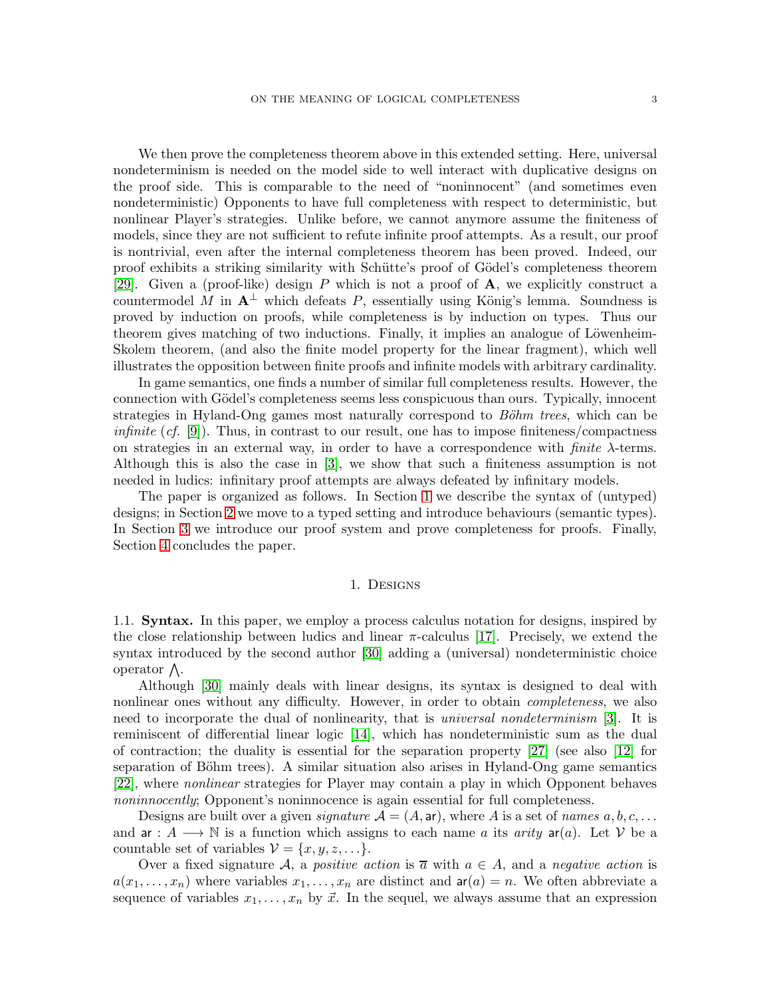We then prove the completeness theorem above in this extended setting. Here, universal nondeterminism is needed on the model side to well interact with duplicative designs on the proof side. This is comparable to the need of "noninnocent" (and sometimes even nondeterministic) Opponents to have full completeness with respect to deterministic, but nonlinear Player's strategies. Unlike before, we cannot anymore assume the finiteness of models, since they are not sufficient to refute infinite proof attempts. As a result, our proof is nontrivial, even after the internal completeness theorem has been proved. Indeed, our proof exhibits a striking similarity with Schütte's proof of Gödel's completeness theorem [\[29\]](#page-29-1). Given a (proof-like) design P which is not a proof of  $A$ , we explicitly construct a countermodel M in  $A^{\perp}$  which defeats P, essentially using König's lemma. Soundness is proved by induction on proofs, while completeness is by induction on types. Thus our theorem gives matching of two inductions. Finally, it implies an analogue of Löwenheim-Skolem theorem, (and also the finite model property for the linear fragment), which well illustrates the opposition between finite proofs and infinite models with arbitrary cardinality.

In game semantics, one finds a number of similar full completeness results. However, the connection with Gödel's completeness seems less conspicuous than ours. Typically, innocent strategies in Hyland-Ong games most naturally correspond to *Böhm trees*, which can be *infinite* (*cf.* [\[9\]](#page-28-9)). Thus, in contrast to our result, one has to impose finiteness/compactness on strategies in an external way, in order to have a correspondence with *finite* λ-terms. Although this is also the case in [\[3\]](#page-28-0), we show that such a finiteness assumption is not needed in ludics: infinitary proof attempts are always defeated by infinitary models.

The paper is organized as follows. In Section [1](#page-2-0) we describe the syntax of (untyped) designs; in Section [2](#page-12-0) we move to a typed setting and introduce behaviours (semantic types). In Section [3](#page-19-0) we introduce our proof system and prove completeness for proofs. Finally, Section [4](#page-27-0) concludes the paper.

#### 1. Designs

<span id="page-2-0"></span>1.1. Syntax. In this paper, we employ a process calculus notation for designs, inspired by the close relationship between ludics and linear  $\pi$ -calculus [\[17\]](#page-28-10). Precisely, we extend the syntax introduced by the second author [\[30\]](#page-29-0) adding a (universal) nondeterministic choice operator  $\Lambda$ .

Although [\[30\]](#page-29-0) mainly deals with linear designs, its syntax is designed to deal with nonlinear ones without any difficulty. However, in order to obtain *completeness*, we also need to incorporate the dual of nonlinearity, that is *universal nondeterminism* [\[3\]](#page-28-0). It is reminiscent of differential linear logic [\[14\]](#page-28-11), which has nondeterministic sum as the dual of contraction; the duality is essential for the separation property [\[27\]](#page-29-2) (see also [\[12\]](#page-28-12) for separation of Böhm trees). A similar situation also arises in Hyland-Ong game semantics [\[22\]](#page-28-5), where *nonlinear* strategies for Player may contain a play in which Opponent behaves *noninnocently*; Opponent's noninnocence is again essential for full completeness.

Designs are built over a given *signature*  $\mathcal{A} = (A, \text{ar})$ , where A is a set of *names*  $a, b, c, \ldots$ and  $ar: A \longrightarrow \mathbb{N}$  is a function which assigns to each name a its *arity*  $ar(a)$ . Let V be a countable set of variables  $\mathcal{V} = \{x, y, z, \ldots\}.$ 

Over a fixed signature A, a *positive action* is  $\overline{a}$  with  $a \in A$ , and a *negative action* is  $a(x_1, \ldots, x_n)$  where variables  $x_1, \ldots, x_n$  are distinct and  $a(n) = n$ . We often abbreviate a sequence of variables  $x_1, \ldots, x_n$  by  $\vec{x}$ . In the sequel, we always assume that an expression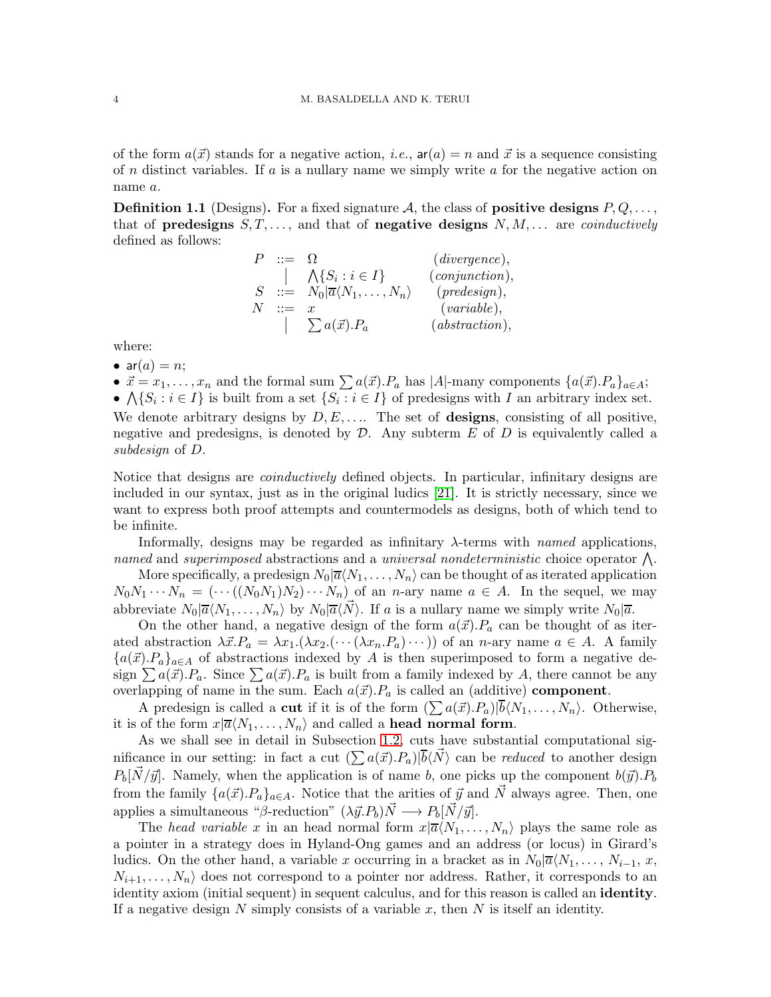of the form  $a(\vec{x})$  stands for a negative action, *i.e.*,  $\mathbf{a}r(a) = n$  and  $\vec{x}$  is a sequence consisting of n distinct variables. If a is a nullary name we simply write a for the negative action on name a.

<span id="page-3-0"></span>**Definition 1.1** (Designs). For a fixed signature A, the class of **positive designs**  $P, Q, \ldots$ , that of **predesigns**  $S, T, \ldots$ , and that of **negative designs**  $N, M, \ldots$  are *coinductively* defined as follows:

|             | $\mathbf{v} = \mathbf{v}$ |                                                                    | (divergence),  |
|-------------|---------------------------|--------------------------------------------------------------------|----------------|
|             |                           | $\bigcup_{i} \bigwedge \{S_i : i \in I\}$                          | (conjunction), |
| $S_{\cdot}$ |                           | $\therefore$ $N_0   \overline{a} \langle N_1, \ldots, N_n \rangle$ | (predesign),   |
| N           | $\mathbf{v} =$            |                                                                    | (variable),    |
|             |                           | $\big  \sum a(\vec{x}).P_a$                                        | (abstraction), |

where:

- $ar(a) = n;$
- $\vec{x} = x_1, \ldots, x_n$  and the formal sum  $\sum a(\vec{x}) \cdot P_a$  has  $|A|$ -many components  $\{a(\vec{x}) \cdot P_a\}_{a \in A}$ ;

•  $\bigwedge \{S_i : i \in I\}$  is built from a set  $\{S_i : i \in I\}$  of predesigns with I an arbitrary index set. We denote arbitrary designs by  $D, E, \ldots$ . The set of **designs**, consisting of all positive, negative and predesigns, is denoted by  $\mathcal D$ . Any subterm  $E$  of  $D$  is equivalently called a *subdesign* of D.

Notice that designs are *coinductively* defined objects. In particular, infinitary designs are included in our syntax, just as in the original ludics [\[21\]](#page-28-2). It is strictly necessary, since we want to express both proof attempts and countermodels as designs, both of which tend to be infinite.

Informally, designs may be regarded as infinitary λ-terms with *named* applications, *named* and *superimposed* abstractions and a *universal nondeterministic* choice operator  $\Lambda$ .

More specifically, a predesign  $N_0|\overline{a}\langle N_1,\ldots,N_n\rangle$  can be thought of as iterated application  $N_0N_1\cdots N_n = (\cdots((N_0N_1)N_2)\cdots N_n)$  of an *n*-ary name  $a \in A$ . In the sequel, we may abbreviate  $N_0|\overline{a}\langle N_1, \ldots, N_n\rangle$  by  $N_0|\overline{a}\langle N\rangle$ . If a is a nullary name we simply write  $N_0|\overline{a}$ .

On the other hand, a negative design of the form  $a(\vec{x})$ .  $P_a$  can be thought of as iterated abstraction  $\lambda \vec{x}.P_a = \lambda x_1.(\lambda x_2.(\cdots (\lambda x_n.P_a)\cdots))$  of an n-ary name  $a \in A$ . A family  ${a(\vec{x})}.P_a\}_{a\in A}$  of abstractions indexed by A is then superimposed to form a negative design  $\sum a(\vec{x})$ . P<sub>a</sub>. Since  $\sum a(\vec{x})$ . P<sub>a</sub> is built from a family indexed by A, there cannot be any overlapping of name in the sum. Each  $a(\vec{x})$ . $P_a$  is called an (additive) **component**.

A predesign is called a **cut** if it is of the form  $(\sum a(\vec{x}).P_a)|\overline{b}\langle N_1,\ldots,N_n\rangle$ . Otherwise, it is of the form  $x|\overline{a}\langle N_1, \ldots, N_n\rangle$  and called a **head normal form.** 

As we shall see in detail in Subsection [1.2,](#page-6-0) cuts have substantial computational significance in our setting: in fact a cut  $(\sum a(\vec{x}).P_a)|\overline{b}\langle\vec{N}\rangle$  can be *reduced* to another design  $P_b[\vec{N}/\vec{y}]$ . Namely, when the application is of name b, one picks up the component  $b(\vec{y})$ .  $P_b$ from the family  $\{a(\vec{x})\cdot P_a\}_{a\in A}$ . Notice that the arities of  $\vec{y}$  and  $\vec{N}$  always agree. Then, one applies a simultaneous "β-reduction"  $(\lambda \vec{y}. P_b) \vec{N} \longrightarrow P_b[\vec{N}/\vec{y}]$ .

The *head variable* x in an head normal form  $x|\overline{a}\langle N_1, \ldots, N_n\rangle$  plays the same role as a pointer in a strategy does in Hyland-Ong games and an address (or locus) in Girard's ludics. On the other hand, a variable x occurring in a bracket as in  $N_0|\overline{a}\langle N_1,\ldots,N_{i-1}, x,$  $N_{i+1}, \ldots, N_n$  does not correspond to a pointer nor address. Rather, it corresponds to an identity axiom (initial sequent) in sequent calculus, and for this reason is called an **identity**. If a negative design N simply consists of a variable x, then N is itself an identity.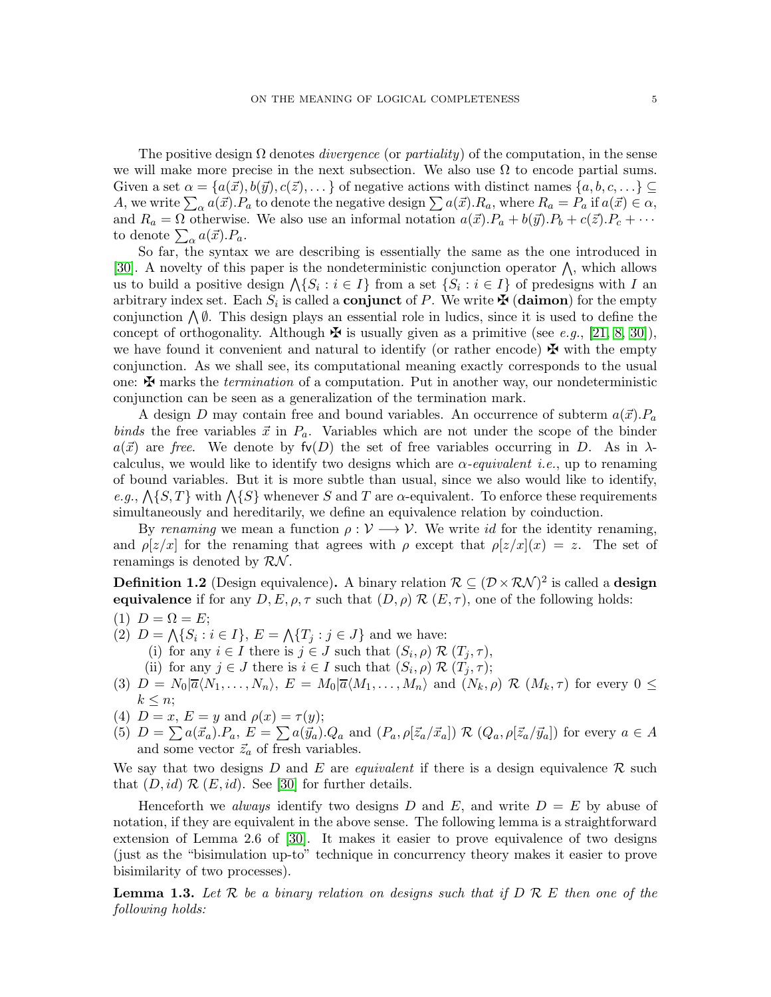The positive design Ω denotes *divergence* (or *partiality*) of the computation, in the sense we will make more precise in the next subsection. We also use  $\Omega$  to encode partial sums. Given a set  $\alpha = \{a(\vec{x}), b(\vec{y}), c(\vec{z}), \ldots\}$  of negative actions with distinct names  $\{a, b, c, \ldots\} \subseteq$ A, we write  $\sum_{\alpha} a(\vec{x}) \cdot P_a$  to denote the negative design  $\sum a(\vec{x}) \cdot R_a$ , where  $R_a = P_a$  if  $a(\vec{x}) \in \alpha$ , and  $R_a = \Omega$  otherwise. We also use an informal notation  $a(\vec{x})\cdot P_a + b(\vec{y})\cdot P_b + c(\vec{z})\cdot P_c + \cdots$ to denote  $\sum_{\alpha} a(\vec{x}).P_a$ .

So far, the syntax we are describing is essentially the same as the one introduced in [\[30\]](#page-29-0). A novelty of this paper is the nondeterministic conjunction operator  $\Lambda$ , which allows us to build a positive design  $\bigwedge \{S_i : i \in I\}$  from a set  $\{S_i : i \in I\}$  of predesigns with I an arbitrary index set. Each  $S_i$  is called a **conjunct** of P. We write  $\mathbf{\tilde{P}}$  (daimon) for the empty conjunction  $\bigwedge \emptyset$ . This design plays an essential role in ludics, since it is used to define the concept of orthogonality. Although  $\ddot{\mathbf{\Phi}}$  is usually given as a primitive (see *e.g.*, [\[21,](#page-28-2) [8,](#page-28-4) [30\]](#page-29-0)), we have found it convenient and natural to identify (or rather encode)  $\mathbf{\ddot{F}}$  with the empty conjunction. As we shall see, its computational meaning exactly corresponds to the usual one:  $\mathbf{\ddot{F}}$  marks the *termination* of a computation. Put in another way, our nondeterministic conjunction can be seen as a generalization of the termination mark.

A design D may contain free and bound variables. An occurrence of subterm  $a(\vec{x})$ .  $P_a$ *binds* the free variables  $\vec{x}$  in  $P_a$ . Variables which are not under the scope of the binder  $a(\vec{x})$  are *free*. We denote by  $f(v(D))$  the set of free variables occurring in D. As in  $\lambda$ calculus, we would like to identify two designs which are  $\alpha$ -equivalent *i.e.*, up to renaming of bound variables. But it is more subtle than usual, since we also would like to identify, *e.g.*,  $\wedge$ {S,T} with  $\wedge$ {S} whenever S and T are  $\alpha$ -equivalent. To enforce these requirements simultaneously and hereditarily, we define an equivalence relation by coinduction.

By *renaming* we mean a function  $\rho : \mathcal{V} \longrightarrow \mathcal{V}$ . We write id for the identity renaming, and  $\rho(z/x)$  for the renaming that agrees with  $\rho$  except that  $\rho(z/x)(x) = z$ . The set of renamings is denoted by  $R\mathcal{N}$ .

**Definition 1.2** (Design equivalence). A binary relation  $\mathcal{R} \subseteq (\mathcal{D} \times \mathcal{R} \mathcal{N})^2$  is called a **design** equivalence if for any  $D, E, \rho, \tau$  such that  $(D, \rho) \mathcal{R}(E, \tau)$ , one of the following holds: (1)  $D = \Omega = E$ ;

- (2)  $D = \bigwedge \{S_i : i \in I\}, E = \bigwedge \{T_j : j \in J\}$  and we have: (i) for any  $i \in I$  there is  $j \in J$  such that  $(S_i, \rho) \mathcal{R} (T_j, \tau)$ , (ii) for any  $j \in J$  there is  $i \in I$  such that  $(S_i, \rho) \mathcal{R} (T_j, \tau);$
- (3)  $D = N_0 | \overline{a} \langle N_1, \ldots, N_n \rangle, E = M_0 | \overline{a} \langle M_1, \ldots, M_n \rangle$  and  $(N_k, \rho) \mathcal{R} \langle M_k, \tau \rangle$  for every  $0 \leq$  $k \leq n$ ;
- (4)  $D = x, E = y$  and  $\rho(x) = \tau(y);$
- (5)  $D = \sum a(\vec{x}_a) \cdot P_a$ ,  $E = \sum a(\vec{y}_a) \cdot Q_a$  and  $(P_a, \rho[\vec{z}_a/\vec{x}_a]) \mathcal{R} (Q_a, \rho[\vec{z}_a/\vec{y}_a])$  for every  $a \in A$ and some vector  $\vec{z}_a$  of fresh variables.

We say that two designs  $D$  and  $E$  are *equivalent* if there is a design equivalence  $\mathcal R$  such that  $(D, id) \mathcal{R}(E, id)$ . See [\[30\]](#page-29-0) for further details.

Henceforth we *always* identify two designs D and E, and write  $D = E$  by abuse of notation, if they are equivalent in the above sense. The following lemma is a straightforward extension of Lemma 2.6 of [\[30\]](#page-29-0). It makes it easier to prove equivalence of two designs (just as the "bisimulation up-to" technique in concurrency theory makes it easier to prove bisimilarity of two processes).

<span id="page-4-0"></span>Lemma 1.3. *Let* R *be a binary relation on designs such that if* D R E *then one of the following holds:*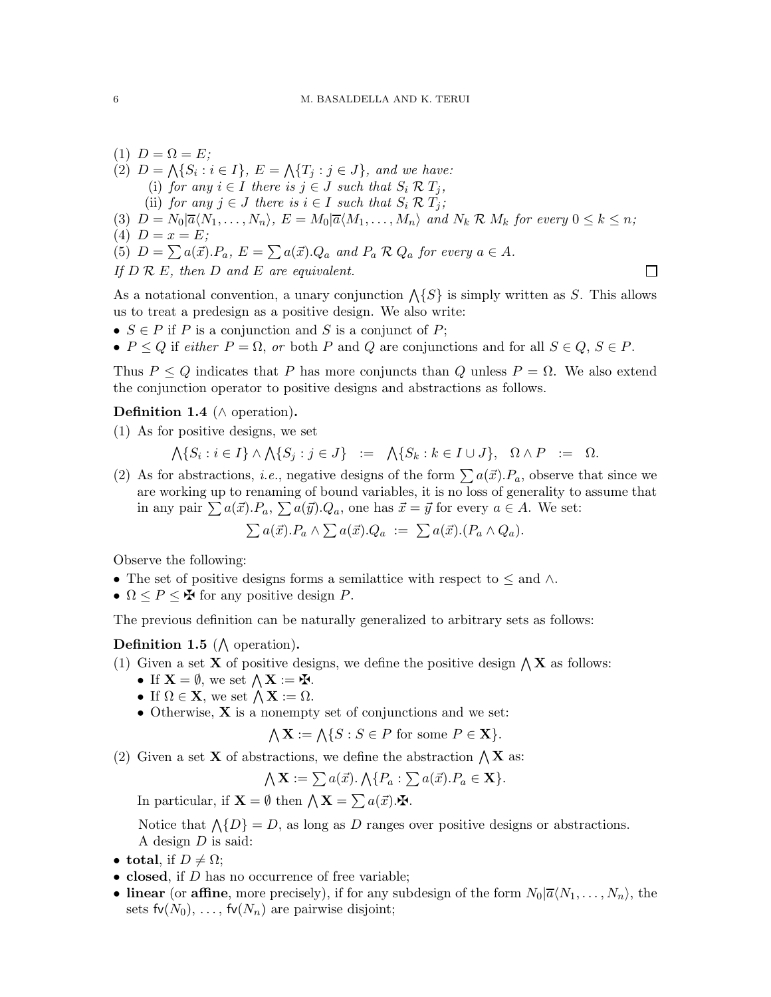(1)  $D = \Omega = E$ ; (2)  $D = \bigwedge \{S_i : i \in I\}, E = \bigwedge \{T_j : j \in J\}, and we have:$ (i) *for any*  $i \in I$  *there is*  $j \in J$  *such that*  $S_i \mathcal{R} T_j$ *,* (ii) *for any*  $j \in J$  *there is*  $i \in I$  *such that*  $S_i \mathcal{R} T_j$ ; (3)  $D = N_0 | \overline{a} \langle N_1, \ldots, N_n \rangle$ ,  $E = M_0 | \overline{a} \langle M_1, \ldots, M_n \rangle$  and  $N_k \mathcal{R} M_k$  for every  $0 \le k \le n$ ; (4)  $D = x = E$ ; (5)  $D = \sum a(\vec{x}).P_a$ ,  $E = \sum a(\vec{x}).Q_a$  and  $P_a \mathcal{R} Q_a$  for every  $a \in A$ . *If* D R E*, then* D *and* E *are equivalent.*

As a notational convention, a unary conjunction  $\wedge$ {S} is simply written as S. This allows us to treat a predesign as a positive design. We also write:

 $\Box$ 

- $S \in P$  if P is a conjunction and S is a conjunct of P;
- $P \leq Q$  if *either*  $P = \Omega$ , *or* both P and Q are conjunctions and for all  $S \in Q$ ,  $S \in P$ .

Thus  $P \leq Q$  indicates that P has more conjuncts than Q unless  $P = \Omega$ . We also extend the conjunction operator to positive designs and abstractions as follows.

Definition 1.4 ( $\land$  operation).

(1) As for positive designs, we set

$$
\bigwedge \{S_i : i \in I\} \land \bigwedge \{S_j : j \in J\} \ := \ \bigwedge \{S_k : k \in I \cup J\}, \ \Omega \land P \ := \ \Omega.
$$

(2) As for abstractions, *i.e.*, negative designs of the form  $\sum a(\vec{x})$ .  $P_a$ , observe that since we are working up to renaming of bound variables, it is no loss of generality to assume that in any pair  $\sum a(\vec{x}).P_a$ ,  $\sum a(\vec{y}).Q_a$ , one has  $\vec{x} = \vec{y}$  for every  $a \in A$ . We set:

$$
\sum a(\vec{x}).P_a \wedge \sum a(\vec{x}).Q_a := \sum a(\vec{x}).(P_a \wedge Q_a).
$$

Observe the following:

- The set of positive designs forms a semilattice with respect to  $\leq$  and  $\wedge$ .
- $\Omega \leq P \leq \mathbf{F}$  for any positive design P.

The previous definition can be naturally generalized to arbitrary sets as follows:

<span id="page-5-0"></span>Definition 1.5 ( $\bigwedge$  operation).

- (1) Given a set **X** of positive designs, we define the positive design  $\bigwedge$ **X** as follows:
	- If  $X = \emptyset$ , we set  $\bigwedge X := \maltese$ .
	- If  $\Omega \in \mathbf{X}$ , we set  $\bigwedge \mathbf{X} := \Omega$ .
	- Otherwise, **X** is a nonempty set of conjunctions and we set:

$$
\bigwedge \mathbf{X} := \bigwedge \{ S : S \in P \text{ for some } P \in \mathbf{X} \}.
$$

(2) Given a set **X** of abstractions, we define the abstraction  $\bigwedge$  **X** as:

$$
\bigwedge \mathbf{X} := \sum a(\vec{x}). \bigwedge \{P_a : \sum a(\vec{x}). P_a \in \mathbf{X}\}.
$$

In particular, if  $\mathbf{X} = \emptyset$  then  $\bigwedge \mathbf{X} = \sum a(\vec{x}) \cdot \mathbf{H}$ .

Notice that  $\Lambda\{D\} = D$ , as long as D ranges over positive designs or abstractions. A design D is said:

- total, if  $D \neq \Omega$ ;
- closed, if  $D$  has no occurrence of free variable;
- linear (or affine, more precisely), if for any subdesign of the form  $N_0|\overline{a}\langle N_1,\ldots,N_n\rangle$ , the sets  $fv(N_0), \ldots, fv(N_n)$  are pairwise disjoint;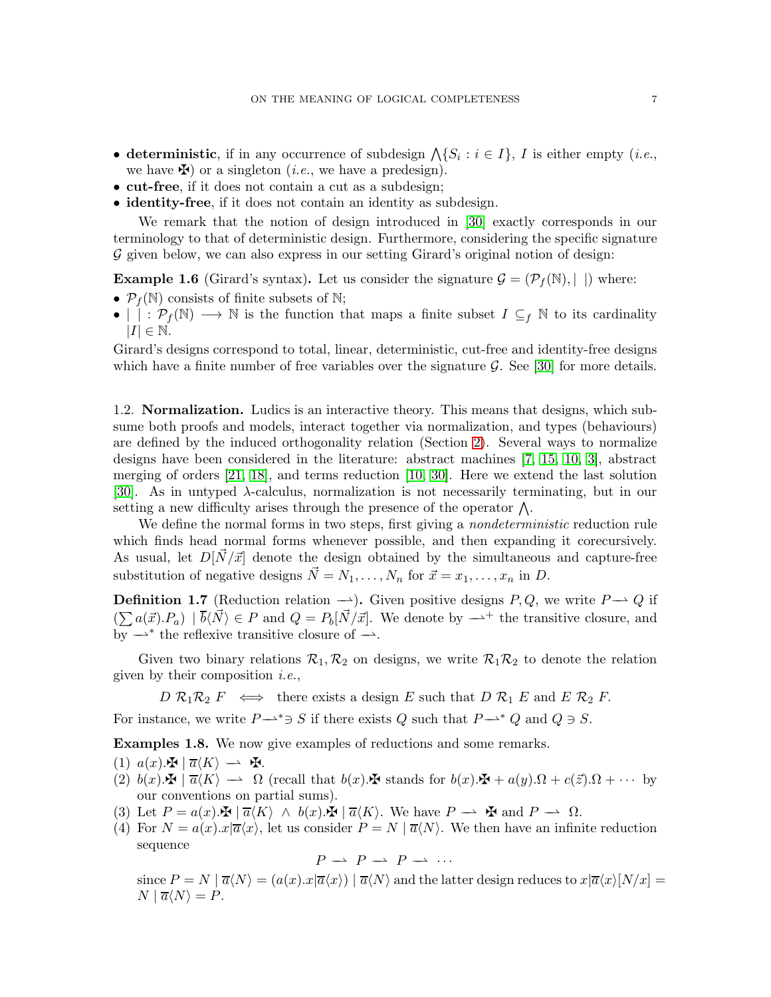- deterministic, if in any occurrence of subdesign  $\bigwedge \{S_i : i \in I\}$ , I is either empty (*i.e.*, we have  $\blacktriangleright$  or a singleton (*i.e.*, we have a predesign).
- cut-free, if it does not contain a cut as a subdesign;
- **identity-free**, if it does not contain an identity as subdesign.

We remark that the notion of design introduced in [\[30\]](#page-29-0) exactly corresponds in our terminology to that of deterministic design. Furthermore, considering the specific signature  $\mathcal G$  given below, we can also express in our setting Girard's original notion of design:

**Example 1.6** (Girard's syntax). Let us consider the signature  $\mathcal{G} = (\mathcal{P}_f(\mathbb{N}), |\ )$  where:

- $\mathcal{P}_f(\mathbb{N})$  consists of finite subsets of  $\mathbb{N}$ ;
- $| \cdot | : \mathcal{P}_f(\mathbb{N}) \longrightarrow \mathbb{N}$  is the function that maps a finite subset  $I \subseteq_f \mathbb{N}$  to its cardinality  $|I| \in \mathbb{N}.$

Girard's designs correspond to total, linear, deterministic, cut-free and identity-free designs which have a finite number of free variables over the signature  $\mathcal{G}$ . See [\[30\]](#page-29-0) for more details.

<span id="page-6-0"></span>1.2. Normalization. Ludics is an interactive theory. This means that designs, which subsume both proofs and models, interact together via normalization, and types (behaviours) are defined by the induced orthogonality relation (Section [2\)](#page-12-0). Several ways to normalize designs have been considered in the literature: abstract machines [\[7,](#page-28-13) [15,](#page-28-14) [10,](#page-28-15) [3\]](#page-28-0), abstract merging of orders [\[21,](#page-28-2) [18\]](#page-28-16), and terms reduction [\[10,](#page-28-15) [30\]](#page-29-0). Here we extend the last solution [\[30\]](#page-29-0). As in untyped  $\lambda$ -calculus, normalization is not necessarily terminating, but in our setting a new difficulty arises through the presence of the operator  $\bigwedge$ .

We define the normal forms in two steps, first giving a *nondeterministic* reduction rule which finds head normal forms whenever possible, and then expanding it corecursively. As usual, let  $D[\vec{N}/\vec{x}]$  denote the design obtained by the simultaneous and capture-free substitution of negative designs  $\vec{N} = N_1, \ldots, N_n$  for  $\vec{x} = x_1, \ldots, x_n$  in D.

**Definition 1.7** (Reduction relation  $\rightarrow$ ). Given positive designs P, Q, we write P  $\rightarrow$  Q if  $(\sum a(\vec{x}).P_a) | \vec{b} \langle \vec{N} \rangle \in P$  and  $Q = P_b[\vec{N}/\vec{x}]$ . We denote by  $\rightarrow^+$  the transitive closure, and by  $\rightarrow^*$  the reflexive transitive closure of  $\rightarrow$ .

Given two binary relations  $\mathcal{R}_1, \mathcal{R}_2$  on designs, we write  $\mathcal{R}_1 \mathcal{R}_2$  to denote the relation given by their composition *i.e.*,

 $D \mathcal{R}_1 \mathcal{R}_2 F \iff \text{there exists a design } E \text{ such that } D \mathcal{R}_1 E \text{ and } E \mathcal{R}_2 F.$ 

For instance, we write  $P \longrightarrow^* \ni S$  if there exists Q such that  $P \longrightarrow^* Q$  and  $Q \ni S$ .

Examples 1.8. We now give examples of reductions and some remarks.

- (1)  $a(x) \cdot \mathbf{H}$  |  $\overline{a}$ (K) →  $\mathbf{H}$ .
- (2)  $b(x) \cdot \mathbf{H} \mid \overline{a}(K) \longrightarrow \Omega$  (recall that  $b(x) \cdot \mathbf{H}$  stands for  $b(x) \cdot \mathbf{H} + a(y) \cdot \Omega + c(\overline{z}) \cdot \Omega + \cdots$  by our conventions on partial sums).
- (3) Let  $P = a(x) \cdot \mathbf{F} \mid \overline{a}(K) \land b(x) \cdot \mathbf{F} \mid \overline{a}(K)$ . We have  $P \longrightarrow \mathbf{F}$  and  $P \longrightarrow \Omega$ .
- (4) For  $N = a(x).x | \overline{a}\langle x \rangle$ , let us consider  $P = N | \overline{a}\langle N \rangle$ . We then have an infinite reduction sequence

 $P \rightarrow P \rightarrow P \rightarrow \cdots$ 

since  $P = N | \overline{a}(N) = (a(x).x | \overline{a}(x)) | \overline{a}(N)$  and the latter design reduces to  $x | \overline{a}(x)|N/x =$  $N | \overline{a} \langle N \rangle = P.$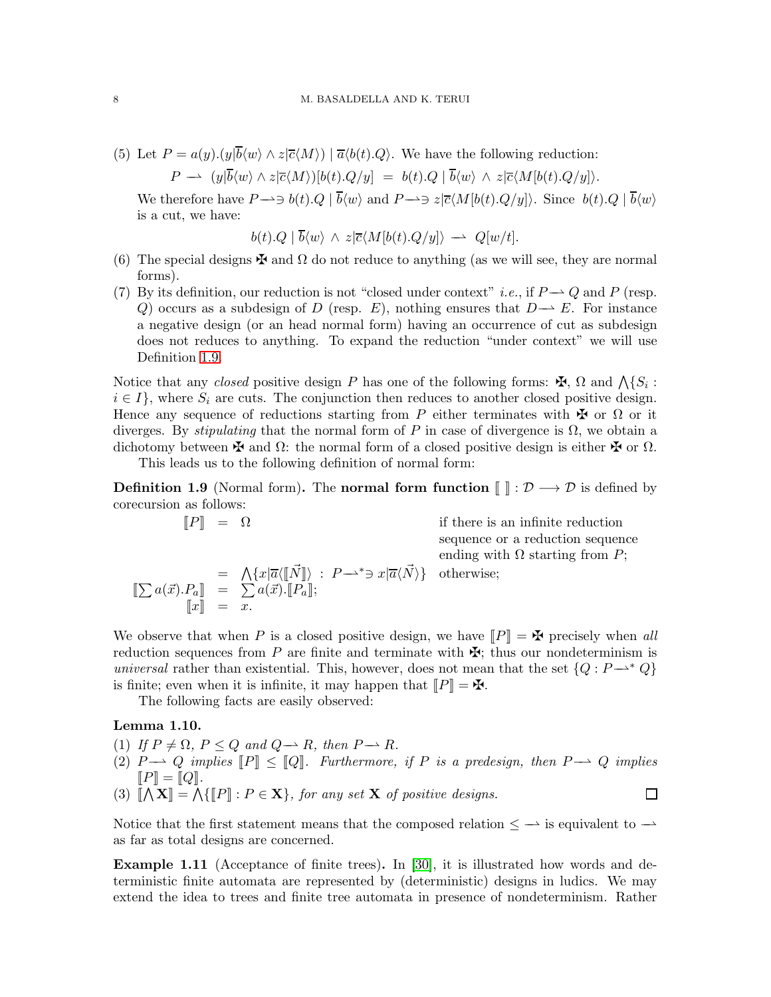(5) Let  $P = a(y) \cdot (y|\overline{b}\langle w \rangle \wedge z|\overline{c}\langle M \rangle) | \overline{a}\langle b(t).Q \rangle$ . We have the following reduction:

$$
P \longrightarrow (y|\overline{b}\langle w\rangle \wedge z|\overline{c}\langle M\rangle)[b(t).Q/y] = b(t).Q | \overline{b}\langle w\rangle \wedge z|\overline{c}\langle M[b(t).Q/y]\rangle.
$$

We therefore have  $P \rightarrow \Rightarrow b(t) \cdot Q \mid \overline{b}\langle w \rangle$  and  $P \rightarrow \Rightarrow z \mid \overline{c}\langle M[b(t) \cdot Q/y] \rangle$ . Since  $b(t) \cdot Q \mid \overline{b}\langle w \rangle$ is a cut, we have:

$$
b(t).Q \mid \overline{b}\langle w \rangle \wedge z | \overline{c}\langle M[b(t).Q/y] \rangle \longrightarrow Q[w/t].
$$

- (6) The special designs  $\mathbf{\Psi}$  and  $\Omega$  do not reduce to anything (as we will see, they are normal forms).
- (7) By its definition, our reduction is not "closed under context" *i.e.*, if  $P \rightarrow Q$  and P (resp. Q) occurs as a subdesign of D (resp. E), nothing ensures that  $D \longrightarrow E$ . For instance a negative design (or an head normal form) having an occurrence of cut as subdesign does not reduces to anything. To expand the reduction "under context" we will use Definition [1.9.](#page-7-0)

Notice that any *closed* positive design P has one of the following forms:  $\mathbf{\ddot{P}}$ ,  $\Omega$  and  $\Lambda$ { $S_i$ :  $i \in I$ , where  $S_i$  are cuts. The conjunction then reduces to another closed positive design. Hence any sequence of reductions starting from P either terminates with  $\mathbf{\Psi}$  or  $\Omega$  or it diverges. By *stipulating* that the normal form of P in case of divergence is  $\Omega$ , we obtain a dichotomy between  $\mathbf{\Psi}$  and  $\Omega$ : the normal form of a closed positive design is either  $\mathbf{\Psi}$  or  $\Omega$ .

This leads us to the following definition of normal form:

<span id="page-7-0"></span>**Definition 1.9** (Normal form). The **normal form function**  $\llbracket \cdot \rrbracket$  :  $\mathcal{D} \longrightarrow \mathcal{D}$  is defined by corecursion as follows:

$$
\llbracket P \rrbracket = \Omega
$$
 if there is an infinite reduction

sequence or a reduction sequence ending with  $\Omega$  starting from P;  $= \Lambda \{x | \overline{a} \langle \overline{\hspace{0.1cm} \mid} \vec{N} \rangle \} : P \rightarrow^{*} \ni x | \overline{a} \langle \vec{N} \rangle \}$  otherwise;

We observe that when P is a closed positive design, we have  $\llbracket P \rrbracket = \mathbf{\mathcal{F}}$  precisely when all reduction sequences from P are finite and terminate with  $\mathbf{\mathbf{F}}$ ; thus our nondeterminism is *universal* rather than existential. This, however, does not mean that the set  $\{Q : P \longrightarrow^* Q\}$ is finite; even when it is infinite, it may happen that  $\llbracket P \rrbracket = \mathbf{\Psi}$ .

The following facts are easily observed:

 $[\![\sum a(\vec{x}).P_a]\!] = \sum a(\vec{x}).[\![P_a]\!]$ ;  $\llbracket x \rrbracket = x.$ 

# <span id="page-7-1"></span>Lemma 1.10.

- (1) If  $P \neq \Omega$ ,  $P \leq Q$  and  $Q \rightarrow R$ , then  $P \rightarrow R$ .
- (2)  $P \rightarrow Q$  *implies*  $\llbracket P \rrbracket \leq \llbracket Q \rrbracket$ . Furthermore, if P is a predesign, then  $P \rightarrow Q$  *implies*  $[$ [P] =  $[$ Q].
- (3)  $[\![\bigwedge \mathbf{X}]\!] = \bigwedge \{[\![P]\!] : P \in \mathbf{X}\},$  for any set **X** of positive designs.  $\Box$

Notice that the first statement means that the composed relation  $\leq \rightarrow$  is equivalent to  $\rightarrow$ as far as total designs are concerned.

Example 1.11 (Acceptance of finite trees). In [\[30\]](#page-29-0), it is illustrated how words and deterministic finite automata are represented by (deterministic) designs in ludics. We may extend the idea to trees and finite tree automata in presence of nondeterminism. Rather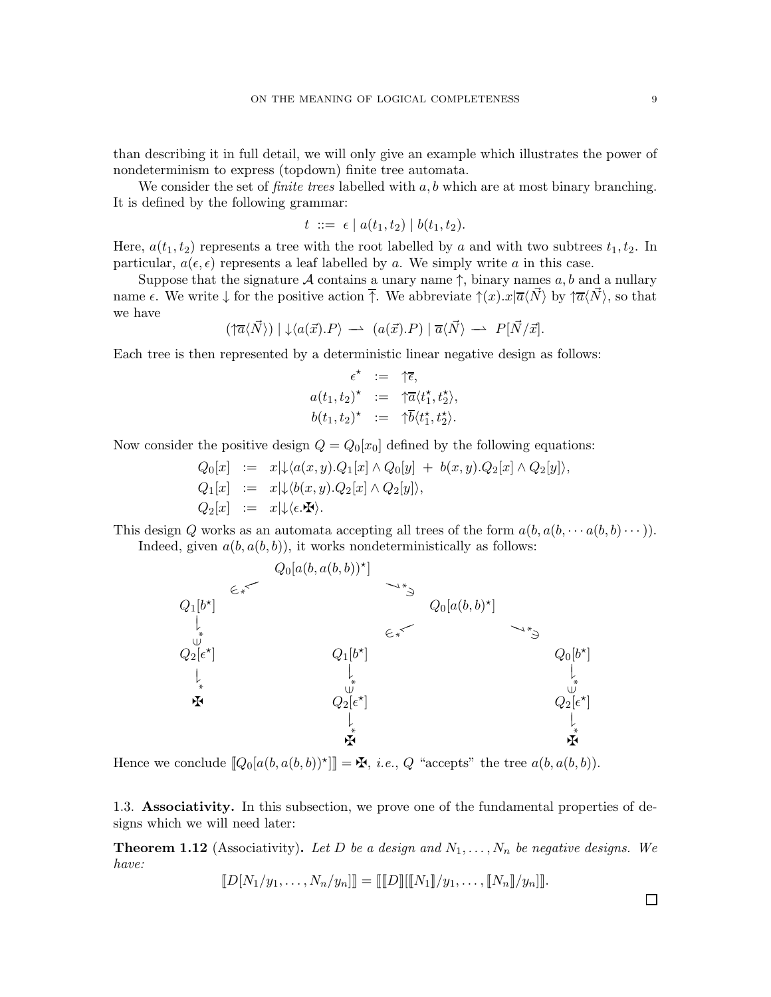than describing it in full detail, we will only give an example which illustrates the power of nondeterminism to express (topdown) finite tree automata.

We consider the set of *finite trees* labelled with a, b which are at most binary branching. It is defined by the following grammar:

$$
t \ ::= \ \epsilon \ | \ a(t_1, t_2) \ | \ b(t_1, t_2).
$$

Here,  $a(t_1, t_2)$  represents a tree with the root labelled by a and with two subtrees  $t_1, t_2$ . In particular,  $a(\epsilon, \epsilon)$  represents a leaf labelled by a. We simply write a in this case.

Suppose that the signature A contains a unary name  $\uparrow$ , binary names a, b and a nullary name  $\epsilon$ . We write  $\downarrow$  for the positive action  $\bar{\uparrow}$ . We abbreviate  $\uparrow(x) . x | \bar{a} \langle \vec{N} \rangle$  by  $\uparrow \bar{a} \langle \vec{N} \rangle$ , so that we have

$$
(\uparrow \overline{a}\langle \vec{N} \rangle) \mid \downarrow \langle a(\vec{x}).P \rangle \rightarrow (a(\vec{x}).P) \mid \overline{a}\langle \vec{N} \rangle \rightarrow P[\vec{N}/\vec{x}].
$$

Each tree is then represented by a deterministic linear negative design as follows:

$$
\epsilon^* := \uparrow \overline{\epsilon},
$$
  
\n
$$
a(t_1, t_2)^* := \uparrow \overline{a} \langle t_1^*, t_2^* \rangle,
$$
  
\n
$$
b(t_1, t_2)^* := \uparrow \overline{b} \langle t_1^*, t_2^* \rangle.
$$

Now consider the positive design  $Q = Q_0[x_0]$  defined by the following equations:

$$
Q_0[x] := x | \downarrow \langle a(x, y).Q_1[x] \land Q_0[y] + b(x, y).Q_2[x] \land Q_2[y] \rangle,
$$
  
\n
$$
Q_1[x] := x | \downarrow \langle b(x, y).Q_2[x] \land Q_2[y] \rangle,
$$
  
\n
$$
Q_2[x] := x | \downarrow \langle \epsilon. \blacktriangleright \rangle.
$$

This design Q works as an automata accepting all trees of the form  $a(b, a(b, \dots a(b, b) \dots))$ . Indeed, given  $a(b, a(b, b))$ , it works nondeterministically as follows:



Hence we conclude  $[Q_0[a(b, a(b, b))^\star]] = \mathbf{\mathbf{\mathbf{\mathbf{\mathbf{F}}}}}, i.e., Q$  "accepts" the tree  $a(b, a(b, b))$ .

1.3. Associativity. In this subsection, we prove one of the fundamental properties of designs which we will need later:

<span id="page-8-0"></span>**Theorem 1.12** (Associativity). Let D be a design and  $N_1, \ldots, N_n$  be negative designs. We *have:*

$$
[\![D[N_1/y_1,\ldots,N_n/y_n]]\!]=[\![[\![D]\!]][[\![N_1]\!]/y_1,\ldots,[\![N_n]\!]/y_n]]].
$$

 $\Box$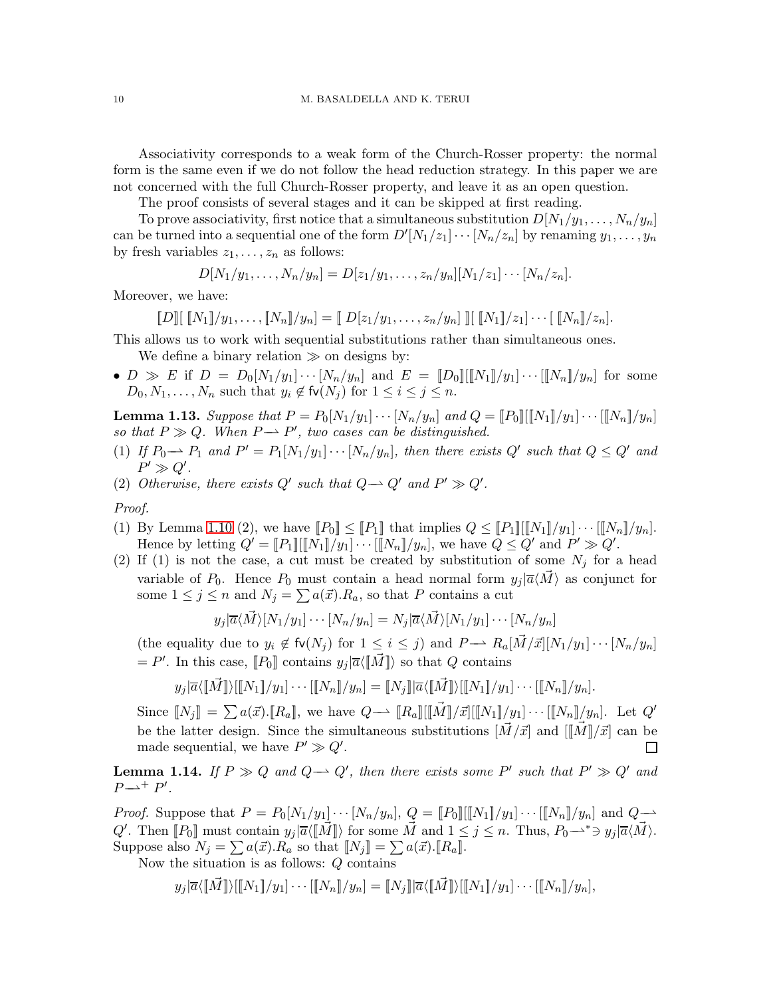Associativity corresponds to a weak form of the Church-Rosser property: the normal form is the same even if we do not follow the head reduction strategy. In this paper we are not concerned with the full Church-Rosser property, and leave it as an open question.

The proof consists of several stages and it can be skipped at first reading.

To prove associativity, first notice that a simultaneous substitution  $D[N_1/y_1, \ldots, N_n/y_n]$ can be turned into a sequential one of the form  $D'[N_1/z_1]\cdots[N_n/z_n]$  by renaming  $y_1,\ldots,y_n$ by fresh variables  $z_1, \ldots, z_n$  as follows:

$$
D[N_1/y_1,\ldots,N_n/y_n] = D[z_1/y_1,\ldots,z_n/y_n][N_1/z_1]\cdots[N_n/z_n].
$$

Moreover, we have:

$$
[\![D]\!][\![N_1]\!]/y_1,\ldots,[\![N_n]\!]/y_n]=[\![D[z_1/y_1,\ldots,z_n/y_n]\!][[\![N_1]\!]/z_1]\cdots[\![N_n]\!]/z_n].
$$

This allows us to work with sequential substitutions rather than simultaneous ones.

We define a binary relation  $\gg$  on designs by:

•  $D \gg E$  if  $D = D_0[N_1/y_1]\cdots[N_n/y_n]$  and  $E = [D_0][[N_1]/y_1]\cdots[[N_n]/y_n]$  for some  $D_0, N_1, \ldots, N_n$  such that  $y_i \notin \text{fv}(N_j)$  for  $1 \leq i \leq j \leq n$ .

<span id="page-9-1"></span>**Lemma 1.13.** *Suppose that*  $P = P_0[N_1/y_1] \cdots [N_n/y_n]$  and  $Q = [P_0][[N_1]/y_1] \cdots [N_n]/y_n]$ *so that*  $P \gg Q$ *. When*  $P \rightarrow P'$ *, two cases can be distinguished.* 

- (1) If  $P_0 \to P_1$  and  $P' = P_1[N_1/y_1] \cdots [N_n/y_n]$ , then there exists  $Q'$  such that  $Q \leq Q'$  and  $P' \gg Q'.$
- (2) Otherwise, there exists  $Q'$  such that  $Q \rightarrow Q'$  and  $P' \gg Q'$ .

#### *Proof.*

- (1) By Lemma [1.10](#page-7-1) (2), we have  $[[P_0] \leq [[P_1]]$  that implies  $Q \leq [[P_1]] [[N_1]]/y_1] \cdots [[N_n]/y_n]$ . Hence by letting  $Q' = [P_1][[N_1]/y_1] \cdots [[N_n]/y_n]$ , we have  $Q \le Q'$  and  $P' \gg Q'$ .
- (2) If (1) is not the case, a cut must be created by substitution of some  $N_i$  for a head variable of  $P_0$ . Hence  $P_0$  must contain a head normal form  $y_j | \overline{a} \langle M \rangle$  as conjunct for some  $1 \leq j \leq n$  and  $N_j = \sum a(\vec{x}) \cdot R_a$ , so that P contains a cut

$$
y_j|\overline{a}\langle \overrightarrow{M}\rangle[N_1/y_1]\cdots[N_n/y_n]=N_j|\overline{a}\langle \overrightarrow{M}\rangle[N_1/y_1]\cdots[N_n/y_n]
$$

(the equality due to  $y_i \notin \text{fv}(N_j)$  for  $1 \leq i \leq j$ ) and  $P \longrightarrow R_a[\vec{M}/\vec{x}][N_1/y_1] \cdots [N_n/y_n]$  $= P'$ . In this case,  $[P_0]$  contains  $y_j | \overline{a} \langle \llbracket \vec{M} \rrbracket \rangle$  so that Q contains

$$
y_j|\overline{\alpha}\langle[\overrightarrow{M}]\rangle[[N_1]/y_1]\cdots[[N_n]/y_n]=[[N_j]|\overline{\alpha}\langle[\overrightarrow{M}]\rangle[[N_1]/y_1]\cdots[[N_n]/y_n].
$$

Since  $[N_j] = \sum a(\vec{x}) \cdot [R_a]$ , we have  $Q \longrightarrow [R_a] \cdot [[\vec{M}]/\vec{x}] [N_1]/y_1 \cdot [N_n]/y_n$ . Let  $Q'$ be the latter design. Since the simultaneous substitutions  $\left|\vec{M}/\vec{x}\right|$  and  $\left|\vec{M}/\vec{x}\right|$  can be made sequential, we have  $P' \gg Q'$ .  $\Box$ 

<span id="page-9-0"></span>**Lemma 1.14.** If  $P \gg Q$  and  $Q \rightarrow Q'$ , then there exists some P' such that  $P' \gg Q'$  and  $P \rightarrow^+ P'$ .

*Proof.* Suppose that  $P = P_0[N_1/y_1] \cdots [N_n/y_n]$ ,  $Q = [P_0][[N_1]/y_1] \cdots [N_n]/y_n$  and  $Q \rightarrow$ Q'. Then  $[\![P_0]\!]$  must contain  $y_j | \overline{a}\langle [\![\vec{M}]\!] \rangle$  for some  $\vec{M}$  and  $1 \leq j \leq n$ . Thus,  $P_0 \rightarrow^* \ni y_j | \overline{a}\langle \vec{M} \rangle$ . Suppose also  $N_j = \sum a(\vec{x}).R_a$  so that  $[[N_j]] = \sum a(\vec{x}).[R_a]$ .

Now the situation is as follows: Q contains

$$
y_j|\overline{a}\langle \llbracket \overrightarrow{M} \rrbracket \rangle [\llbracket N_1 \rrbracket / y_1] \cdots [\llbracket N_n \rrbracket / y_n] = \llbracket N_j \rrbracket |\overline{a}\langle \llbracket \overrightarrow{M} \rrbracket \rangle [\llbracket N_1 \rrbracket / y_1] \cdots [\llbracket N_n \rrbracket / y_n],
$$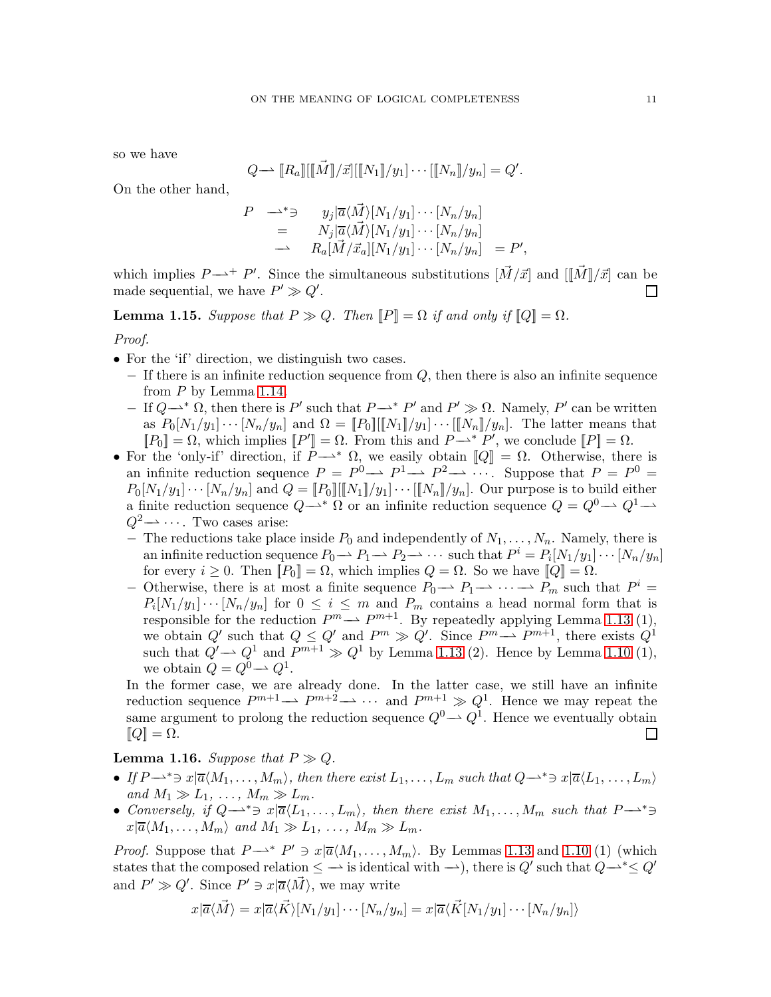so we have

$$
Q \longrightarrow [R_a][[\vec{M}]/\vec{x}][[N_1]/y_1] \cdots [[N_n]/y_n] = Q'.
$$

On the other hand,

$$
P \longrightarrow^* \ni y_j | \overline{\alpha} \langle \overrightarrow{M} \rangle [N_1/y_1] \cdots [N_n/y_n]
$$
  
=  $N_j | \overline{\alpha} \langle \overrightarrow{M} \rangle [N_1/y_1] \cdots [N_n/y_n]$   
 $\longrightarrow R_a [\overrightarrow{M}/\overrightarrow{x}_a][N_1/y_1] \cdots [N_n/y_n] = P',$ 

which implies  $P \rightarrow^{+} P'$ . Since the simultaneous substitutions  $[\vec{M}/\vec{x}]$  and  $[[\vec{M}]/\vec{x}]$  can be made sequential, we have  $P' \gg Q'$ .  $\Box$ 

<span id="page-10-0"></span>**Lemma 1.15.** *Suppose that*  $P \gg Q$ *. Then*  $\llbracket P \rrbracket = \Omega$  *if and only if*  $\llbracket Q \rrbracket = \Omega$ *.* 

*Proof.*

- For the 'if' direction, we distinguish two cases.
	- $-$  If there is an infinite reduction sequence from Q, then there is also an infinite sequence from P by Lemma [1.14.](#page-9-0)
	- − If  $Q \rightharpoonup^* \Omega$ , then there is P' such that  $P \rightharpoonup^* P'$  and  $P' \gg \Omega$ . Namely, P' can be written as  $P_0[N_1/y_1] \cdots [N_n/y_n]$  and  $\Omega = [P_0][[N_1]/y_1] \cdots [N_n]/y_n]$ . The latter means that  $[P_0] = \Omega$ , which implies  $[P'] = \Omega$ . From this and  $P \rightarrow^* P'$ , we conclude  $[P] = \Omega$ .
- For the 'only-if' direction, if  $P \rightharpoonup^* \Omega$ , we easily obtain  $\llbracket Q \rrbracket = \Omega$ . Otherwise, there is an infinite reduction sequence  $P = P^0 \longrightarrow P^1 \longrightarrow P^2 \longrightarrow \cdots$ . Suppose that  $P = P^0 =$  $P_0[N_1/y_1]\cdots[N_n/y_n]$  and  $Q = [P_0][[N_1]/y_1]\cdots[[N_n]/y_n]$ . Our purpose is to build either a finite reduction sequence  $Q \rightharpoonup^* \Omega$  or an infinite reduction sequence  $Q = Q^0 \rightharpoonup Q^1 \rightharpoonup^*$  $Q^2 \longrightarrow \cdots$ . Two cases arise:
	- $-$  The reductions take place inside  $P_0$  and independently of  $N_1, \ldots, N_n$ . Namely, there is an infinite reduction sequence  $P_0 \to P_1 \to P_2 \to \cdots$  such that  $P^i = P_i[N_1/y_1] \cdots [N_n/y_n]$ for every  $i \geq 0$ . Then  $[[P_0]] = \Omega$ , which implies  $Q = \Omega$ . So we have  $[[Q]] = \Omega$ .
	- − Otherwise, there is at most a finite sequence  $P_0 \to P_1 \to \cdots \to P_m$  such that  $P^i =$  $P_i[N_1/y_1]\cdots[N_n/y_n]$  for  $0 \leq i \leq m$  and  $P_m$  contains a head normal form that is responsible for the reduction  $P^m \longrightarrow P^{m+1}$ . By repeatedly applying Lemma [1.13](#page-9-1) (1), we obtain  $Q'$  such that  $Q \leq Q'$  and  $P^m \gg Q'$ . Since  $P^m \longrightarrow P^{m+1}$ , there exists  $Q^1$ such that  $Q' \rightarrow Q^1$  and  $P^{m+1} \gg Q^1$  by Lemma [1.13](#page-9-1) (2). Hence by Lemma [1.10](#page-7-1) (1), we obtain  $Q = Q^0 \longrightarrow Q^1$ .

In the former case, we are already done. In the latter case, we still have an infinite reduction sequence  $P^{m+1} \longrightarrow P^{m+2} \longrightarrow \cdots$  and  $P^{m+1} \gg Q^1$ . Hence we may repeat the same argument to prolong the reduction sequence  $Q^0 \rightarrow Q^1$ . Hence we eventually obtain  $\llbracket Q \rrbracket = \Omega.$  $\Box$ 

<span id="page-10-1"></span>**Lemma 1.16.** *Suppose that*  $P \gg Q$ *.* 

- *If*  $P \rightharpoonup^* \ni x | \overline{a}(M_1, \ldots, M_m)$ , then there exist  $L_1, \ldots, L_m$  such that  $Q \rightharpoonup^* \ni x | \overline{a}(L_1, \ldots, L_m)$ *and*  $M_1 \gg L_1, \ldots, M_m \gg L_m$ .
- *Conversely, if*  $Q \rightarrow^* \ni x | \overline{a} \langle L_1, \ldots, L_m \rangle$ , then there exist  $M_1, \ldots, M_m$  such that  $P \rightarrow^* \ni P$  $x | \overline{a} \langle M_1, \ldots, M_m \rangle$  and  $M_1 \gg L_1, \ldots, M_m \gg L_m$ .

*Proof.* Suppose that  $P \rightharpoonup^* P' \ni x | \overline{a}(M_1, \ldots, M_m)$ . By Lemmas [1.13](#page-9-1) and [1.10](#page-7-1) (1) (which states that the composed relation  $\leq$   $\rightarrow$  is identical with  $\rightarrow$ ), there is  $Q'$  such that  $Q \rightarrow^* \leq Q'$ and  $P' \gg Q'$ . Since  $P' \ni x | \overline{a} \langle \vec{M} \rangle$ , we may write

$$
x|\overline{a}\langle\vec{M}\rangle=x|\overline{a}\langle\vec{K}\rangle[N_1/y_1]\cdots[N_n/y_n]=x|\overline{a}\langle\vec{K}[N_1/y_1]\cdots[N_n/y_n]\rangle
$$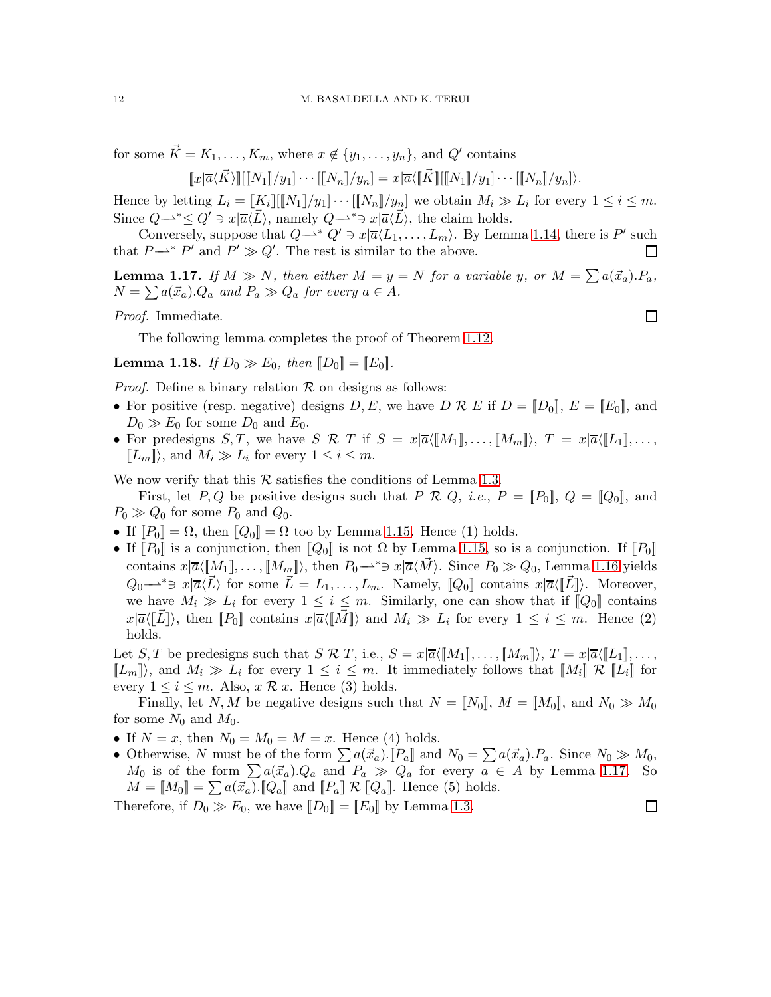for some  $\vec{K} = K_1, \ldots, K_m$ , where  $x \notin \{y_1, \ldots, y_n\}$ , and  $Q'$  contains

$$
[\![x|\overline{\alpha}\langle\vec{K}\rangle]\!][[\![N_1]\!]/y_1]\cdots[[\![N_n]\!]/y_n]=x|\overline{\alpha}\langle[\![\vec{K}]\!][[\![N_1]\!]/y_1]\cdots[[\![N_n]\!]/y_n]\rangle.
$$

Hence by letting  $L_i = [K_i] [[N_1] / y_1] \cdots [[N_n] / y_n]$  we obtain  $M_i \gg L_i$  for every  $1 \leq i \leq m$ . Since  $Q \rightharpoonup^* \leq Q' \ni x|\overline{a}\langle \vec{L}\rangle$ , namely  $Q \rightharpoonup^* \ni x|\overline{a}\langle \vec{L}\rangle$ , the claim holds.

Conversely, suppose that  $Q \rightarrow^* Q' \ni x | \overline{a} \langle L_1, \ldots, L_m \rangle$ . By Lemma [1.14,](#page-9-0) there is P' such that  $P \rightharpoonup^* P'$  and  $P' \gg Q'$ . The rest is similar to the above.  $\mathsf{L}$ 

<span id="page-11-0"></span>**Lemma 1.17.** If  $M \gg N$ , then either  $M = y = N$  for a variable y, or  $M = \sum a(\vec{x}_a) \cdot P_a$ ,  $N = \sum a(\vec{x}_a).Q_a$  and  $P_a \gg Q_a$  for every  $a \in A$ .

*Proof.* Immediate.

The following lemma completes the proof of Theorem [1.12.](#page-8-0)

**Lemma 1.18.** *If*  $D_0 \gg E_0$ *, then*  $[D_0] = [E_0]$ *.* 

*Proof.* Define a binary relation  $\mathcal R$  on designs as follows:

- For positive (resp. negative) designs D, E, we have D R E if  $D = [D_0], E = [E_0],$  and  $D_0 \gg E_0$  for some  $D_0$  and  $E_0$ .
- For predesigns S, T, we have S R T if  $S = x|\overline{a}\langle \llbracket M_1 \rrbracket, \ldots, \llbracket M_m \rrbracket \rangle, T = x|\overline{a}\langle \llbracket L_1 \rrbracket, \ldots,$  $[L_m]\rangle$ , and  $M_i \gg L_i$  for every  $1 \leq i \leq m$ .

We now verify that this  $R$  satisfies the conditions of Lemma [1.3.](#page-4-0)

First, let P, Q be positive designs such that P R Q, *i.e.*,  $P = [P_0], Q = [Q_0],$  and  $P_0 \gg Q_0$  for some  $P_0$  and  $Q_0$ .

- If  $||P_0|| = \Omega$ , then  $||Q_0|| = \Omega$  too by Lemma [1.15.](#page-10-0) Hence (1) holds.
- If  $\llbracket P_0 \rrbracket$  is a conjunction, then  $\llbracket Q_0 \rrbracket$  is not  $\Omega$  by Lemma [1.15,](#page-10-0) so is a conjunction. If  $\llbracket P_0 \rrbracket$ contains  $x|\overline{a}(\llbracket M_1 \rrbracket,\ldots,\llbracket M_m \rrbracket)$ , then  $P_0 \rightarrow^* \ni x|\overline{a}\langle M\rangle$ . Since  $P_0 \gg Q_0$ , Lemma [1.16](#page-10-1) yields  $Q_0 \longrightarrow^* \ni x|\overline{a}\langle \vec{L}\rangle$  for some  $\vec{L} = L_1, \ldots, L_m$ . Namely,  $[Q_0]$  contains  $x|\overline{a}\langle [\vec{L}]\rangle$ . Moreover, we have  $M_i \gg L_i$  for every  $1 \leq i \leq m$ . Similarly, one can show that if  $\llbracket Q_0 \rrbracket$  contains  $x|\overline{a}\langle \llbracket \vec{L} \rrbracket \rangle$ , then  $\llbracket P_0 \rrbracket$  contains  $x|\overline{a}\langle \llbracket \vec{M} \rrbracket \rangle$  and  $M_i \gg L_i$  for every  $1 \leq i \leq m$ . Hence (2) holds.

Let S, T be predesigns such that S R T, i.e.,  $S = x | \overline{a} \langle \llbracket M_1 \rrbracket, \ldots, \llbracket M_m \rrbracket \rangle, T = x | \overline{a} \langle \llbracket L_1 \rrbracket, \ldots,$  $[L_m]\rangle$ , and  $M_i \gg L_i$  for every  $1 \leq i \leq m$ . It immediately follows that  $[M_i] \mathcal{R} [L_i]$  for every  $1 \leq i \leq m$ . Also,  $x \mathcal{R} x$ . Hence (3) holds.

Finally, let N, M be negative designs such that  $N = N_0$ ,  $M = M_0$ , and  $N_0 \gg M_0$ for some  $N_0$  and  $M_0$ .

• If  $N = x$ , then  $N_0 = M_0 = M = x$ . Hence (4) holds.

• Otherwise, N must be of the form  $\sum a(\vec{x}_a)$ .[ $P_a$ ] and  $N_0 = \sum a(\vec{x}_a)$ . $P_a$ . Since  $N_0 \gg M_0$ ,  $M_0$  is of the form  $\sum a(\vec{x}_a).Q_a$  and  $P_a \gg Q_a$  for every  $a \in A$  by Lemma [1.17.](#page-11-0) So  $M = [M_0] = \sum a(\vec{x}_a)$ .  $[Q_a]$  and  $[P_a] \mathcal{R} [Q_a]$ . Hence (5) holds.

Therefore, if  $D_0 \gg E_0$ , we have  $[[D_0] = [[E_0]]$  by Lemma [1.3.](#page-4-0)

 $\Box$ 

 $\Box$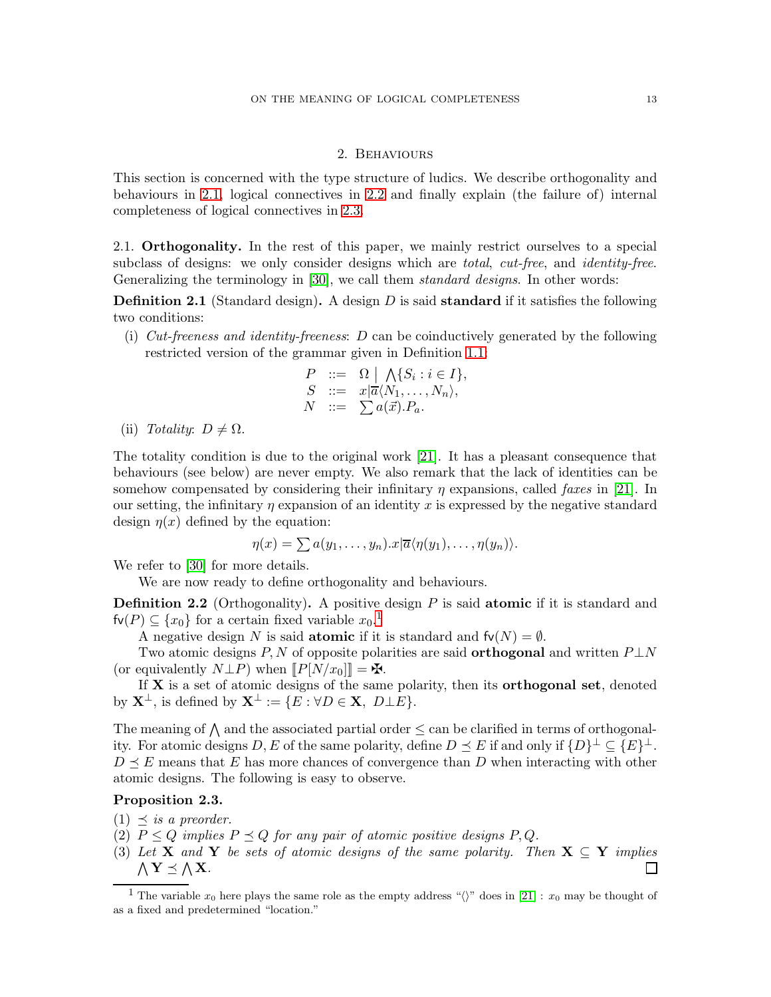## 2. Behaviours

<span id="page-12-0"></span>This section is concerned with the type structure of ludics. We describe orthogonality and behaviours in [2.1,](#page-12-1) logical connectives in [2.2](#page-15-0) and finally explain (the failure of) internal completeness of logical connectives in [2.3.](#page-18-0)

<span id="page-12-1"></span>2.1. Orthogonality. In the rest of this paper, we mainly restrict ourselves to a special subclass of designs: we only consider designs which are *total*, *cut-free*, and *identity-free*. Generalizing the terminology in [\[30\]](#page-29-0), we call them *standard designs*. In other words:

<span id="page-12-4"></span>**Definition 2.1** (Standard design). A design D is said **standard** if it satisfies the following two conditions:

(i) *Cut-freeness and identity-freeness*: D can be coinductively generated by the following restricted version of the grammar given in Definition [1.1:](#page-3-0)

$$
\begin{array}{lll}\nP & ::= & \Omega \mid \bigwedge \{ S_i : i \in I \}, \\
S & ::= & x | \overline{a} \langle N_1, \ldots, N_n \rangle, \\
N & ::= & \sum a(\vec{x}).P_a.\n\end{array}
$$

(ii) *Totality*:  $D \neq \Omega$ .

The totality condition is due to the original work [\[21\]](#page-28-2). It has a pleasant consequence that behaviours (see below) are never empty. We also remark that the lack of identities can be somehow compensated by considering their infinitary  $\eta$  expansions, called *faxes* in [\[21\]](#page-28-2). In our setting, the infinitary  $\eta$  expansion of an identity x is expressed by the negative standard design  $\eta(x)$  defined by the equation:

$$
\eta(x) = \sum a(y_1, \ldots, y_n) . x | \overline{a} \langle \eta(y_1), \ldots, \eta(y_n) \rangle.
$$

We refer to [\[30\]](#page-29-0) for more details.

We are now ready to define orthogonality and behaviours.

**Definition 2.2** (Orthogonality). A positive design  $P$  is said atomic if it is standard and  $f\nu(P) \subseteq \{x_0\}$  for a certain fixed variable  $x_0$ .<sup>[1](#page-12-2)</sup>

A negative design N is said atomic if it is standard and  $f\nu(N) = \emptyset$ .

Two atomic designs P, N of opposite polarities are said **orthogonal** and written  $P \perp N$ (or equivalently  $N \perp P$ ) when  $||P[N/x_0||] = \mathbf{\mathcal{F}}$ .

If  $X$  is a set of atomic designs of the same polarity, then its **orthogonal set**, denoted by  $\mathbf{X}^{\perp}$ , is defined by  $\mathbf{X}^{\perp} := \{ E : \forall D \in \mathbf{X}, \ D \perp E \}.$ 

The meaning of  $\bigwedge$  and the associated partial order  $\leq$  can be clarified in terms of orthogonality. For atomic designs  $D, E$  of the same polarity, define  $D \preceq E$  if and only if  $\{D\}^{\perp} \subseteq \{E\}^{\perp}$ .  $D \leq E$  means that E has more chances of convergence than D when interacting with other atomic designs. The following is easy to observe.

### <span id="page-12-3"></span>Proposition 2.3.

- $(1) \prec$  *is a preorder.*
- (2)  $P \leq Q$  *implies*  $P \leq Q$  *for any pair of atomic positive designs*  $P, Q$ *.*
- (3) Let **X** and **Y** be sets of atomic designs of the same polarity. Then  $X \subseteq Y$  implies  $\Lambda$ **Y**  $\preceq \Lambda$ **X**.  $\Box$

<span id="page-12-2"></span><sup>&</sup>lt;sup>1</sup> The variable  $x_0$  here plays the same role as the empty address " $\langle \rangle$ " does in [\[21\]](#page-28-2) :  $x_0$  may be thought of as a fixed and predetermined "location."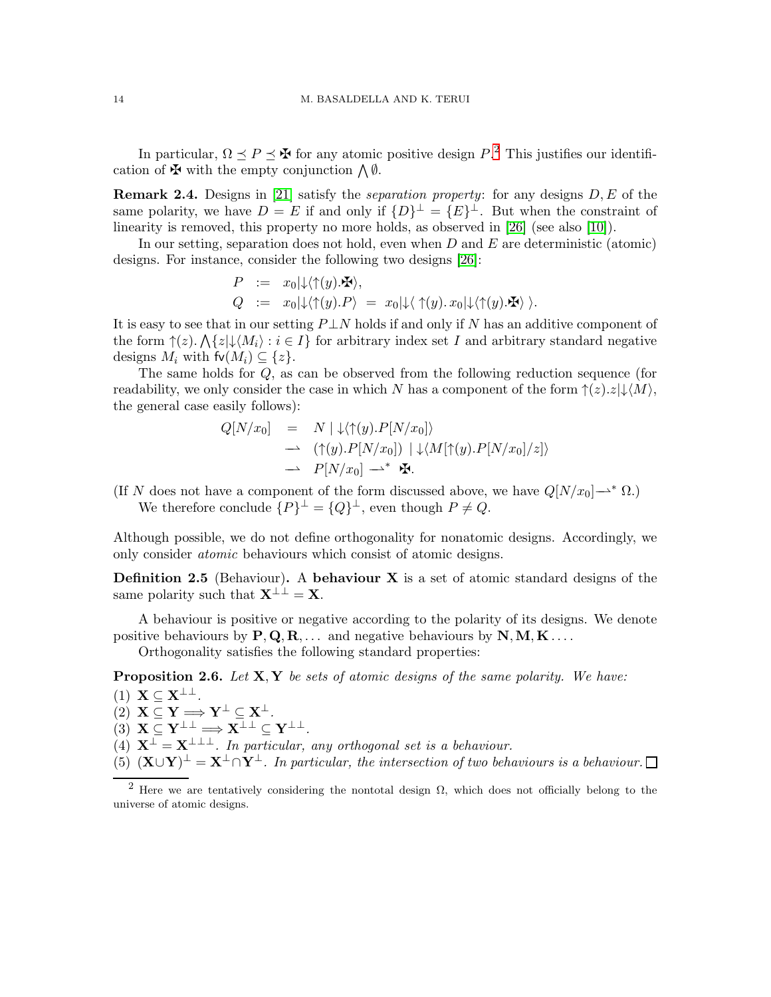In particular,  $\Omega \leq P \leq \mathbf{F}$  for any atomic positive design  $P^2$  $P^2$ . This justifies our identification of  $\maltese$  with the empty conjunction  $\bigwedge \emptyset$ .

<span id="page-13-2"></span>Remark 2.4. Designs in [\[21\]](#page-28-2) satisfy the *separation property*: for any designs D, E of the same polarity, we have  $D = E$  if and only if  $\{D\}^{\perp} = \{E\}^{\perp}$ . But when the constraint of linearity is removed, this property no more holds, as observed in [\[26\]](#page-28-17) (see also [\[10\]](#page-28-15)).

In our setting, separation does not hold, even when  $D$  and  $E$  are deterministic (atomic) designs. For instance, consider the following two designs [\[26\]](#page-28-17):

$$
P := x_0 | \downarrow \langle \uparrow(y). \mathbf{F} \rangle,
$$
  
\n
$$
Q := x_0 | \downarrow \langle \uparrow(y). P \rangle = x_0 | \downarrow \langle \uparrow(y). x_0 | \downarrow \langle \uparrow(y). \mathbf{F} \rangle \rangle.
$$

It is easy to see that in our setting  $P\perp N$  holds if and only if N has an additive component of the form  $\uparrow(z)$ .  $\bigwedge \{z | \downarrow \langle M_i \rangle : i \in I\}$  for arbitrary index set I and arbitrary standard negative designs  $M_i$  with  $f\nu(M_i) \subseteq \{z\}.$ 

The same holds for Q, as can be observed from the following reduction sequence (for readability, we only consider the case in which N has a component of the form  $\uparrow(z).z\downarrow\downarrow\langle M\rangle$ , the general case easily follows):

$$
Q[N/x_0] = N \downarrow \langle \uparrow(y).P[N/x_0] \rangle
$$
  
\n
$$
\rightarrow (\uparrow(y).P[N/x_0]) \downarrow \langle M[\uparrow(y).P[N/x_0]/z] \rangle
$$
  
\n
$$
\rightarrow P[N/x_0] \rightarrow^* \mathbf{F}.
$$

(If N does not have a component of the form discussed above, we have  $Q[N/x_0] \rightarrow^* \Omega$ .) We therefore conclude  $\{P\}^{\perp} = \{Q\}^{\perp}$ , even though  $P \neq Q$ .

Although possible, we do not define orthogonality for nonatomic designs. Accordingly, we only consider *atomic* behaviours which consist of atomic designs.

**Definition 2.5** (Behaviour). A **behaviour X** is a set of atomic standard designs of the same polarity such that  $X^{\perp \perp} = X$ .

A behaviour is positive or negative according to the polarity of its designs. We denote positive behaviours by  $P, Q, R, \ldots$  and negative behaviours by  $N, M, K, \ldots$ .

Orthogonality satisfies the following standard properties:

<span id="page-13-1"></span>Proposition 2.6. *Let* X, Y *be sets of atomic designs of the same polarity. We have:*

 $(1)$   $\mathbf{X} \subset \mathbf{X}^{\perp \perp}$ . (2)  $\mathbf{X} \subseteq \mathbf{Y} \Longrightarrow \mathbf{Y}^{\perp} \subseteq \mathbf{X}^{\perp}$ .

- $(3)$   $\mathbf{X} \subseteq \mathbf{Y}^{\perp \perp} \Longrightarrow \mathbf{X}^{\perp \perp} \subseteq \mathbf{Y}^{\perp \perp}.$
- (4)  $X^{\perp} = X^{\perp \perp \perp}$ . In particular, any orthogonal set is a behaviour.
- (5)  $(X \cup Y)^{\perp} = X^{\perp} \cap Y^{\perp}$ . In particular, the intersection of two behaviours is a behaviour.

<span id="page-13-0"></span><sup>&</sup>lt;sup>2</sup> Here we are tentatively considering the nontotal design  $\Omega$ , which does not officially belong to the universe of atomic designs.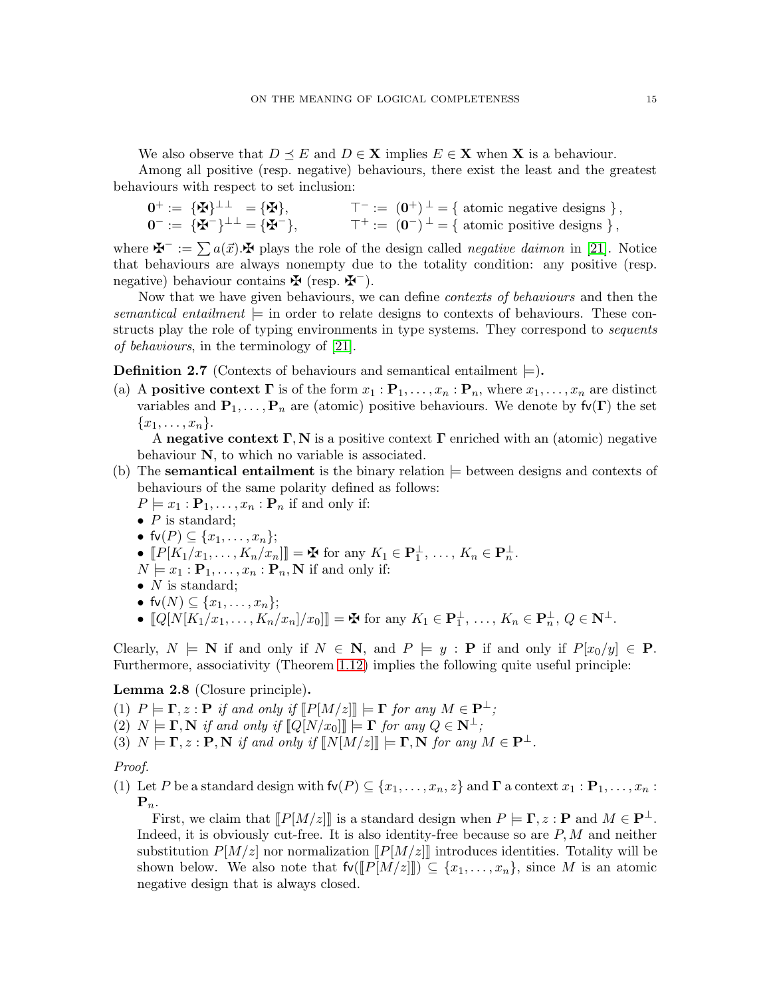We also observe that  $D \leq E$  and  $D \in \mathbf{X}$  implies  $E \in \mathbf{X}$  when  $\mathbf{X}$  is a behaviour.

Among all positive (resp. negative) behaviours, there exist the least and the greatest behaviours with respect to set inclusion:

$$
\begin{array}{ll}\n\mathbf{0}^+ := \ \{\maltese\}^{\perp \perp} = \{\maltese\}, & \top^- := \ (\mathbf{0}^+)^\perp = \{\ \text{atomic negative designs}\ \}, \\
\mathbf{0}^- := \ \{\maltese\!\!\!\!\!\!\cdot\!\!\}^{\perp \perp} = \{\maltese\!\!\!\!\!\cdot\!\!\}^{\phantom{+}} , & \top^+ := \ (\mathbf{0}^-)^\perp = \{\ \text{atomic positive designs}\ \},\n\end{array}
$$

where  $\mathbf{\Psi}^- := \sum a(\vec{x}) \cdot \mathbf{\Psi}$  plays the role of the design called *negative daimon* in [\[21\]](#page-28-2). Notice that behaviours are always nonempty due to the totality condition: any positive (resp. negative) behaviour contains  $\mathbf{\mathbf{\mathcal{F}}}$  (resp.  $\mathbf{\mathbf{\mathcal{F}}}^{-}$ ).

Now that we have given behaviours, we can define *contexts of behaviours* and then the *semantical entailment*  $\models$  in order to relate designs to contexts of behaviours. These constructs play the role of typing environments in type systems. They correspond to *sequents of behaviours*, in the terminology of [\[21\]](#page-28-2).

<span id="page-14-0"></span>**Definition 2.7** (Contexts of behaviours and semantical entailment  $\models$ ).

(a) A positive context  $\Gamma$  is of the form  $x_1 : \mathbf{P}_1, \ldots, x_n : \mathbf{P}_n$ , where  $x_1, \ldots, x_n$  are distinct variables and  $P_1, \ldots, P_n$  are (atomic) positive behaviours. We denote by  $f\nu(\Gamma)$  the set  ${x_1, \ldots, x_n}.$ 

A negative context  $\Gamma$ , N is a positive context  $\Gamma$  enriched with an (atomic) negative behaviour N, to which no variable is associated.

- (b) The **semantical entailment** is the binary relation  $\models$  between designs and contexts of behaviours of the same polarity defined as follows:
	- $P \models x_1 : \mathbf{P}_1, \dots, x_n : \mathbf{P}_n$  if and only if:
	- $\bullet$  P is standard;
	- fv $(P) \subseteq \{x_1, \ldots, x_n\};$
	- $[P[K_1/x_1, \ldots, K_n/x_n]]$  =  $\mathbb{H}$  for any  $K_1 \in \mathbf{P}_1^{\perp}, \ldots, K_n \in \mathbf{P}_n^{\perp}$ .
	- $N \models x_1 : \mathbf{P}_1, \dots, x_n : \mathbf{P}_n, \mathbf{N}$  if and only if:
	- $N$  is standard;
	- fv $(N) \subseteq \{x_1, \ldots, x_n\};$
	- $[Q[N[K_1/x_1, ..., K_n/x_n]/x_0]] = \mathbf{H}$  for any  $K_1 \in \mathbf{P}_1^{\perp}, ..., K_n \in \mathbf{P}_n^{\perp}, Q \in \mathbf{N}^{\perp}$ .

Clearly,  $N \models \mathbf{N}$  if and only if  $N \in \mathbf{N}$ , and  $P \models y : \mathbf{P}$  if and only if  $P[x_0/y] \in \mathbf{P}$ . Furthermore, associativity (Theorem [1.12\)](#page-8-0) implies the following quite useful principle:

### <span id="page-14-1"></span>Lemma 2.8 (Closure principle).

- (1)  $P \models \Gamma, z : \mathbf{P}$  *if and only if*  $\llbracket P \llbracket M/z \rrbracket \models \Gamma$  *for any*  $M \in \mathbf{P}^{\perp}$ *;*
- (2)  $N \models \Gamma, N$  *if and only if*  $[Q[N/x_0]] \models \Gamma$  *for any*  $Q \in N^{\perp}$ *;*
- (3)  $N \models \Gamma, z : \mathbf{P}, \mathbf{N}$  *if and only if*  $\llbracket N \rfloor M/z \rrbracket \models \Gamma, \mathbf{N}$  *for any*  $M \in \mathbf{P}^{\perp}$ *.*

*Proof.*

(1) Let P be a standard design with  $f\nu(P) \subseteq \{x_1, \ldots, x_n, z\}$  and  $\Gamma$  a context  $x_1 : \mathbf{P}_1, \ldots, x_n$ :  ${\bf P}_n$ .

First, we claim that  $[ P[M/z]]$  is a standard design when  $P \models \Gamma, z : \mathbf{P}$  and  $M \in \mathbf{P}^{\perp}$ . Indeed, it is obviously cut-free. It is also identity-free because so are  $P, M$  and neither substitution  $P[M/z]$  nor normalization  $\llbracket P[M/z] \rrbracket$  introduces identities. Totality will be shown below. We also note that  $f(v[[P[M/z]]) \subseteq \{x_1, \ldots, x_n\}$ , since M is an atomic negative design that is always closed.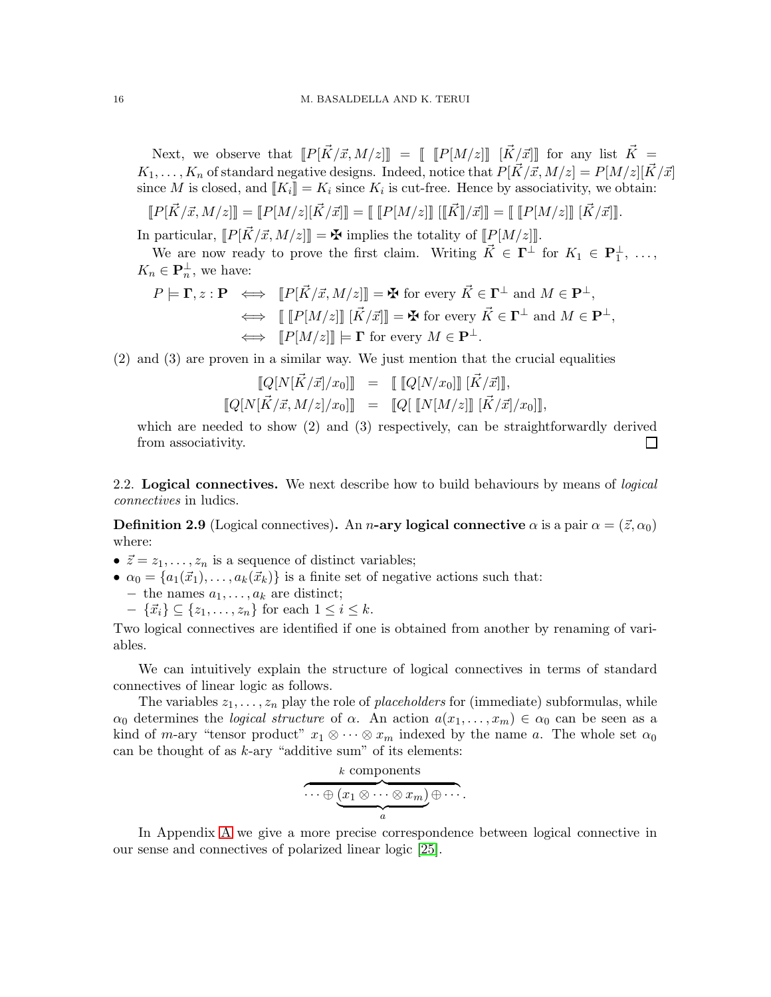Next, we observe that  $[ P[\vec{K}/\vec{x}, M/z] ] = [ P[M/z] ] [ \vec{K}/\vec{x} ]$  for any list  $\vec{K} =$  $K_1, \ldots, K_n$  of standard negative designs. Indeed, notice that  $P[\vec{K}/\vec{x}, M/z] = P[M/z][\vec{K}/\vec{x}]$ since M is closed, and  $[[K_i]] = K_i$  since  $K_i$  is cut-free. Hence by associativity, we obtain:

$$
[\![P[\vec{K}/\vec{x},M/z]\!]] = [\![P[M/z][\vec{K}/\vec{x}]\!]]=[\![\![P[M/z]\!]]\; [\![\vec{K}]\!]/\vec{x}]\!] = [\![\![P[M/z]\!]]\; [\vec{K}/\vec{x}]\!].
$$

In particular,  $[ P[\vec{K}/\vec{x}, M/z] ] = \mathbf{\ddot{F}}$  implies the totality of  $[ P[M/z] ]$ .

We are now ready to prove the first claim. Writing  $\vec{K} \in \Gamma^{\perp}$  for  $K_1 \in \mathbf{P}_1^{\perp}, \ldots,$  $K_n \in \mathbf{P}_n^{\perp}$ , we have:

$$
P \models \Gamma, z : \mathbf{P} \iff [P[\vec{K}/\vec{x}, M/z]] = \mathbf{\mathcal{F}} \text{ for every } \vec{K} \in \Gamma^{\perp} \text{ and } M \in \mathbf{P}^{\perp},
$$
  
\n
$$
\iff [[P[M/z]] \; [\vec{K}/\vec{x}]] = \mathbf{\mathcal{F}} \text{ for every } \vec{K} \in \Gamma^{\perp} \text{ and } M \in \mathbf{P}^{\perp},
$$
  
\n
$$
\iff [P[M/z]] \models \Gamma \text{ for every } M \in \mathbf{P}^{\perp}.
$$

(2) and (3) are proven in a similar way. We just mention that the crucial equalities

$$
[Q[N[\vec{K}/\vec{x}]/x_0]] = [[Q[N/x_0]] [\vec{K}/\vec{x}]],
$$
  

$$
[Q[N[\vec{K}/\vec{x}, M/z]/x_0]] = [Q[[N[M/z]] [\vec{K}/\vec{x}]/x_0]],
$$

which are needed to show (2) and (3) respectively, can be straightforwardly derived from associativity.  $\Box$ 

<span id="page-15-0"></span>2.2. Logical connectives. We next describe how to build behaviours by means of *logical connectives* in ludics.

<span id="page-15-1"></span>**Definition 2.9** (Logical connectives). An *n*-ary logical connective  $\alpha$  is a pair  $\alpha = (\vec{z}, \alpha_0)$ where:

- $\vec{z} = z_1, \ldots, z_n$  is a sequence of distinct variables;
- $\alpha_0 = \{a_1(\vec{x}_1), \ldots, a_k(\vec{x}_k)\}\$ is a finite set of negative actions such that:
- $-$  the names  $a_1, \ldots, a_k$  are distinct;
- $\{\vec{x}_i\} \subseteq \{z_1, \ldots, z_n\}$  for each  $1 \leq i \leq k$ .

Two logical connectives are identified if one is obtained from another by renaming of variables.

We can intuitively explain the structure of logical connectives in terms of standard connectives of linear logic as follows.

The variables  $z_1, \ldots, z_n$  play the role of *placeholders* for (immediate) subformulas, while  $\alpha_0$  determines the *logical structure* of  $\alpha$ . An action  $a(x_1, \ldots, x_m) \in \alpha_0$  can be seen as a kind of m-ary "tensor product"  $x_1 \otimes \cdots \otimes x_m$  indexed by the name a. The whole set  $\alpha_0$ can be thought of as  $k$ -ary "additive sum" of its elements:

$$
\overbrace{\cdots \oplus \underbrace{(x_1 \otimes \cdots \otimes x_m)}_a \oplus \cdots}^k
$$

In Appendix [A](#page-29-3) we give a more precise correspondence between logical connective in our sense and connectives of polarized linear logic [\[25\]](#page-28-8).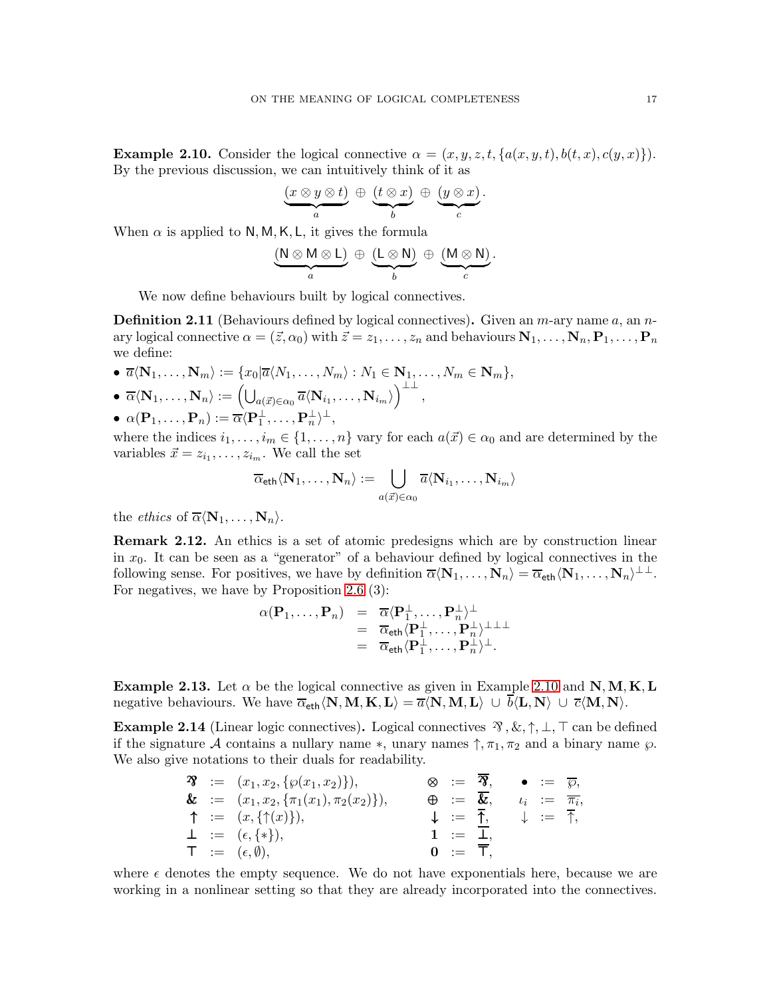<span id="page-16-0"></span>**Example 2.10.** Consider the logical connective  $\alpha = (x, y, z, t, \{a(x, y, t), b(t, x), c(y, x)\})$ . By the previous discussion, we can intuitively think of it as

$$
\underbrace{(x\otimes y\otimes t)}_a\oplus\underbrace{(t\otimes x)}_b\oplus\underbrace{(y\otimes x)}_c.
$$

When  $\alpha$  is applied to N, M, K, L, it gives the formula

$$
\underbrace{(N \otimes M \otimes L)}_{a} \oplus \underbrace{(L \otimes N)}_{b} \oplus \underbrace{(M \otimes N)}_{c}.
$$

We now define behaviours built by logical connectives.

**Definition 2.11** (Behaviours defined by logical connectives). Given an m-ary name  $a$ , an nary logical connective  $\alpha = (\vec{z}, \alpha_0)$  with  $\vec{z} = z_1, \dots, z_n$  and behaviours  $N_1, \dots, N_n, P_1, \dots, P_n$ we define:

- $\overline{a}\langle N_1, \ldots, N_m \rangle := \{x_0 | \overline{a}\langle N_1, \ldots, N_m \rangle : N_1 \in N_1, \ldots, N_m \in N_m \},$
- $\bullet \ \overline{\alpha}\langle \mathbf{N}_1, \ldots, \mathbf{N}_n \rangle := \left( \bigcup\nolimits_{a(\vec{x}) \in \alpha_0} \overline{a} \langle \mathbf{N}_{i_1}, \ldots, \mathbf{N}_{i_m} \rangle \right)^{\perp \perp},$ •  $\alpha(\mathbf{P}_1,\ldots,\mathbf{P}_n) := \overline{\alpha}\langle \mathbf{P}_1^{\perp},\ldots,\mathbf{P}_n^{\perp}\rangle^{\perp},$

where the indices  $i_1, \ldots, i_m \in \{1, \ldots, n\}$  vary for each  $a(\vec{x}) \in \alpha_0$  and are determined by the variables  $\vec{x} = z_{i_1}, \ldots, z_{i_m}$ . We call the set

$$
\overline{\alpha}_{\mathsf{eth}} \langle \mathbf{N}_1, \dots, \mathbf{N}_n \rangle := \bigcup_{a(\vec{x}) \in \alpha_0} \overline{a} \langle \mathbf{N}_{i_1}, \dots, \mathbf{N}_{i_m} \rangle
$$

the *ethics* of  $\overline{\alpha}\langle N_1, \ldots, N_n \rangle$ .

<span id="page-16-1"></span>Remark 2.12. An ethics is a set of atomic predesigns which are by construction linear in  $x_0$ . It can be seen as a "generator" of a behaviour defined by logical connectives in the following sense. For positives, we have by definition  $\overline{\alpha}\langle N_1,\ldots,N_n\rangle = \overline{\alpha}_{\text{eth}}\langle N_1,\ldots,N_n\rangle^{\perp\perp}$ . For negatives, we have by Proposition [2.6](#page-13-1) (3):

$$
\alpha(\mathbf{P}_1,\ldots,\mathbf{P}_n) = \overline{\alpha}\langle \mathbf{P}_1^{\perp},\ldots,\mathbf{P}_n^{\perp}\rangle^{\perp}
$$
  
=  $\overline{\alpha}_{\text{eth}}\langle \mathbf{P}_1^{\perp},\ldots,\mathbf{P}_n^{\perp}\rangle^{\perp\perp}$   
=  $\overline{\alpha}_{\text{eth}}\langle \mathbf{P}_1^{\perp},\ldots,\mathbf{P}_n^{\perp}\rangle^{\perp}.$ 

**Example 2.13.** Let  $\alpha$  be the logical connective as given in Example [2.10](#page-16-0) and N, M, K, L negative behaviours. We have  $\overline{\alpha}_{\text{eth}}(N, M, K, L) = \overline{\alpha}(N, M, L) \cup \overline{\beta}(L, N) \cup \overline{c}(M, N)$ .

<span id="page-16-2"></span>**Example 2.14** (Linear logic connectives). Logical connectives  $\mathcal{R}, \&, \uparrow, \perp, \top$  can be defined if the signature A contains a nullary name  $\ast$ , unary names  $\uparrow$ ,  $\pi_1$ ,  $\pi_2$  and a binary name  $\wp$ . We also give notations to their duals for readability.

|  | <b>3</b> := $(x_1, x_2, \{\wp(x_1, x_2)\}),$             |                | $\otimes$ := ?, $\bullet$ := $\overline{\varphi}$ , |                                           |  |
|--|----------------------------------------------------------|----------------|-----------------------------------------------------|-------------------------------------------|--|
|  | $\mathbf{\&} := (x_1, x_2, \{\pi_1(x_1), \pi_2(x_2)\}),$ | $\oplus$ := &, |                                                     | $\iota_i \quad := \quad \overline{\pi_i}$ |  |
|  | $\uparrow$ := $(x, \{\uparrow(x)\}),$                    |                | $\downarrow$ := 1, $\downarrow$ := 1,               |                                           |  |
|  | $\perp := (\epsilon, \{*\}),$                            | $1 := \perp$   |                                                     |                                           |  |
|  | $\mathsf{T} \;\; := \;\; (\epsilon, \emptyset),$         | $0 := T$ ,     |                                                     |                                           |  |

,

where  $\epsilon$  denotes the empty sequence. We do not have exponentials here, because we are working in a nonlinear setting so that they are already incorporated into the connectives.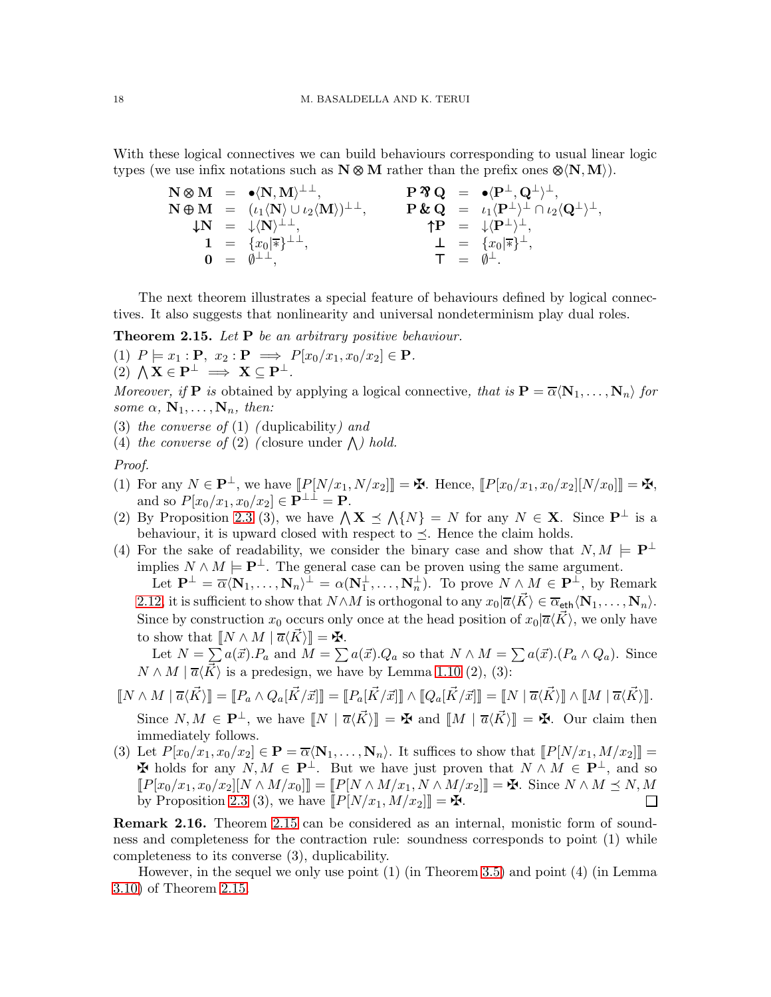With these logical connectives we can build behaviours corresponding to usual linear logic types (we use infix notations such as  $N \otimes M$  rather than the prefix ones  $\otimes \langle N, M \rangle$ ).

$$
\begin{array}{rcl}\n\mathbf{N} \otimes \mathbf{M} & = & \bullet \langle \mathbf{N}, \mathbf{M} \rangle^{\perp \perp}, \\
\mathbf{N} \oplus \mathbf{M} & = & (\iota_1 \langle \mathbf{N} \rangle \cup \iota_2 \langle \mathbf{M} \rangle)^{\perp \perp}, \\
\downarrow \mathbf{N} & = & \downarrow \langle \mathbf{N} \rangle^{\perp \perp}, \\
\downarrow \mathbf{N} & = & \downarrow \langle \mathbf{N} \rangle^{\perp \perp}, \\
\downarrow \mathbf{N} & = & \downarrow \langle \mathbf{N} \rangle^{\perp \perp}, \\
\downarrow \mathbf{N} & = & \downarrow \langle \mathbf{N} \rangle^{\perp \perp}, \\
\downarrow \mathbf{N} & = & \downarrow \langle \mathbf{N} \rangle^{\perp \perp}, \\
\downarrow \mathbf{N} & = & \downarrow \langle \mathbf{N} \rangle^{\perp \perp}, \\
\downarrow \mathbf{N} & = & \downarrow \langle \mathbf{N} \rangle^{\perp}, \\
\downarrow \mathbf{N} & = & \downarrow \langle \mathbf{N} \rangle^{\perp}, \\
\downarrow \mathbf{N} & = & \downarrow \langle \mathbf{N} \rangle^{\perp}, \\
\downarrow \mathbf{N} & = & \downarrow \langle \mathbf{N} \rangle^{\perp}, \\
\downarrow \mathbf{N} & = & \downarrow \langle \mathbf{N} \rangle^{\perp}, \\
\downarrow \mathbf{N} & = & \downarrow \langle \mathbf{N} \rangle^{\perp}, \\
\downarrow \mathbf{N} & = & \downarrow \langle \mathbf{N} \rangle^{\perp}, \\
\downarrow \mathbf{N} & = & \downarrow \langle \mathbf{N} \rangle^{\perp}, \\
\downarrow \mathbf{N} & = & \downarrow \langle \mathbf{N} \rangle^{\perp}, \\
\downarrow \mathbf{N} & = & \downarrow \langle \mathbf{N} \rangle^{\perp}, \\
\downarrow \mathbf{N} & = & \downarrow \langle \mathbf{N} \rangle^{\perp}, \\
\downarrow \mathbf{N} & = & \downarrow \langle \mathbf{N
$$

The next theorem illustrates a special feature of behaviours defined by logical connectives. It also suggests that nonlinearity and universal nondeterminism play dual roles.

<span id="page-17-0"></span>Theorem 2.15. *Let* P *be an arbitrary positive behaviour.*

(1)  $P \models x_1 : \mathbf{P}, x_2 : \mathbf{P} \implies P[x_0/x_1, x_0/x_2] \in \mathbf{P}.$  $(2)$   $\Lambda$  **X**  $\in$  **P**<sup> $\perp$ </sup>  $\implies$  **X**  $\subseteq$  **P**<sup> $\perp$ </sup>.

*Moreover, if* **P** *is* obtained by applying a logical connective, that is  $\mathbf{P} = \overline{\alpha} \langle \mathbf{N}_1, \ldots, \mathbf{N}_n \rangle$  for *some*  $\alpha$ ,  $N_1, \ldots, N_n$ *, then:* 

- (3) *the converse of* (1) *(* duplicability*) and*
- (4) *the converse of* (2) (closure under  $\bigwedge$ ) *hold.*

## *Proof.*

- (1) For any  $N \in \mathbf{P}^{\perp}$ , we have  $[[P[N/x_1, N/x_2]]] = \mathbf{E}$ . Hence,  $[[P[x_0/x_1, x_0/x_2][N/x_0]]] = \mathbf{E}$ , and so  $P[x_0/x_1, x_0/x_2] \in \mathbf{P}^{\perp \perp} = \mathbf{P}$ .
- (2) By Proposition [2.3](#page-12-3) (3), we have  $\Lambda \mathbf{X} \preceq \Lambda \{N\} = N$  for any  $N \in \mathbf{X}$ . Since  $\mathbf{P}^{\perp}$  is a behaviour, it is upward closed with respect to  $\preceq$ . Hence the claim holds.
- (4) For the sake of readability, we consider the binary case and show that  $N, M \models \mathbf{P}^{\perp}$ implies  $N \wedge M \models \mathbf{P}^{\perp}$ . The general case can be proven using the same argument.

Let  $\mathbf{P}^{\perp} = \overline{\alpha} \langle \mathbf{N}_1, \ldots, \mathbf{N}_n \rangle^{\perp} = \alpha(\mathbf{N}_1^{\perp}, \ldots, \mathbf{N}_n^{\perp}).$  To prove  $N \wedge M \in \mathbf{P}^{\perp}$ , by Remark [2.12,](#page-16-1) it is sufficient to show that  $N \wedge M$  is orthogonal to any  $x_0|\overline{a}\langle\overline{K}\rangle \in \overline{\alpha}_{\text{eth}}\langle N_1, \ldots, N_n\rangle$ . Since by construction  $x_0$  occurs only once at the head position of  $x_0|\overline{a}(\overrightarrow{K})$ , we only have to show that  $\llbracket N \wedge M \mid \overline{a} \langle \vec{K} \rangle \rrbracket = \maltese.$ 

Let  $N = \sum a(\vec{x}).P_a$  and  $M = \sum a(\vec{x}).Q_a$  so that  $N \wedge M = \sum a(\vec{x}).(P_a \wedge Q_a)$ . Since  $N \wedge M \mid \overline{a} \langle \vec{K} \rangle$  is a predesign, we have by Lemma [1.10](#page-7-1) (2), (3):

$$
\llbracket N \wedge M \mid \overline{a} \langle \vec{K} \rangle \rrbracket = \llbracket P_a \wedge Q_a[\vec{K}/\vec{x}] \rrbracket = \llbracket P_a[\vec{K}/\vec{x}] \rrbracket \wedge \llbracket Q_a[\vec{K}/\vec{x}] \rrbracket = \llbracket N \mid \overline{a} \langle \vec{K} \rangle \rrbracket \wedge \llbracket M \mid \overline{a} \langle \vec{K} \rangle \rrbracket.
$$
 Since  $N, M \in \mathbf{P}^{\perp}$ , we have  $\llbracket N \mid \overline{a} \langle \vec{K} \rangle \rrbracket = \mathbf{\Psi}$  and  $\llbracket M \mid \overline{a} \langle \vec{K} \rangle \rrbracket = \mathbf{\Psi}$ . Our claim then immediately follows.

(3) Let  $P[x_0/x_1, x_0/x_2] \in \mathbf{P} = \overline{\alpha} \langle \mathbf{N}_1, \ldots, \mathbf{N}_n \rangle$ . It suffices to show that  $\|P[N/x_1, M/x_2]\| =$  $\mathbf{\Phi}$  holds for any  $N, M \in \mathbf{P}^{\perp}$ . But we have just proven that  $N \wedge M \in \mathbf{P}^{\perp}$ , and so  $\|P[x_0/x_1, x_0/x_2]|N \wedge M/x_0|\| = \|P[N \wedge M/x_1, N \wedge M/x_2|\] = \mathbf{F}$ . Since  $N \wedge M \preceq N, M$ by Proposition [2.3](#page-12-3) (3), we have  $[ P[N/x_1, M/x_2] ] = \mathbf{\mathcal{F}}$ .  $\Box$ 

Remark 2.16. Theorem [2.15](#page-17-0) can be considered as an internal, monistic form of soundness and completeness for the contraction rule: soundness corresponds to point (1) while completeness to its converse (3), duplicability.

However, in the sequel we only use point (1) (in Theorem [3.5\)](#page-22-0) and point (4) (in Lemma [3.10\)](#page-25-0) of Theorem [2.15.](#page-17-0)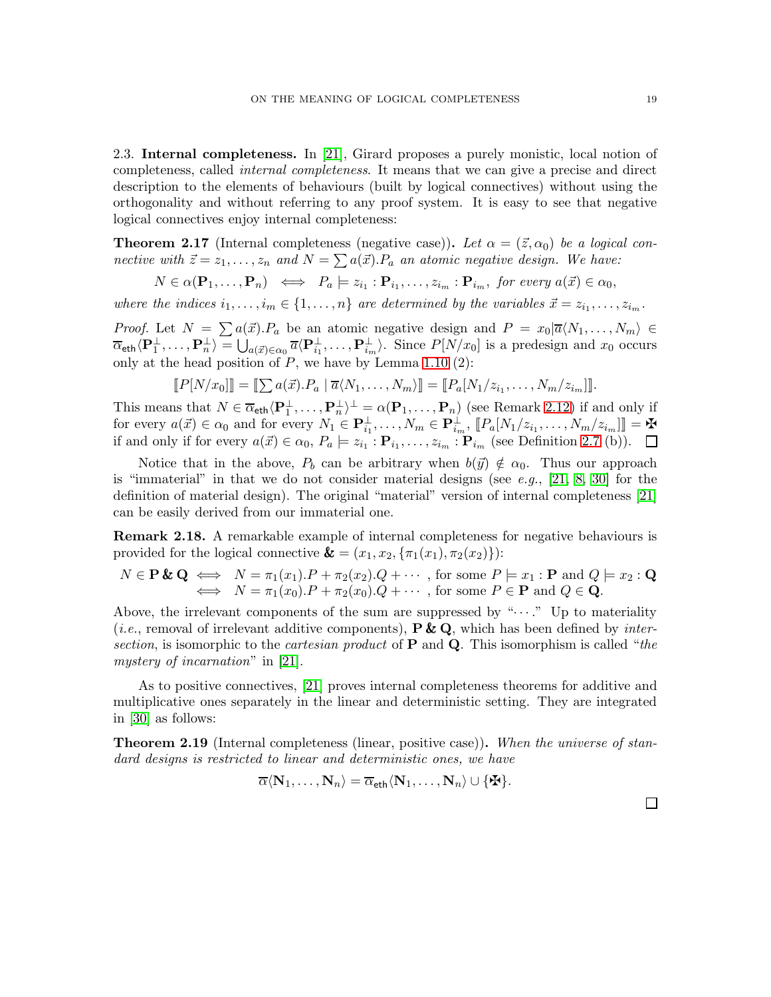<span id="page-18-0"></span>2.3. Internal completeness. In [\[21\]](#page-28-2), Girard proposes a purely monistic, local notion of completeness, called *internal completeness*. It means that we can give a precise and direct description to the elements of behaviours (built by logical connectives) without using the orthogonality and without referring to any proof system. It is easy to see that negative logical connectives enjoy internal completeness:

<span id="page-18-1"></span>**Theorem 2.17** (Internal completeness (negative case)). Let  $\alpha = (\vec{z}, \alpha_0)$  be a logical con*nective with*  $\vec{z} = z_1, \ldots, z_n$  *and*  $N = \sum a(\vec{x}) \cdot P_a$  *an atomic negative design. We have:* 

$$
N \in \alpha(\mathbf{P}_1, \dots, \mathbf{P}_n) \iff P_a \models z_{i_1} : \mathbf{P}_{i_1}, \dots, z_{i_m} : \mathbf{P}_{i_m}, \text{ for every } a(\vec{x}) \in \alpha_0,
$$

*where the indices*  $i_1, \ldots, i_m \in \{1, \ldots, n\}$  *are determined by the variables*  $\vec{x} = z_{i_1}, \ldots, z_{i_m}$ .

*Proof.* Let  $N = \sum a(\vec{x}) P_a$  be an atomic negative design and  $P = x_0 | \overline{a} \langle N_1, \ldots, N_m \rangle \in$  $\overline{\alpha}_{\text{eth}}\langle \mathbf{P}_1^{\perp},\ldots,\mathbf{P}_n^{\perp}\rangle = \bigcup_{a(\vec{x})\in\alpha_0} \overline{a}\langle \mathbf{P}_{i_1}^{\perp},\ldots,\mathbf{P}_{i_m}^{\perp}\rangle$ . Since  $P[N/x_0]$  is a predesign and  $x_0$  occurs only at the head position of  $P$ , we have by Lemma [1.10](#page-7-1) (2):

$$
[\![P[N/x_0]\!]]=[\![\sum a(\vec{x}).P_a\mid \overline{a}\langle N_1,\ldots,N_m\rangle]\!]=[\![P_a[N_1/z_{i_1},\ldots,N_m/z_{i_m}]\!]].
$$

This means that  $N \in \overline{\alpha}_{\text{eth}} \langle \mathbf{P}_1^{\perp}, \ldots, \mathbf{P}_n^{\perp} \rangle^{\perp} = \alpha(\mathbf{P}_1, \ldots, \mathbf{P}_n)$  (see Remark [2.12\)](#page-16-1) if and only if for every  $a(\vec{x}) \in \alpha_0$  and for every  $N_1 \in \mathbf{P}_{i_1}^{\perp}, \ldots, N_m \in \mathbf{P}_{i_m}^{\perp}, \; [P_a[N_1/z_{i_1}, \ldots, N_m/z_{i_m}]] = \mathbf{F}$ if and only if for every  $a(\vec{x}) \in \alpha_0$ ,  $P_a \models z_{i_1} : \mathbf{P}_{i_1}, \dots, z_{i_m} : \mathbf{P}_{i_m}$  (see Definition [2.7](#page-14-0) (b)).

Notice that in the above,  $P_b$  can be arbitrary when  $b(\vec{y}) \notin \alpha_0$ . Thus our approach is "immaterial" in that we do not consider material designs (see *e.g.*, [\[21,](#page-28-2) [8,](#page-28-4) [30\]](#page-29-0) for the definition of material design). The original "material" version of internal completeness [\[21\]](#page-28-2) can be easily derived from our immaterial one.

Remark 2.18. A remarkable example of internal completeness for negative behaviours is provided for the logical connective  $\mathbf{\&} = (x_1, x_2, \{\pi_1(x_1), \pi_2(x_2)\})$ :

$$
N \in \mathbf{P} \& \mathbf{Q} \iff N = \pi_1(x_1).P + \pi_2(x_2).Q + \cdots, \text{ for some } P \models x_1 : \mathbf{P} \text{ and } Q \models x_2 : \mathbf{Q} \iff N = \pi_1(x_0).P + \pi_2(x_0).Q + \cdots, \text{ for some } P \in \mathbf{P} \text{ and } Q \in \mathbf{Q}.
$$

Above, the irrelevant components of the sum are suppressed by " $\cdots$ ." Up to materiality (*i.e.*, removal of irrelevant additive components), P & Q, which has been defined by *intersection*, is isomorphic to the *cartesian product* of P and Q. This isomorphism is called "*the mystery of incarnation*" in [\[21\]](#page-28-2).

As to positive connectives, [\[21\]](#page-28-2) proves internal completeness theorems for additive and multiplicative ones separately in the linear and deterministic setting. They are integrated in [\[30\]](#page-29-0) as follows:

Theorem 2.19 (Internal completeness (linear, positive case)). *When the universe of standard designs is restricted to linear and deterministic ones, we have*

$$
\overline{\alpha}\langle \mathbf{N}_1,\ldots,\mathbf{N}_n\rangle=\overline{\alpha}_{\mathsf{eth}}\langle \mathbf{N}_1,\ldots,\mathbf{N}_n\rangle\cup\{\maltese\}.
$$

 $\Box$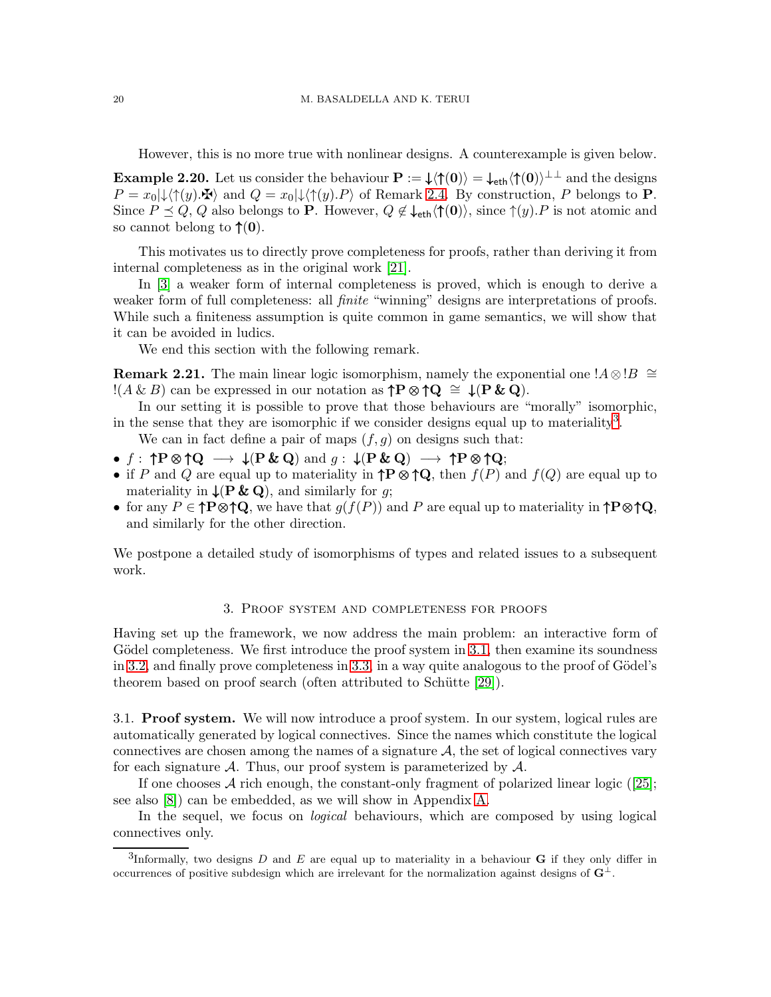However, this is no more true with nonlinear designs. A counterexample is given below.

**Example 2.20.** Let us consider the behaviour  $P := \downarrow \langle \uparrow(0) \rangle = \downarrow_{\text{eth}} \langle \uparrow(0) \rangle^{\perp \perp}$  and the designs  $P = x_0 \cup \langle \uparrow(y) . \mathbf{F} \rangle$  and  $Q = x_0 \cup \langle \uparrow(y) . P \rangle$  of Remark [2.4.](#page-13-2) By construction, P belongs to **P**. Since  $P \preceq Q$ , Q also belongs to **P**. However,  $Q \notin \downarrow_{\text{eth}} \langle \uparrow(0) \rangle$ , since  $\uparrow(y)$ . P is not atomic and so cannot belong to  $\uparrow(0)$ .

This motivates us to directly prove completeness for proofs, rather than deriving it from internal completeness as in the original work [\[21\]](#page-28-2).

In [\[3\]](#page-28-0) a weaker form of internal completeness is proved, which is enough to derive a weaker form of full completeness: all *finite* "winning" designs are interpretations of proofs. While such a finiteness assumption is quite common in game semantics, we will show that it can be avoided in ludics.

We end this section with the following remark.

**Remark 2.21.** The main linear logic isomorphism, namely the exponential one ! $A \otimes B \cong$  $!(A \& B)$  can be expressed in our notation as  $\uparrow \mathbf{P} \otimes \uparrow \mathbf{Q} \cong \downarrow (\mathbf{P} \& \mathbf{Q}).$ 

In our setting it is possible to prove that those behaviours are "morally" isomorphic, in the sense that they are isomorphic if we consider designs equal up to materiality<sup>[3](#page-19-1)</sup>.

We can in fact define a pair of maps  $(f, g)$  on designs such that:

- $f: \uparrow P \otimes \uparrow Q \longrightarrow \downarrow (P \& Q)$  and  $g: \downarrow (P \& Q) \longrightarrow \uparrow P \otimes \uparrow Q;$
- if P and Q are equal up to materiality in  $\uparrow P \otimes \uparrow Q$ , then  $f(P)$  and  $f(Q)$  are equal up to materiality in  $\mathcal{L}(\mathbf{P} \& \mathbf{Q})$ , and similarly for g;
- for any  $P \in \mathbf{P} \otimes \mathbf{P} Q$ , we have that  $g(f(P))$  and P are equal up to materiality in  $\mathbf{P} \otimes \mathbf{P} Q$ , and similarly for the other direction.

<span id="page-19-0"></span>We postpone a detailed study of isomorphisms of types and related issues to a subsequent work.

### 3. Proof system and completeness for proofs

Having set up the framework, we now address the main problem: an interactive form of Gödel completeness. We first introduce the proof system in [3.1,](#page-19-2) then examine its soundness in [3.2,](#page-22-1) and finally prove completeness in [3.3,](#page-23-0) in a way quite analogous to the proof of Gödel's theorem based on proof search (often attributed to Schütte [\[29\]](#page-29-1)).

<span id="page-19-2"></span>3.1. Proof system. We will now introduce a proof system. In our system, logical rules are automatically generated by logical connectives. Since the names which constitute the logical connectives are chosen among the names of a signature  $A$ , the set of logical connectives vary for each signature A. Thus, our proof system is parameterized by  $\mathcal{A}$ .

Ifone chooses  $\mathcal A$  rich enough, the constant-only fragment of polarized linear logic ([\[25\]](#page-28-8); see also [\[8\]](#page-28-4)) can be embedded, as we will show in Appendix [A.](#page-29-3)

In the sequel, we focus on *logical* behaviours, which are composed by using logical connectives only.

<span id="page-19-1"></span><sup>&</sup>lt;sup>3</sup>Informally, two designs D and E are equal up to materiality in a behaviour **G** if they only differ in occurrences of positive subdesign which are irrelevant for the normalization against designs of  $\mathbf{G}^{\perp}$ .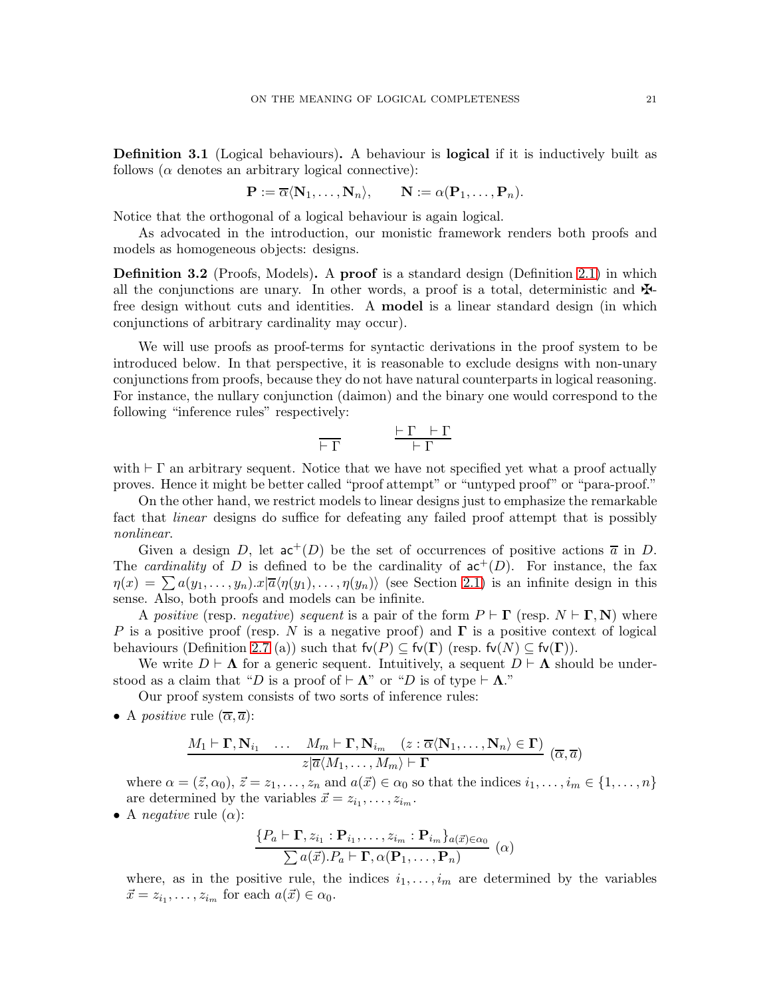**Definition 3.1** (Logical behaviours). A behaviour is **logical** if it is inductively built as follows ( $\alpha$  denotes an arbitrary logical connective):

$$
\mathbf{P} := \overline{\alpha} \langle \mathbf{N}_1, \dots, \mathbf{N}_n \rangle, \qquad \mathbf{N} := \alpha(\mathbf{P}_1, \dots, \mathbf{P}_n).
$$

Notice that the orthogonal of a logical behaviour is again logical.

As advocated in the introduction, our monistic framework renders both proofs and models as homogeneous objects: designs.

<span id="page-20-0"></span>**Definition 3.2** (Proofs, Models). A proof is a standard design (Definition [2.1\)](#page-12-4) in which all the conjunctions are unary. In other words, a proof is a total, deterministic and  $\mathbf{\mathcal{F}}$ free design without cuts and identities. A **model** is a linear standard design (in which conjunctions of arbitrary cardinality may occur).

We will use proofs as proof-terms for syntactic derivations in the proof system to be introduced below. In that perspective, it is reasonable to exclude designs with non-unary conjunctions from proofs, because they do not have natural counterparts in logical reasoning. For instance, the nullary conjunction (daimon) and the binary one would correspond to the following "inference rules" respectively:

$$
\frac{\vdash \Gamma \qquad \vdash \Gamma}{\vdash \Gamma}
$$

with  $\vdash \Gamma$  an arbitrary sequent. Notice that we have not specified yet what a proof actually proves. Hence it might be better called "proof attempt" or "untyped proof" or "para-proof."

On the other hand, we restrict models to linear designs just to emphasize the remarkable fact that *linear* designs do suffice for defeating any failed proof attempt that is possibly *nonlinear*.

Given a design D, let  $\text{ac}^{+}(D)$  be the set of occurrences of positive actions  $\overline{a}$  in D. The *cardinality* of D is defined to be the cardinality of  $ac^+(D)$ . For instance, the fax  $\eta(x) = \sum a(y_1, \ldots, y_n) \cdot x | \overline{a} \langle \eta(y_1), \ldots, \eta(y_n) \rangle$  (see Section [2.1\)](#page-12-1) is an infinite design in this sense. Also, both proofs and models can be infinite.

A *positive* (resp. *negative*) *sequent* is a pair of the form  $P \vdash \Gamma$  (resp.  $N \vdash \Gamma, N$ ) where P is a positive proof (resp. N is a negative proof) and  $\Gamma$  is a positive context of logical behaviours (Definition [2.7](#page-14-0) (a)) such that  $f\nu(P) \subseteq f\nu(\Gamma)$  (resp.  $f\nu(N) \subseteq f\nu(\Gamma)$ ).

We write  $D \vdash \Lambda$  for a generic sequent. Intuitively, a sequent  $D \vdash \Lambda$  should be understood as a claim that "D is a proof of  $\vdash \Lambda$ " or "D is of type  $\vdash \Lambda$ ."

Our proof system consists of two sorts of inference rules:

• A *positive* rule  $(\overline{\alpha}, \overline{\alpha})$ :

$$
\frac{M_1 \vdash \Gamma, \mathbf{N}_{i_1} \quad \dots \quad M_m \vdash \Gamma, \mathbf{N}_{i_m} \quad (z : \overline{\alpha} \langle \mathbf{N}_1, \dots, \mathbf{N}_n \rangle \in \Gamma)}{z | \overline{\alpha} \langle M_1, \dots, M_m \rangle \vdash \Gamma} \; (\overline{\alpha}, \overline{a})
$$

where  $\alpha = (\vec{z}, \alpha_0), \vec{z} = z_1, \dots, z_n$  and  $a(\vec{x}) \in \alpha_0$  so that the indices  $i_1, \dots, i_m \in \{1, \dots, n\}$ are determined by the variables  $\vec{x} = z_{i_1}, \ldots, z_{i_m}$ .

• A *negative* rule  $(\alpha)$ :

$$
\frac{\{P_a \vdash \Gamma, z_{i_1} : \mathbf{P}_{i_1}, \dots, z_{i_m} : \mathbf{P}_{i_m}\}_{a(\vec{x}) \in \alpha_0}}{\sum a(\vec{x}).P_a \vdash \Gamma, \alpha(\mathbf{P}_1, \dots, \mathbf{P}_n)} \quad (\alpha)
$$

where, as in the positive rule, the indices  $i_1, \ldots, i_m$  are determined by the variables  $\vec{x} = z_{i_1}, \dots, z_{i_m}$  for each  $a(\vec{x}) \in \alpha_0$ .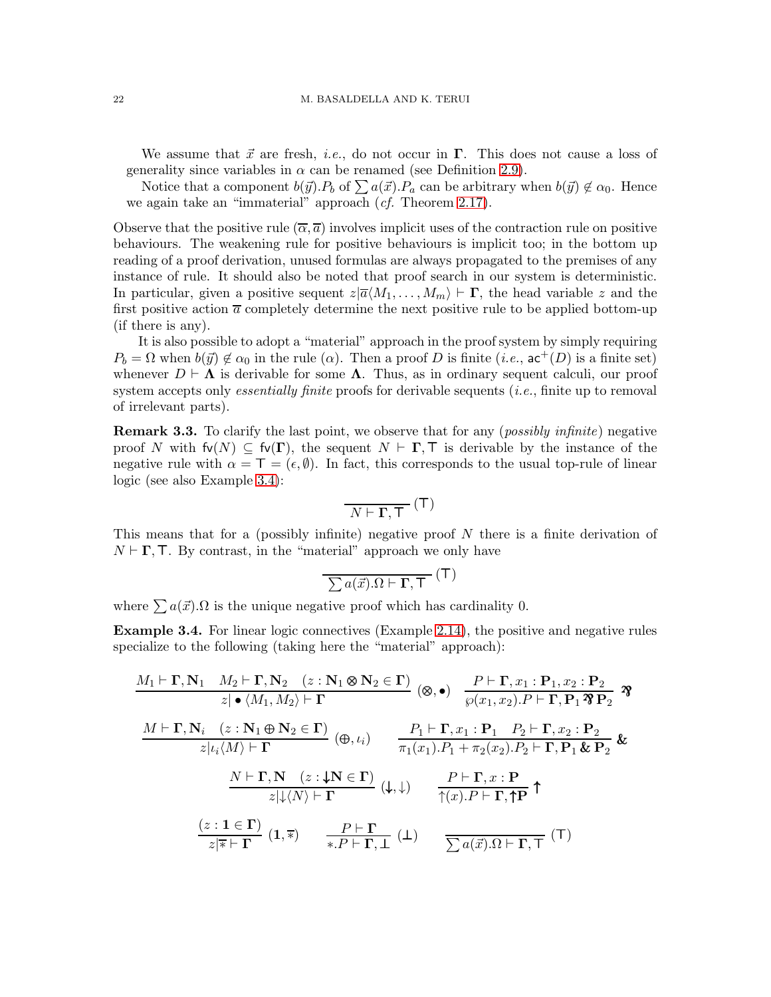We assume that  $\vec{x}$  are fresh, *i.e.*, do not occur in  $\Gamma$ . This does not cause a loss of generality since variables in  $\alpha$  can be renamed (see Definition [2.9\)](#page-15-1).

Notice that a component  $b(\vec{y})$ . $P_b$  of  $\sum a(\vec{x})$ . $P_a$  can be arbitrary when  $b(\vec{y}) \notin \alpha_0$ . Hence we again take an "immaterial" approach (*cf.* Theorem [2.17\)](#page-18-1).

Observe that the positive rule  $(\overline{\alpha}, \overline{a})$  involves implicit uses of the contraction rule on positive behaviours. The weakening rule for positive behaviours is implicit too; in the bottom up reading of a proof derivation, unused formulas are always propagated to the premises of any instance of rule. It should also be noted that proof search in our system is deterministic. In particular, given a positive sequent  $z|\overline{a}(M_1, \ldots, M_m) \vdash \Gamma$ , the head variable z and the first positive action  $\bar{a}$  completely determine the next positive rule to be applied bottom-up (if there is any).

It is also possible to adopt a "material" approach in the proof system by simply requiring  $P_b = \Omega$  when  $b(\vec{y}) \notin \alpha_0$  in the rule ( $\alpha$ ). Then a proof D is finite (*i.e.*, ac<sup>+</sup>(D) is a finite set) whenever  $D \vdash \Lambda$  is derivable for some  $\Lambda$ . Thus, as in ordinary sequent calculi, our proof system accepts only *essentially finite* proofs for derivable sequents (*i.e.*, finite up to removal of irrelevant parts).

Remark 3.3. To clarify the last point, we observe that for any (*possibly infinite*) negative proof N with  $f(v(N)) \subseteq f(v(\Gamma))$ , the sequent  $N \vdash \Gamma, \top$  is derivable by the instance of the negative rule with  $\alpha = \mathsf{T} = (\epsilon, \emptyset)$ . In fact, this corresponds to the usual top-rule of linear logic (see also Example [3.4\)](#page-21-0):

$$
\overline{N \vdash \Gamma, \mathsf{T}}^{\mathsf{(T)}}
$$

This means that for a (possibly infinite) negative proof  $N$  there is a finite derivation of  $N \vdash \Gamma, \top$ . By contrast, in the "material" approach we only have

$$
\overline{\sum a(\vec{x}).\Omega \vdash \Gamma,\top} \, (\top)
$$

where  $\sum a(\vec{x})\cdot\Omega$  is the unique negative proof which has cardinality 0.

<span id="page-21-0"></span>Example 3.4. For linear logic connectives (Example [2.14\)](#page-16-2), the positive and negative rules specialize to the following (taking here the "material" approach):

$$
\frac{M_{1} \vdash \Gamma, N_{1} \quad M_{2} \vdash \Gamma, N_{2} \quad (z : N_{1} \otimes N_{2} \in \Gamma)}{z \mid \bullet \langle M_{1}, M_{2} \rangle \vdash \Gamma} (\otimes, \bullet) \quad \frac{P \vdash \Gamma, x_{1} : P_{1}, x_{2} : P_{2}}{\wp(x_{1}, x_{2}).P \vdash \Gamma, P_{1} \mathfrak{B} P_{2}} \mathfrak{B}
$$
\n
$$
\frac{M \vdash \Gamma, N_{i} \quad (z : N_{1} \oplus N_{2} \in \Gamma)}{z \mid \iota_{i} \langle M \rangle \vdash \Gamma} (\oplus, \iota_{i}) \qquad \frac{P_{1} \vdash \Gamma, x_{1} : P_{1} \quad P_{2} \vdash \Gamma, x_{2} : P_{2}}{\pi_{1}(x_{1}).P_{1} + \pi_{2}(x_{2}).P_{2} \vdash \Gamma, P_{1} \& P_{2}} \& \frac{N \vdash \Gamma, N \quad (z : \downarrow N \in \Gamma)}{z \mid \downarrow \langle N \rangle \vdash \Gamma} (\downarrow, \downarrow) \qquad \frac{P \vdash \Gamma, x : P}{\uparrow (x).P \vdash \Gamma, \uparrow P} \uparrow}
$$
\n
$$
\frac{(z : 1 \in \Gamma)}{z \mid \overline{*} \vdash \Gamma} (1, \overline{*}) \qquad \frac{P \vdash \Gamma}{* \neg P \vdash \Gamma, \perp} (\perp) \qquad \frac{P \vdash \Gamma}{\sum a(\vec{x}).\Omega \vdash \Gamma, \top} (\top)}
$$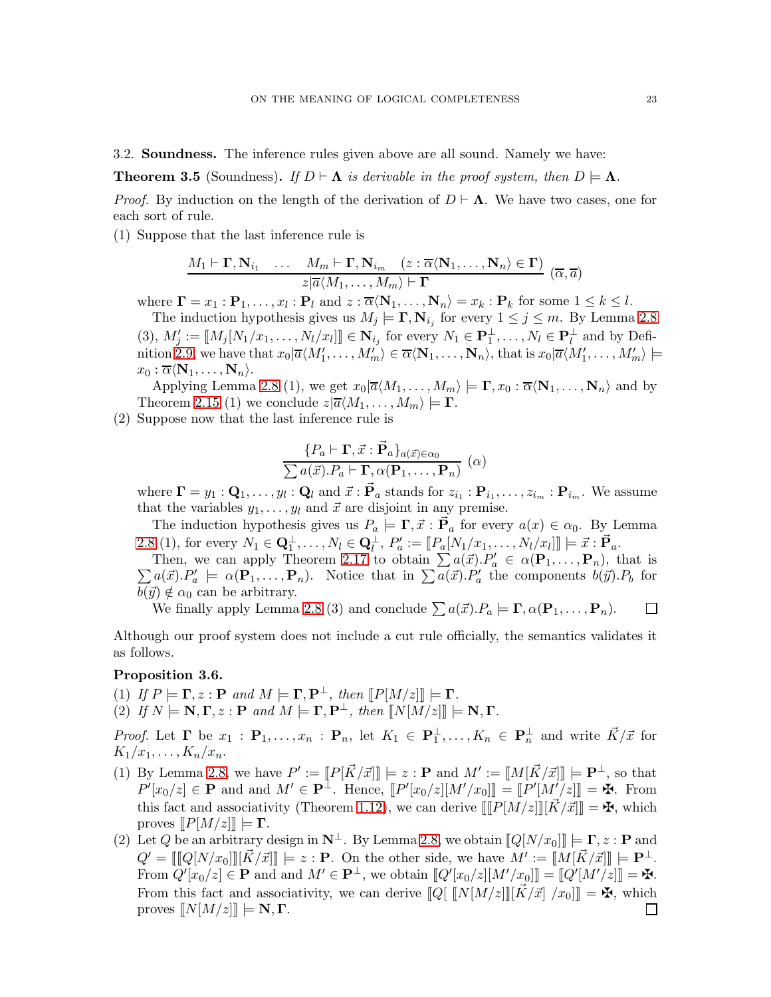<span id="page-22-1"></span>3.2. Soundness. The inference rules given above are all sound. Namely we have:

<span id="page-22-0"></span>**Theorem 3.5** (Soundness). *If*  $D \vdash \Lambda$  *is derivable in the proof system, then*  $D \models \Lambda$ *.* 

*Proof.* By induction on the length of the derivation of  $D \vdash \Lambda$ . We have two cases, one for each sort of rule.

(1) Suppose that the last inference rule is

$$
\frac{M_1 \vdash \Gamma, \mathbf{N}_{i_1} \quad \dots \quad M_m \vdash \Gamma, \mathbf{N}_{i_m} \quad (z : \overline{\alpha} \langle \mathbf{N}_1, \dots, \mathbf{N}_n \rangle \in \Gamma)}{z | \overline{\alpha} \langle M_1, \dots, M_m \rangle \vdash \Gamma} \quad (\overline{\alpha}, \overline{a})
$$

where  $\mathbf{\Gamma} = x_1 : \mathbf{P}_1, \dots, x_l : \mathbf{P}_l$  and  $z : \overline{\alpha} \langle \mathbf{N}_1, \dots, \mathbf{N}_n \rangle = x_k : \mathbf{P}_k$  for some  $1 \leq k \leq l$ .

The induction hypothesis gives us  $M_j \models \Gamma, N_{i_j}$  for every  $1 \leq j \leq m$ . By Lemma [2.8](#page-14-1) (3),  $M'_j := [M_j[N_1/x_1,\ldots,N_l/x_l]] \in \mathbf{N}_{i_j}$  for every  $N_1 \in \mathbf{P}_1^{\perp},\ldots,N_l \in \mathbf{P}_l^{\perp}$  and by Defi-nition [2.9,](#page-15-1) we have that  $x_0|\overline{a}\langle M'_1,\ldots,M'_m\rangle\in \overline{\alpha}\langle N_1,\ldots,N_n\rangle$ , that is  $x_0|\overline{a}\langle M'_1,\ldots,M'_m\rangle\models$  $x_0 : \overline{\alpha} \langle \mathbf{N}_1, \ldots, \mathbf{N}_n \rangle$ .

Applying Lemma [2.8](#page-14-1) (1), we get  $x_0|\overline{a}\langle M_1,\ldots,M_m\rangle\models \Gamma, x_0:\overline{\alpha}\langle N_1,\ldots,N_n\rangle$  and by Theorem [2.15](#page-17-0) (1) we conclude  $z\vert \overline{a}\langle M_1, \ldots, M_m \rangle \models \Gamma$ .

(2) Suppose now that the last inference rule is

$$
\frac{\{P_a \vdash \Gamma, \vec{x} : \vec{P}_a\}_{a(\vec{x}) \in \alpha_0}}{\sum a(\vec{x}).P_a \vdash \Gamma, \alpha(\mathbf{P}_1, \dots, \mathbf{P}_n)} \quad (\alpha)
$$

where  $\mathbf{\Gamma} = y_1 : \mathbf{Q}_1, \dots, y_l : \mathbf{Q}_l$  and  $\vec{x} : \vec{P}_a$  stands for  $z_{i_1} : \mathbf{P}_{i_1}, \dots, z_{i_m} : \mathbf{P}_{i_m}$ . We assume that the variables  $y_1, \ldots, y_l$  and  $\vec{x}$  are disjoint in any premise.

The induction hypothesis gives us  $P_a \models \Gamma, \vec{x} : \vec{P}_a$  for every  $a(x) \in \alpha_0$ . By Lemma [2.8](#page-14-1) (1), for every  $N_1 \in \mathbf{Q}_1^{\perp}, \ldots, N_l \in \mathbf{Q}_l^{\perp}, P'_a := [\![P_a[N_1/x_1, \ldots, N_l/x_l]\!] \models \vec{x} : \vec{\mathbf{P}}_a$ .

Then, we can apply Theorem [2.17](#page-18-1) to obtain  $\sum a(\vec{x}) \cdot P'_a \in \alpha(\mathbf{P}_1, \ldots, \mathbf{P}_n)$ , that is  $\sum a(\vec{x}) \cdot P'_a \models \alpha(\mathbf{P}_1, \ldots, \mathbf{P}_n)$ . Notice that in  $\sum a(\vec{x}) \cdot P'_a$  the components  $b(\vec{y}) \cdot P_b$  for  $a(\vec{x}).P'_a \models \alpha(\mathbf{P}_1,\ldots,\mathbf{P}_n)$ . Notice that in  $\sum a(\vec{x}).P'_a$  the components  $b(\vec{y}).P_b$  for  $b(\vec{y}) \notin \alpha_0$  can be arbitrary.

We finally apply Lemma [2.8](#page-14-1) (3) and conclude  $\sum a(\vec{x}).P_a \models \Gamma, \alpha(\mathbf{P}_1, \ldots, \mathbf{P}_n)$ .  $\Box$ 

Although our proof system does not include a cut rule officially, the semantics validates it as follows.

#### Proposition 3.6.

- (1) *If*  $P \models \Gamma, z : P$  *and*  $M \models \Gamma, P^{\perp}$ *, then*  $[ P[M/z] ] \models \Gamma$ *.*
- (2) *If*  $N \models \mathbf{N}, \mathbf{\Gamma}, z : \mathbf{P}$  *and*  $M \models \mathbf{\Gamma}, \mathbf{P}^{\perp}$ , *then*  $\llbracket N \rfloor M/z \rrbracket \models \mathbf{N}, \mathbf{\Gamma}$ .

*Proof.* Let  $\Gamma$  be  $x_1 : \mathbf{P}_1, \ldots, x_n : \mathbf{P}_n$ , let  $K_1 \in \mathbf{P}_1^{\perp}, \ldots, K_n \in \mathbf{P}_n^{\perp}$  and write  $\vec{K}/\vec{x}$  for  $K_1/x_1, \ldots, K_n/x_n$ .

- (1) By Lemma [2.8,](#page-14-1) we have  $P' := [P[\vec{K}/\vec{x}]] \models z : \mathbf{P}$  and  $M' := [M[\vec{K}/\vec{x}]] \models \mathbf{P}^{\perp}$ , so that  $P'[x_0/z] \in \mathbf{P}$  and and  $M' \in \mathbf{P}^{\perp}$ . Hence,  $[[P'[x_0/z][M'/x_0]] = [[P'[M'/z]]] = \mathbf{F}$ . From this fact and associativity (Theorem [1.12\)](#page-8-0), we can derive  $\llbracket \llbracket P[M/z] \rrbracket [\vec{K}/\vec{x}] \rrbracket = \mathbf{\nabla}$ , which proves  $[P[M/z]] \models \Gamma$ .
- (2) Let Q be an arbitrary design in  $\mathbb{N}^{\perp}$ . By Lemma [2.8,](#page-14-1) we obtain  $\llbracket Q[N/x_0] \rrbracket \models \Gamma, z : \mathbb{P}$  and  $Q' = [[[Q[N/x_0]]][\vec{K}/\vec{x}]] \models z : \mathbf{P}$ . On the other side, we have  $M' := [M[\vec{K}/\vec{x}]] \models \mathbf{P}^{\perp}$ . From  $Q'[x_0/z] \in \mathbf{P}$  and and  $M' \in \mathbf{P}^{\perp}$ , we obtain  $[[Q'[x_0/z][M'/x_0]] = [[Q'[M'/z]]] = \mathbf{F}$ . From this fact and associativity, we can derive  $\|Q\| \|N[M/z]\| \|\vec{K}/\vec{x}\| /x_0\| = \mathbf{\mathcal{F}},$  which proves  $\llbracket N[M/z] \rrbracket \models \mathbf{N}, \mathbf{\Gamma}.$  $\perp$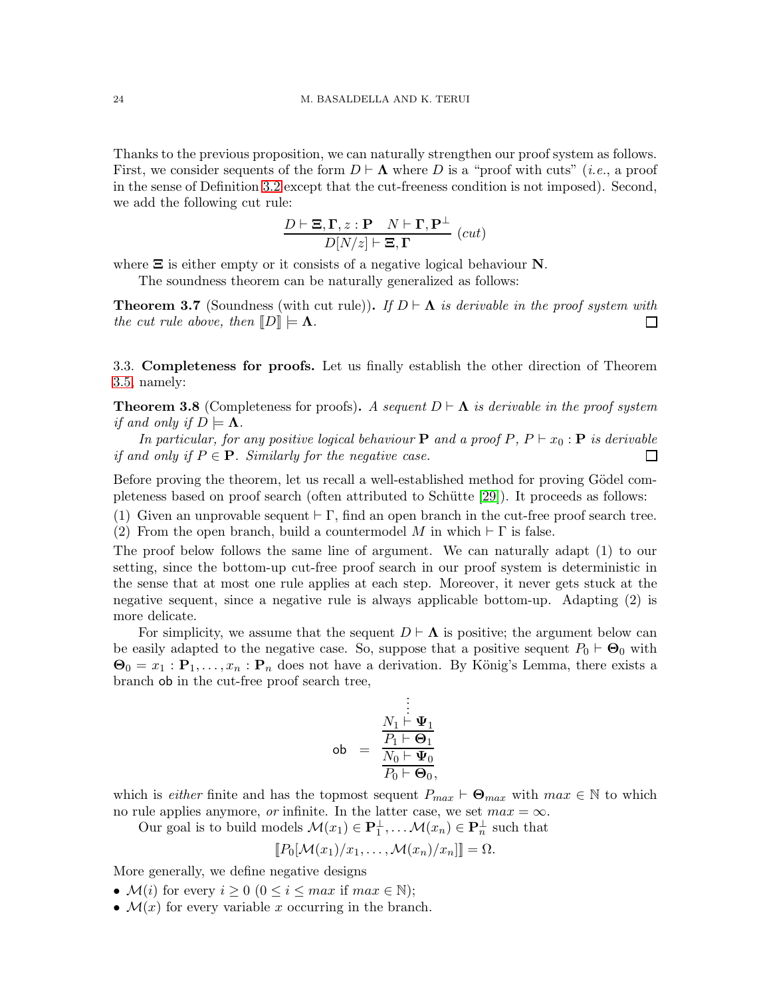Thanks to the previous proposition, we can naturally strengthen our proof system as follows. First, we consider sequents of the form  $D \vdash \Lambda$  where D is a "proof with cuts" (*i.e.*, a proof in the sense of Definition [3.2](#page-20-0) except that the cut-freeness condition is not imposed). Second, we add the following cut rule:

$$
\frac{D \vdash \Xi, \Gamma, z : \mathbf{P} \quad N \vdash \Gamma, \mathbf{P}^{\perp}}{D[N/z] \vdash \Xi, \Gamma} \ (cut)
$$

where  $\Xi$  is either empty or it consists of a negative logical behaviour N.

The soundness theorem can be naturally generalized as follows:

**Theorem 3.7** (Soundness (with cut rule)). *If*  $D \vdash \Lambda$  *is derivable in the proof system with the cut rule above, then*  $\llbracket D \rrbracket \models \Lambda$ . П

<span id="page-23-0"></span>3.3. Completeness for proofs. Let us finally establish the other direction of Theorem [3.5,](#page-22-0) namely:

<span id="page-23-1"></span>**Theorem 3.8** (Completeness for proofs). A sequent  $D \vdash \Lambda$  is derivable in the proof system *if and only if*  $D \models \Lambda$ .

*In particular, for any positive logical behaviour* **P** and a proof  $P$ ,  $P \vdash x_0$ : **P** *is derivable if and only if*  $P \in \mathbf{P}$ *. Similarly for the negative case.*  $\Box$ 

Before proving the theorem, let us recall a well-established method for proving Gödel com-pleteness based on proof search (often attributed to Schütte [\[29\]](#page-29-1)). It proceeds as follows:

(1) Given an unprovable sequent  $\vdash \Gamma$ , find an open branch in the cut-free proof search tree. (2) From the open branch, build a countermodel M in which  $\vdash \Gamma$  is false.

The proof below follows the same line of argument. We can naturally adapt (1) to our setting, since the bottom-up cut-free proof search in our proof system is deterministic in the sense that at most one rule applies at each step. Moreover, it never gets stuck at the negative sequent, since a negative rule is always applicable bottom-up. Adapting (2) is more delicate.

For simplicity, we assume that the sequent  $D \vdash \Lambda$  is positive; the argument below can be easily adapted to the negative case. So, suppose that a positive sequent  $P_0 \vdash \Theta_0$  with  $\Theta_0 = x_1 : \mathbf{P}_1, \ldots, x_n : \mathbf{P}_n$  does not have a derivation. By König's Lemma, there exists a branch ob in the cut-free proof search tree,

.

$$
\begin{array}{rcl}\n&\vdots \\
&\frac{N_1 \vdash \Psi_1}{P_1 \vdash \Theta_1} \\
&\frac{N_0 \vdash \Psi_0}{P_0 \vdash \Theta_0},\n\end{array}
$$

which is *either* finite and has the topmost sequent  $P_{max} \vdash \mathbf{\Theta}_{max}$  with  $max \in \mathbb{N}$  to which no rule applies anymore, *or* infinite. In the latter case, we set  $max = \infty$ .

Our goal is to build models  $\mathcal{M}(x_1) \in \mathbf{P}_1^{\perp}, \dots \mathcal{M}(x_n) \in \mathbf{P}_n^{\perp}$  such that

$$
[\![P_0[\mathcal{M}(x_1)/x_1,\ldots,\mathcal{M}(x_n)/x_n]\!]] = \Omega.
$$

More generally, we define negative designs

- $\mathcal{M}(i)$  for every  $i \geq 0$   $(0 \leq i \leq max$  if  $max \in \mathbb{N})$ ;
- $\mathcal{M}(x)$  for every variable x occurring in the branch.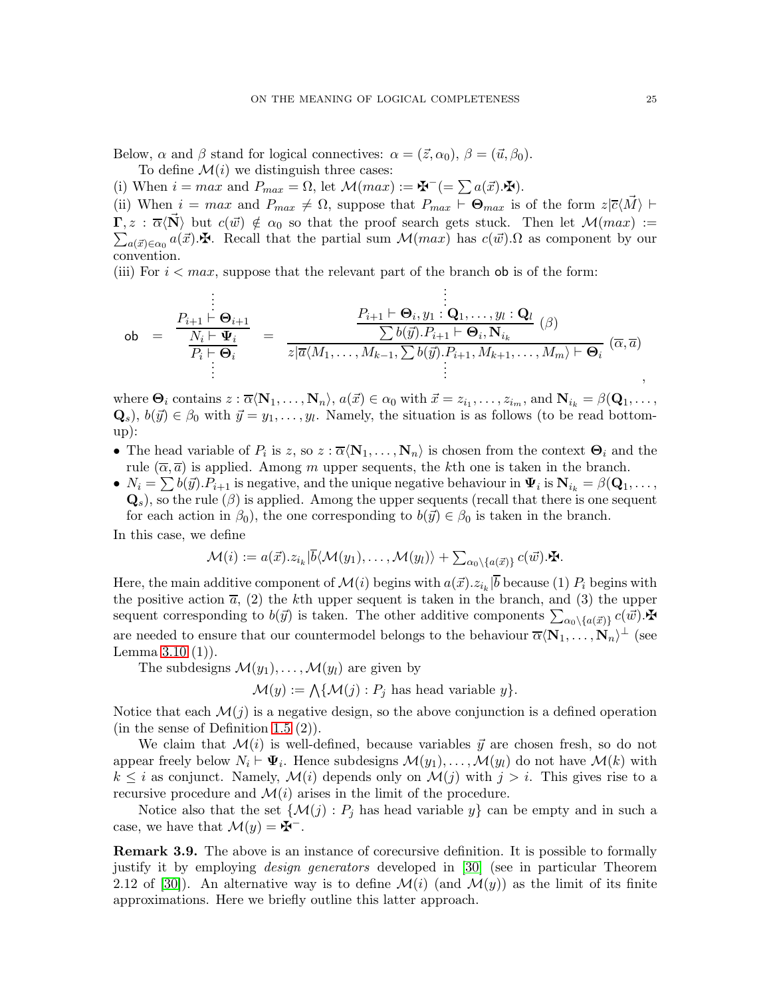Below,  $\alpha$  and  $\beta$  stand for logical connectives:  $\alpha = (\vec{z}, \alpha_0), \beta = (\vec{u}, \beta_0)$ . To define  $\mathcal{M}(i)$  we distinguish three cases:

(i) When  $i = max$  and  $P_{max} = \Omega$ , let  $\mathcal{M}(max) := \mathbf{H}^{-} (= \sum a(\vec{x}).\mathbf{H}).$ 

(ii) When  $i = max$  and  $P_{max} \neq \Omega$ , suppose that  $P_{max} \vdash \mathbf{\Theta}_{max}$  is of the form  $z|\overline{c}\langle M\rangle \vdash$  $\Gamma, z : \overline{\alpha} \langle \vec{N} \rangle$  but  $c(\vec{w}) \notin \alpha_0$  so that the proof search gets stuck. Then let  $\mathcal{M}(max) :=$  $\sum_{a(\vec{x})\in\alpha_0} a(\vec{x})$ . Recall that the partial sum  $\mathcal{M}(max)$  has  $c(\vec{w})\Omega$  as component by our convention.

(iii) For  $i < max$ , suppose that the relevant part of the branch ob is of the form:

$$
\begin{array}{rcl}\n\vdots & \vdots & \vdots \\
\frac{P_{i+1} \vdash \mathbf{\Theta}_{i+1}}{P_i \vdash \mathbf{\Theta}_i} & = & \frac{P_{i+1} \vdash \mathbf{\Theta}_i, y_1 : \mathbf{Q}_1, \dots, y_l : \mathbf{Q}_l}{\sum b(\vec{y}).P_{i+1} \vdash \mathbf{\Theta}_i, \mathbf{N}_{i_k}} \quad (\beta) \\
\vdots & \vdots & \vdots\n\end{array}
$$

where  $\mathbf{\Theta}_i$  contains  $z : \overline{\alpha} \langle \mathbf{N}_1, \ldots, \mathbf{N}_n \rangle, a(\vec{z}) \in \alpha_0$  with  $\vec{z} = z_{i_1}, \ldots, z_{i_m}$ , and  $\mathbf{N}_{i_k} = \beta(\mathbf{Q}_1, \ldots, \mathbf{Q}_k)$  $\mathbf{Q}_s$ ,  $b(\vec{y}) \in \beta_0$  with  $\vec{y} = y_1, \dots, y_l$ . Namely, the situation is as follows (to be read bottomup):

- The head variable of  $P_i$  is z, so  $z : \overline{\alpha} \langle \mathbf{N}_1, \ldots, \mathbf{N}_n \rangle$  is chosen from the context  $\mathbf{\Theta}_i$  and the rule  $(\overline{\alpha}, \overline{\alpha})$  is applied. Among m upper sequents, the kth one is taken in the branch.
- $N_i = \sum b(\vec{y}).P_{i+1}$  is negative, and the unique negative behaviour in  $\Psi_i$  is  $N_{i_k} = \beta(\mathbf{Q}_1, \dots, \mathbf{Q}_k)$  $\mathbf{Q}_s$ ), so the rule  $(\beta)$  is applied. Among the upper sequents (recall that there is one sequent for each action in  $\beta_0$ , the one corresponding to  $b(\vec{y}) \in \beta_0$  is taken in the branch.

In this case, we define

$$
\mathcal{M}(i) := a(\vec{x}).z_{i_k} | \overline{b} \langle \mathcal{M}(y_1), \dots, \mathcal{M}(y_l) \rangle + \sum_{\alpha_0 \setminus \{a(\vec{x})\}} c(\vec{w}).\mathbf{F}.
$$

Here, the main additive component of  $\mathcal{M}(i)$  begins with  $a(\vec{x}).z_{i_k}|b$  because (1)  $P_i$  begins with the positive action  $\bar{a}$ , (2) the kth upper sequent is taken in the branch, and (3) the upper sequent corresponding to  $b(\vec{y})$  is taken. The other additive components  $\sum_{\alpha_0\setminus\{a(\vec{x})\}}c(\vec{w})$ . are needed to ensure that our countermodel belongs to the behaviour  $\overline{\alpha} \langle N_1, \ldots, N_n \rangle^{\perp}$  (see Lemma  $3.10(1)$ .

The subdesigns  $\mathcal{M}(y_1), \ldots, \mathcal{M}(y_l)$  are given by

 $\mathcal{M}(y) := \bigwedge \{ \mathcal{M}(j) : P_j \text{ has head variable } y \}.$ 

Notice that each  $\mathcal{M}(j)$  is a negative design, so the above conjunction is a defined operation (in the sense of Definition [1.5](#page-5-0)  $(2)$ ).

We claim that  $\mathcal{M}(i)$  is well-defined, because variables  $\vec{y}$  are chosen fresh, so do not appear freely below  $N_i \vdash \Psi_i$ . Hence subdesigns  $\mathcal{M}(y_1), \ldots, \mathcal{M}(y_l)$  do not have  $\mathcal{M}(k)$  with  $k \leq i$  as conjunct. Namely,  $\mathcal{M}(i)$  depends only on  $\mathcal{M}(j)$  with  $j > i$ . This gives rise to a recursive procedure and  $\mathcal{M}(i)$  arises in the limit of the procedure.

Notice also that the set  $\{\mathcal{M}(j): P_j$  has head variable  $y\}$  can be empty and in such a case, we have that  $\mathcal{M}(y) = \mathbf{H}^{-}$ .

**Remark 3.9.** The above is an instance of corecursive definition. It is possible to formally justify it by employing *design generators* developed in [\[30\]](#page-29-0) (see in particular Theorem 2.12 of [\[30\]](#page-29-0)). An alternative way is to define  $\mathcal{M}(i)$  (and  $\mathcal{M}(y)$ ) as the limit of its finite approximations. Here we briefly outline this latter approach.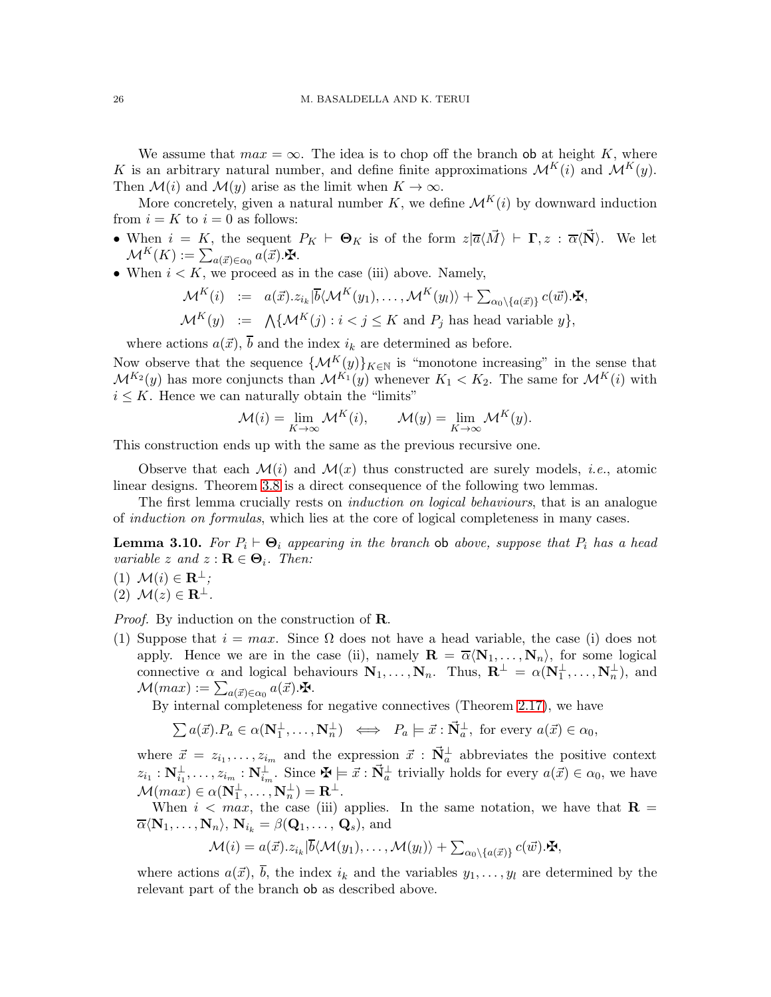We assume that  $max = \infty$ . The idea is to chop off the branch ob at height K, where K is an arbitrary natural number, and define finite approximations  $\mathcal{M}^K(i)$  and  $\mathcal{M}^K(y)$ . Then  $\mathcal{M}(i)$  and  $\mathcal{M}(y)$  arise as the limit when  $K \to \infty$ .

More concretely, given a natural number K, we define  $\mathcal{M}^K(i)$  by downward induction from  $i = K$  to  $i = 0$  as follows:

- When  $i = K$ , the sequent  $P_K \vdash \Theta_K$  is of the form  $z|\overline{a}\langle M\rangle \vdash \Gamma, z : \overline{\alpha}\langle \overline{N}\rangle$ . We let  $\mathcal{M}^K(K) := \sum_{a(\vec{x}) \in \alpha_0} a(\vec{x}).$   $\mathbf{\mathbf{F}}$ .
- When  $i < K$ , we proceed as in the case (iii) above. Namely,

$$
\mathcal{M}^K(i) := a(\vec{x}).z_{i_k} | \overline{b} \langle \mathcal{M}^K(y_1), \dots, \mathcal{M}^K(y_l) \rangle + \sum_{\alpha_0 \setminus \{a(\vec{x})\}} c(\vec{w}).\mathbf{F},
$$
  

$$
\mathcal{M}^K(y) := \bigwedge \{ \mathcal{M}^K(j) : i < j \le K \text{ and } P_j \text{ has head variable } y \},
$$

where actions  $a(\vec{x})$ ,  $\vec{b}$  and the index  $i_k$  are determined as before.

Now observe that the sequence  $\{\mathcal{M}^K(y)\}_{K\in\mathbb{N}}$  is "monotone increasing" in the sense that  $\mathcal{M}^{K_2}(y)$  has more conjuncts than  $\mathcal{M}^{K_1}(y)$  whenever  $K_1 < K_2$ . The same for  $\mathcal{M}^K(i)$  with  $i \leq K$ . Hence we can naturally obtain the "limits"

$$
\mathcal{M}(i) = \lim_{K \to \infty} \mathcal{M}^K(i), \qquad \mathcal{M}(y) = \lim_{K \to \infty} \mathcal{M}^K(y).
$$

This construction ends up with the same as the previous recursive one.

Observe that each  $\mathcal{M}(i)$  and  $\mathcal{M}(x)$  thus constructed are surely models, *i.e.*, atomic linear designs. Theorem [3.8](#page-23-1) is a direct consequence of the following two lemmas.

The first lemma crucially rests on *induction on logical behaviours*, that is an analogue of *induction on formulas*, which lies at the core of logical completeness in many cases.

<span id="page-25-0"></span>**Lemma 3.10.** For  $P_i \vdash \Theta_i$  appearing in the branch ob above, suppose that  $P_i$  has a head *variable*  $z$  *and*  $z$  :  $\mathbf{R} \in \mathbf{\Theta}_i$ *. Then:* 

- $(1)$   $\mathcal{M}(i) \in \mathbf{R}^{\perp}$ ;
- $(2)$   $\mathcal{M}(z) \in \mathbf{R}^{\perp}$ .

*Proof.* By induction on the construction of R.

(1) Suppose that  $i = max$ . Since  $\Omega$  does not have a head variable, the case (i) does not apply. Hence we are in the case (ii), namely  $\mathbf{R} = \overline{\alpha} \langle N_1, \ldots, N_n \rangle$ , for some logical connective  $\alpha$  and logical behaviours  $\mathbf{N}_1, \ldots, \mathbf{N}_n$ . Thus,  $\mathbf{R}^{\perp} = \alpha(\mathbf{N}_1^{\perp}, \ldots, \mathbf{N}_n^{\perp})$ , and  $\mathcal{M}(max) := \sum_{a(\vec{x}) \in \alpha_0} a(\vec{x}).$   $\mathbf{\mathbf{\mathbf{\mathcal{H}}}}$ .

By internal completeness for negative connectives (Theorem [2.17\)](#page-18-1), we have

$$
\sum a(\vec{x}).P_a \in \alpha(\mathbf{N}_1^{\perp}, \dots, \mathbf{N}_n^{\perp}) \iff P_a \models \vec{x} : \vec{\mathbf{N}}_a^{\perp}, \text{ for every } a(\vec{x}) \in \alpha_0,
$$

where  $\vec{x} = z_{i_1}, \ldots, z_{i_m}$  and the expression  $\vec{x}$ :  $\vec{N}_a^{\perp}$  abbreviates the positive context  $z_{i_1}: \mathbf{N}_{i_1}^{\perp}, \ldots, z_{i_m}: \mathbf{N}_{i_m}^{\perp}$ . Since  $\mathbf{\Psi} \models \vec{x} : \vec{\mathbf{N}}_a^{\perp}$  trivially holds for every  $a(\vec{x}) \in \alpha_0$ , we have  $\mathcal{M}(max) \in \alpha(\mathbf{N}_1^{\perp}, \ldots, \mathbf{N}_n^{\perp}) = \mathbf{R}^{\perp}.$ 

When  $i < max$ , the case (iii) applies. In the same notation, we have that  $\mathbf{R} =$  $\overline{\alpha}\langle N_1,\ldots,N_n\rangle, N_{i_k} = \beta(\mathbf{Q}_1,\ldots,\mathbf{Q}_s),$  and

$$
\mathcal{M}(i) = a(\vec{x}).z_{i_k}|\overline{b}\langle \mathcal{M}(y_1),\ldots,\mathcal{M}(y_l)\rangle + \sum_{\alpha_0\setminus\{a(\vec{x})\}}c(\vec{w}).\mathbf{H},
$$

where actions  $a(\vec{x})$ ,  $\vec{b}$ , the index  $i_k$  and the variables  $y_1, \ldots, y_l$  are determined by the relevant part of the branch ob as described above.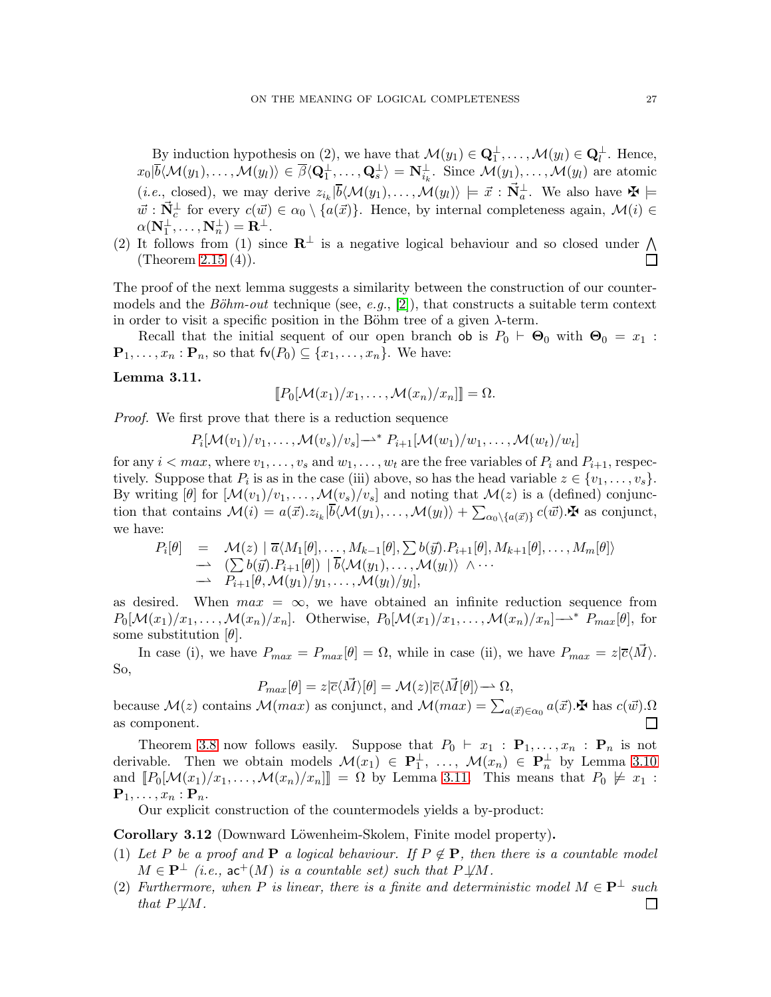By induction hypothesis on (2), we have that  $\mathcal{M}(y_1) \in \mathbf{Q}_1^{\perp}, \ldots, \mathcal{M}(y_l) \in \mathbf{Q}_l^{\perp}$ . Hence,  $x_0|\overline{b}\langle \mathcal{M}(y_1),\ldots,\mathcal{M}(y_l)\rangle \in \overline{\beta}\langle \mathbf{Q}_1^{\perp},\ldots,\mathbf{Q}_s^{\perp}\rangle = \mathbf{N}_{i_k}^{\perp}.$  Since  $\mathcal{M}(y_1),\ldots,\mathcal{M}(y_l)$  are atomic  $(i.e., closed)$ , we may derive  $z_{i_k} | \overline{b} \langle \mathcal{M}(y_1), \ldots, \mathcal{M}(y_l) \rangle \models \vec{x} : \vec{N}_a^{\perp}$ . We also have  $\maltese \models$  $\vec{w}$ :  $\vec{N}_{c}^{\perp}$  for every  $c(\vec{w}) \in \alpha_0 \setminus \{a(\vec{x})\}\$ . Hence, by internal completeness again,  $\mathcal{M}(i) \in$  $\alpha(\mathbf{N}_1^{\perp},\ldots,\mathbf{N}_n^{\perp})=\mathbf{R}^{\perp}.$ 

(2) It follows from (1) since  $\mathbb{R}^{\perp}$  is a negative logical behaviour and so closed under  $\wedge$ (Theorem [2.15](#page-17-0) (4)). П

The proof of the next lemma suggests a similarity between the construction of our countermodels and the *Böhm-out* technique (see, *e.g.*, [\[2\]](#page-28-18)), that constructs a suitable term context in order to visit a specific position in the Böhm tree of a given  $\lambda$ -term.

Recall that the initial sequent of our open branch ob is  $P_0 \vdash \Theta_0$  with  $\Theta_0 = x_1$ :  $\mathbf{P}_1, \ldots, x_n : \mathbf{P}_n$ , so that  $\mathsf{fv}(P_0) \subseteq \{x_1, \ldots, x_n\}$ . We have:

# <span id="page-26-0"></span>Lemma 3.11.

$$
[[P_0[\mathcal{M}(x_1)/x_1,\ldots,\mathcal{M}(x_n)/x_n]]]=\Omega.
$$

*Proof.* We first prove that there is a reduction sequence

$$
P_i[\mathcal{M}(v_1)/v_1,\ldots,\mathcal{M}(v_s)/v_s] \rightarrow^* P_{i+1}[\mathcal{M}(w_1)/w_1,\ldots,\mathcal{M}(w_t)/w_t]
$$

for any  $i < max$ , where  $v_1, \ldots, v_s$  and  $w_1, \ldots, w_t$  are the free variables of  $P_i$  and  $P_{i+1}$ , respectively. Suppose that  $P_i$  is as in the case (iii) above, so has the head variable  $z \in \{v_1, \ldots, v_s\}$ . By writing  $[\theta]$  for  $[\mathcal{M}(v_1)/v_1, \ldots, \mathcal{M}(v_s)/v_s]$  and noting that  $\mathcal{M}(z)$  is a (defined) conjunction that contains M(i) = a(~x).zi<sup>k</sup> |bhM(y1), . . . ,M(yl)i + P α0\{a(~x)} c( ~w).z as conjunct, we have:

$$
P_i[\theta] = \mathcal{M}(z) | \overline{a} \langle M_1[\theta], \dots, M_{k-1}[\theta], \sum b(\vec{y}).P_{i+1}[\theta], M_{k+1}[\theta], \dots, M_m[\theta] \rangle
$$
  
\n
$$
\rightarrow (\sum b(\vec{y}).P_{i+1}[\theta]) | \overline{b} \langle \mathcal{M}(y_1), \dots, \mathcal{M}(y_l) \rangle \wedge \cdots
$$
  
\n
$$
\rightarrow P_{i+1}[\theta, \mathcal{M}(y_1)/y_1, \dots, \mathcal{M}(y_l)/y_l],
$$

as desired. When  $max = \infty$ , we have obtained an infinite reduction sequence from  $P_0[\mathcal{M}(x_1)/x_1,\ldots,\mathcal{M}(x_n)/x_n]$ . Otherwise,  $P_0[\mathcal{M}(x_1)/x_1,\ldots,\mathcal{M}(x_n)/x_n] \longrightarrow^* P_{max}[\theta]$ , for some substitution  $[\theta]$ .

In case (i), we have  $P_{max} = P_{max}[\theta] = \Omega$ , while in case (ii), we have  $P_{max} = z|\overline{c}\langle\vec{M}\rangle$ . So,

$$
P_{max}[\theta] = z|\overline{c}\langle \vec{M}\rangle[\theta] = \mathcal{M}(z)|\overline{c}\langle \vec{M}[\theta]\rangle \longrightarrow \Omega,
$$

because  $\mathcal{M}(z)$  contains  $\mathcal{M}(max)$  as conjunct, and  $\mathcal{M}(max) = \sum_{a(\vec{x}) \in \alpha_0} a(\vec{x}).$  A has  $c(\vec{w}).\Omega$ as component. П

Theorem [3.8](#page-23-1) now follows easily. Suppose that  $P_0 \vdash x_1 : \mathbf{P}_1, \ldots, x_n : \mathbf{P}_n$  is not derivable. Then we obtain models  $\mathcal{M}(x_1) \in \mathbf{P}_1^{\perp}, \ldots, \mathcal{M}(x_n) \in \mathbf{P}_n^{\perp}$  by Lemma [3.10](#page-25-0) and  $[[P_0[\mathcal{M}(x_1)/x_1,\ldots,\mathcal{M}(x_n)/x_n]]] = \Omega$  by Lemma [3.11.](#page-26-0) This means that  $P_0 \not\models x_1$ :  ${\bf P}_1,\ldots,x_n:{\bf P}_n.$ 

Our explicit construction of the countermodels yields a by-product:

## Corollary 3.12 (Downward Löwenheim-Skolem, Finite model property).

- (1) Let P be a proof and **P** a logical behaviour. If  $P \notin \mathbf{P}$ , then there is a countable model  $M \in \mathbf{P}^{\perp}$  *(i.e.,* ac<sup>+</sup>(M) *is a countable set) such that*  $P \not\perp M$ .
- (2) *Furthermore, when* P *is linear, there is a finite and deterministic model*  $M \in \mathbf{P}^{\perp}$  *such that*  $P \not\perp M$ . ப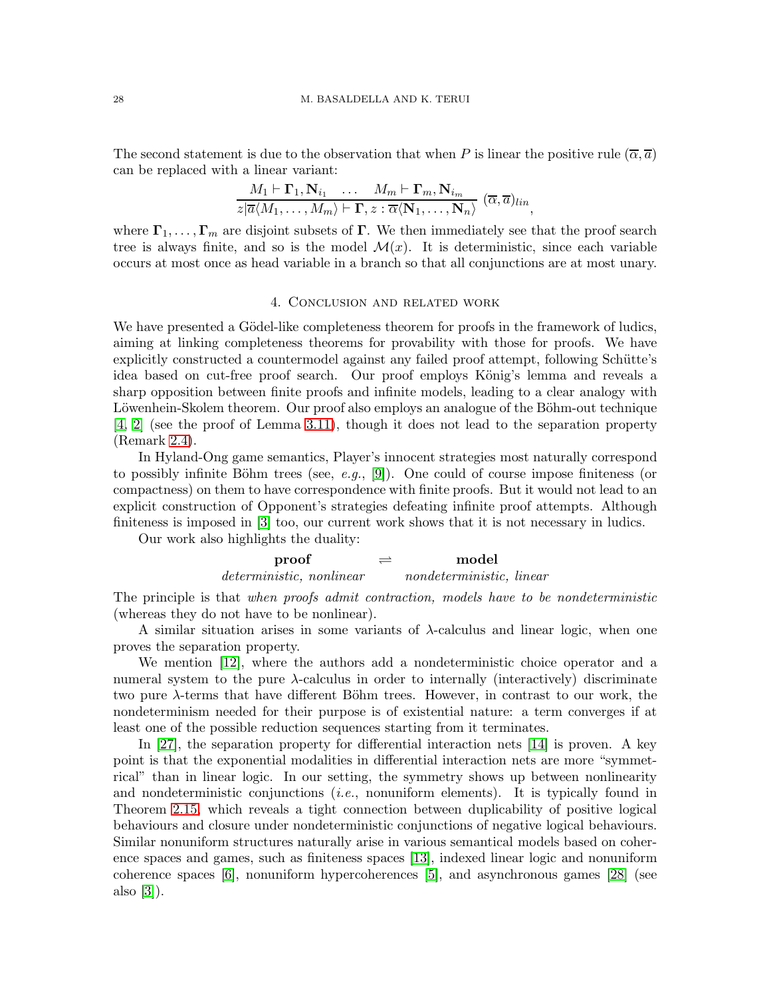The second statement is due to the observation that when P is linear the positive rule  $(\overline{\alpha}, \overline{a})$ can be replaced with a linear variant:

$$
\frac{M_1 \vdash \Gamma_1, \mathbf{N}_{i_1} \dots \quad M_m \vdash \Gamma_m, \mathbf{N}_{i_m}}{z | \overline{a}(M_1, \dots, M_m) \vdash \Gamma, z : \overline{\alpha} \langle \mathbf{N}_1, \dots, \mathbf{N}_n \rangle} \; (\overline{\alpha}, \overline{a})_{lin},
$$

where  $\Gamma_1, \ldots, \Gamma_m$  are disjoint subsets of  $\Gamma$ . We then immediately see that the proof search tree is always finite, and so is the model  $\mathcal{M}(x)$ . It is deterministic, since each variable occurs at most once as head variable in a branch so that all conjunctions are at most unary.

#### 4. Conclusion and related work

<span id="page-27-0"></span>We have presented a Gödel-like completeness theorem for proofs in the framework of ludics, aiming at linking completeness theorems for provability with those for proofs. We have explicitly constructed a countermodel against any failed proof attempt, following Schütte's idea based on cut-free proof search. Our proof employs König's lemma and reveals a sharp opposition between finite proofs and infinite models, leading to a clear analogy with Löwenhein-Skolem theorem. Our proof also employs an analogue of the Böhm-out technique [\[4,](#page-28-19) [2\]](#page-28-18) (see the proof of Lemma [3.11\)](#page-26-0), though it does not lead to the separation property (Remark [2.4\)](#page-13-2).

In Hyland-Ong game semantics, Player's innocent strategies most naturally correspond to possibly infinite Böhm trees (see, *e.g.*, [\[9\]](#page-28-9)). One could of course impose finiteness (or compactness) on them to have correspondence with finite proofs. But it would not lead to an explicit construction of Opponent's strategies defeating infinite proof attempts. Although finiteness is imposed in [\[3\]](#page-28-0) too, our current work shows that it is not necessary in ludics.

Our work also highlights the duality:

$$
\begin{array}{rcl}\n & \mathbf{proof} & \rightleftarrows & \mathbf{model} \\
 \hspace{2.5cm} \mathit{deterministic, nonlinear} & \hspace{2.5cm} \mathit{nondeterministic, linear}\n \end{array}
$$

The principle is that *when proofs admit contraction, models have to be nondeterministic* (whereas they do not have to be nonlinear).

A similar situation arises in some variants of  $\lambda$ -calculus and linear logic, when one proves the separation property.

We mention [\[12\]](#page-28-12), where the authors add a nondeterministic choice operator and a numeral system to the pure λ-calculus in order to internally (interactively) discriminate two pure  $\lambda$ -terms that have different Böhm trees. However, in contrast to our work, the nondeterminism needed for their purpose is of existential nature: a term converges if at least one of the possible reduction sequences starting from it terminates.

In [\[27\]](#page-29-2), the separation property for differential interaction nets [\[14\]](#page-28-11) is proven. A key point is that the exponential modalities in differential interaction nets are more "symmetrical" than in linear logic. In our setting, the symmetry shows up between nonlinearity and nondeterministic conjunctions (*i.e.*, nonuniform elements). It is typically found in Theorem [2.15,](#page-17-0) which reveals a tight connection between duplicability of positive logical behaviours and closure under nondeterministic conjunctions of negative logical behaviours. Similar nonuniform structures naturally arise in various semantical models based on coherence spaces and games, such as finiteness spaces [\[13\]](#page-28-20), indexed linear logic and nonuniform coherence spaces [\[6\]](#page-28-21), nonuniform hypercoherences [\[5\]](#page-28-22), and asynchronous games [\[28\]](#page-29-4) (see also [\[3\]](#page-28-0)).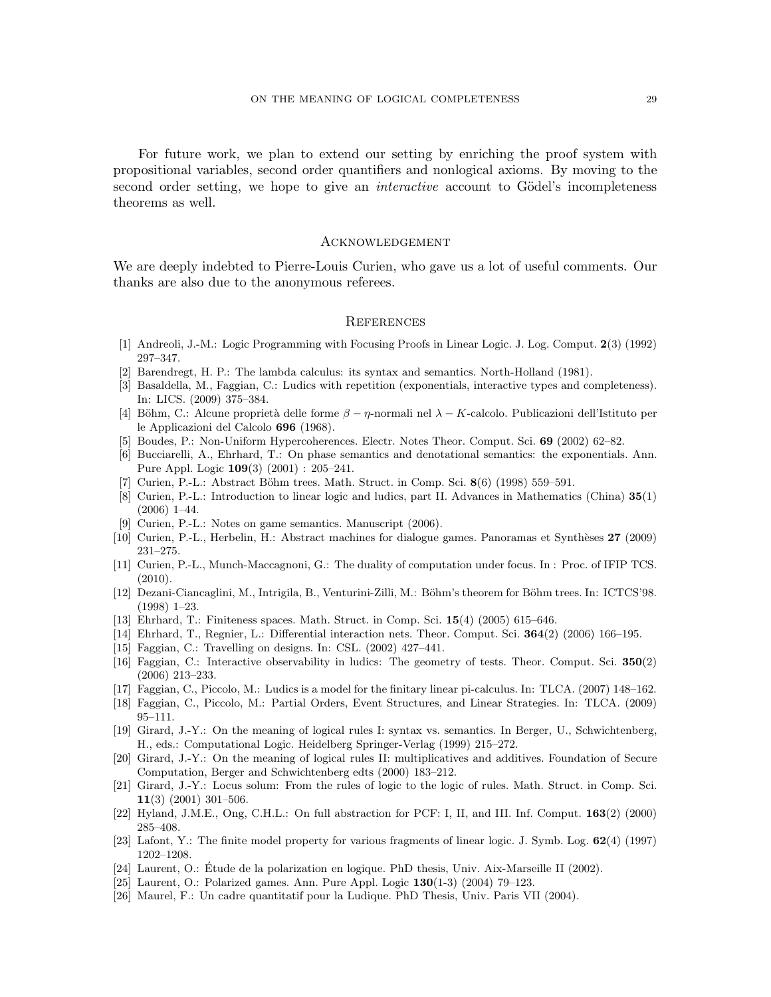For future work, we plan to extend our setting by enriching the proof system with propositional variables, second order quantifiers and nonlogical axioms. By moving to the second order setting, we hope to give an *interactive* account to Gödel's incompleteness theorems as well.

#### Acknowledgement

We are deeply indebted to Pierre-Louis Curien, who gave us a lot of useful comments. Our thanks are also due to the anonymous referees.

#### **REFERENCES**

- <span id="page-28-24"></span><span id="page-28-18"></span>[1] Andreoli, J.-M.: Logic Programming with Focusing Proofs in Linear Logic. J. Log. Comput. 2(3) (1992) 297–347.
- <span id="page-28-0"></span>[2] Barendregt, H. P.: The lambda calculus: its syntax and semantics. North-Holland (1981).
- [3] Basaldella, M., Faggian, C.: Ludics with repetition (exponentials, interactive types and completeness). In: LICS. (2009) 375–384.
- <span id="page-28-19"></span>[4] Böhm, C.: Alcune proprietà delle forme  $\beta - \eta$ -normali nel  $\lambda - K$ -calcolo. Publicazioni dell'Istituto per le Applicazioni del Calcolo 696 (1968).
- <span id="page-28-22"></span><span id="page-28-21"></span>[5] Boudes, P.: Non-Uniform Hypercoherences. Electr. Notes Theor. Comput. Sci. 69 (2002) 62–82.
- [6] Bucciarelli, A., Ehrhard, T.: On phase semantics and denotational semantics: the exponentials. Ann. Pure Appl. Logic 109(3) (2001) : 205–241.
- <span id="page-28-13"></span><span id="page-28-4"></span>[7] Curien, P.-L.: Abstract Böhm trees. Math. Struct. in Comp. Sci. 8(6) (1998) 559–591.
- [8] Curien, P.-L.: Introduction to linear logic and ludics, part II. Advances in Mathematics (China) 35(1) (2006) 1–44.
- <span id="page-28-15"></span><span id="page-28-9"></span>[9] Curien, P.-L.: Notes on game semantics. Manuscript (2006).
- <span id="page-28-7"></span>[10] Curien, P.-L., Herbelin, H.: Abstract machines for dialogue games. Panoramas et Synthèses 27 (2009) 231–275.
- [11] Curien, P.-L., Munch-Maccagnoni, G.: The duality of computation under focus. In : Proc. of IFIP TCS. (2010).
- <span id="page-28-12"></span>[12] Dezani-Ciancaglini, M., Intrigila, B., Venturini-Zilli, M.: Böhm's theorem for Böhm trees. In: ICTCS'98. (1998) 1–23.
- <span id="page-28-20"></span><span id="page-28-11"></span>[13] Ehrhard, T.: Finiteness spaces. Math. Struct. in Comp. Sci. 15(4) (2005) 615–646.
- <span id="page-28-14"></span>[14] Ehrhard, T., Regnier, L.: Differential interaction nets. Theor. Comput. Sci. 364(2) (2006) 166–195.
- <span id="page-28-3"></span>[15] Faggian, C.: Travelling on designs. In: CSL. (2002) 427–441.
- [16] Faggian, C.: Interactive observability in ludics: The geometry of tests. Theor. Comput. Sci. 350(2) (2006) 213–233.
- <span id="page-28-16"></span><span id="page-28-10"></span>[17] Faggian, C., Piccolo, M.: Ludics is a model for the finitary linear pi-calculus. In: TLCA. (2007) 148–162.
- <span id="page-28-1"></span>[18] Faggian, C., Piccolo, M.: Partial Orders, Event Structures, and Linear Strategies. In: TLCA. (2009) 95–111.
- [19] Girard, J.-Y.: On the meaning of logical rules I: syntax vs. semantics. In Berger, U., Schwichtenberg, H., eds.: Computational Logic. Heidelberg Springer-Verlag (1999) 215–272.
- <span id="page-28-25"></span>[20] Girard, J.-Y.: On the meaning of logical rules II: multiplicatives and additives. Foundation of Secure Computation, Berger and Schwichtenberg edts (2000) 183–212.
- <span id="page-28-2"></span>[21] Girard, J.-Y.: Locus solum: From the rules of logic to the logic of rules. Math. Struct. in Comp. Sci. 11(3) (2001) 301–506.
- <span id="page-28-6"></span><span id="page-28-5"></span>[22] Hyland, J.M.E., Ong, C.H.L.: On full abstraction for PCF: I, II, and III. Inf. Comput. 163(2) (2000) 285–408.
- <span id="page-28-23"></span>[23] Lafont, Y.: The finite model property for various fragments of linear logic. J. Symb. Log. 62(4) (1997) 1202–1208.
- <span id="page-28-8"></span>[24] Laurent, O.: Etude de la polarization en logique. PhD thesis, Univ. Aix-Marseille II (2002).
- <span id="page-28-17"></span>[25] Laurent, O.: Polarized games. Ann. Pure Appl. Logic 130(1-3) (2004) 79–123.
- [26] Maurel, F.: Un cadre quantitatif pour la Ludique. PhD Thesis, Univ. Paris VII (2004).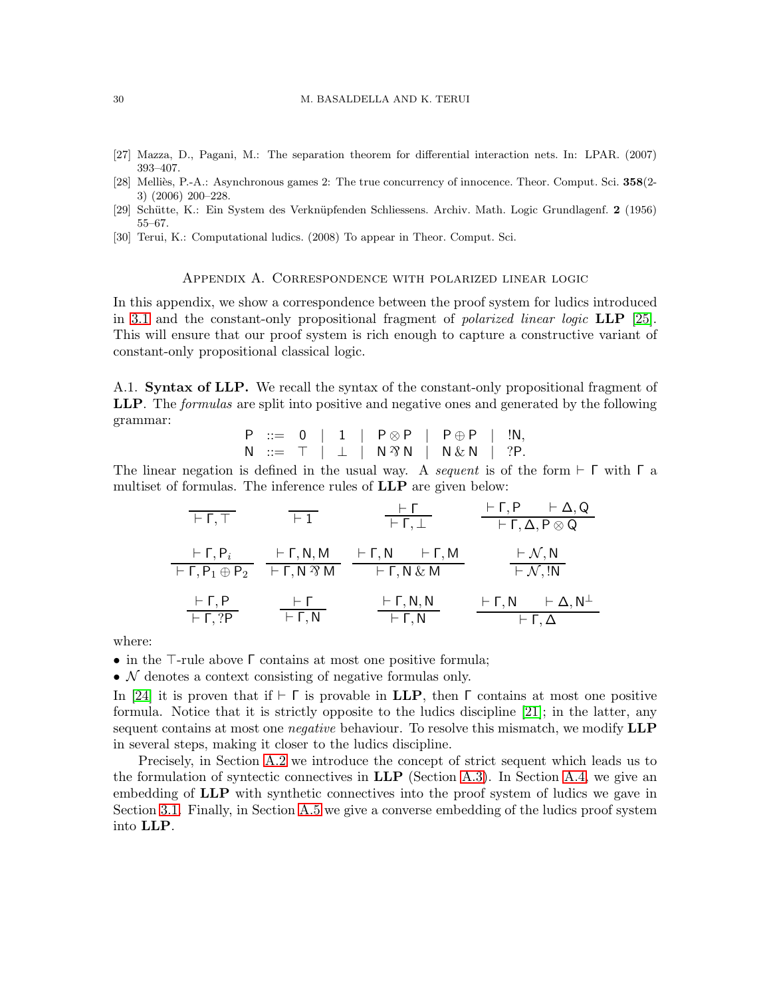- <span id="page-29-4"></span><span id="page-29-2"></span>[27] Mazza, D., Pagani, M.: The separation theorem for differential interaction nets. In: LPAR. (2007) 393–407.
- [28] Melliès, P.-A.: Asynchronous games 2: The true concurrency of innocence. Theor. Comput. Sci. 358(2-3) (2006) 200–228.
- <span id="page-29-1"></span><span id="page-29-0"></span>[29] Schütte, K.: Ein System des Verknüpfenden Schliessens. Archiv. Math. Logic Grundlagenf. 2 (1956) 55–67.
- <span id="page-29-3"></span>[30] Terui, K.: Computational ludics. (2008) To appear in Theor. Comput. Sci.

### Appendix A. Correspondence with polarized linear logic

In this appendix, we show a correspondence between the proof system for ludics introduced in [3.1](#page-19-2) and the constant-only propositional fragment of *polarized linear logic* LLP [\[25\]](#page-28-8). This will ensure that our proof system is rich enough to capture a constructive variant of constant-only propositional classical logic.

A.1. **Syntax of LLP.** We recall the syntax of the constant-only propositional fragment of LLP. The *formulas* are split into positive and negative ones and generated by the following grammar:

$$
\begin{array}{ccccc}\nP & ::= & 0 & | & 1 & | & P \otimes P & | & P \oplus P & | & \text{!N}, \\
N & ::= & \top & | & \bot & | & N \mathcal{R} N & | & N \& N & | & \text{?P}.\n\end{array}
$$

The linear negation is defined in the usual way. A *sequent* is of the form  $\vdash \Gamma$  with  $\Gamma$  a multiset of formulas. The inference rules of  $\mathbf{LLP}$  are given below:

| FT, T                                                                         | FT                                                                          | FT                                                                       | FT                                                                       | FT                                                             |
|-------------------------------------------------------------------------------|-----------------------------------------------------------------------------|--------------------------------------------------------------------------|--------------------------------------------------------------------------|----------------------------------------------------------------|
| $\begin{array}{r}\n -F, F_i \\  \hline\n -F, P_i \oplus P_2\n \end{array}$ \n | $\begin{array}{r}\n -F, N, M \\  \hline\n -F, N \otimes M\n \end{array}$ \n | $\begin{array}{r}\n -F, N \\  \hline\n -F, N \otimes M\n \end{array}$ \n | $\begin{array}{r}\n -F, N \\  \hline\n -F, N \otimes M\n \end{array}$ \n | $\begin{array}{r}\n -N, N \\  \hline\n -N, N\n \end{array}$ \n |
| $\begin{array}{r}\n -F, P \\  \hline\n -F, P \otimes N \end{array}$ \n        | $\begin{array}{r}\n -F, N, N \\  \hline\n -F, N \otimes M\n \end{array}$ \n | $\begin{array}{r}\n -F, N, N \\  \hline\n -F, N\n \end{array}$ \n        |                                                                          |                                                                |
| $\begin{array}{r}\n -F, P \\  \hline\n -F, P \otimes N \end{array}$ \n        | $\begin{array}{r}\n -F, N, N \\  \hline\n -F, N\n \end{array}$ \n           | $\begin{array}{r}\n -F, N, N \\  \hline\n -F, N\n \end{array}$ \n        |                                                                          |                                                                |

where:

• in the ⊤-rule above Γ contains at most one positive formula;

•  $\mathcal N$  denotes a context consisting of negative formulas only.

In [\[24\]](#page-28-23) it is proven that if  $\vdash \Gamma$  is provable in **LLP**, then  $\Gamma$  contains at most one positive formula. Notice that it is strictly opposite to the ludics discipline [\[21\]](#page-28-2); in the latter, any sequent contains at most one *negative* behaviour. To resolve this mismatch, we modify LLP in several steps, making it closer to the ludics discipline.

Precisely, in Section [A.2](#page-30-0) we introduce the concept of strict sequent which leads us to the formulation of syntectic connectives in  $\mathbf{LLP}$  (Section [A.3\)](#page-30-1). In Section [A.4,](#page-32-0) we give an embedding of **LLP** with synthetic connectives into the proof system of ludics we gave in Section [3.1.](#page-19-2) Finally, in Section [A.5](#page-34-0) we give a converse embedding of the ludics proof system into LLP.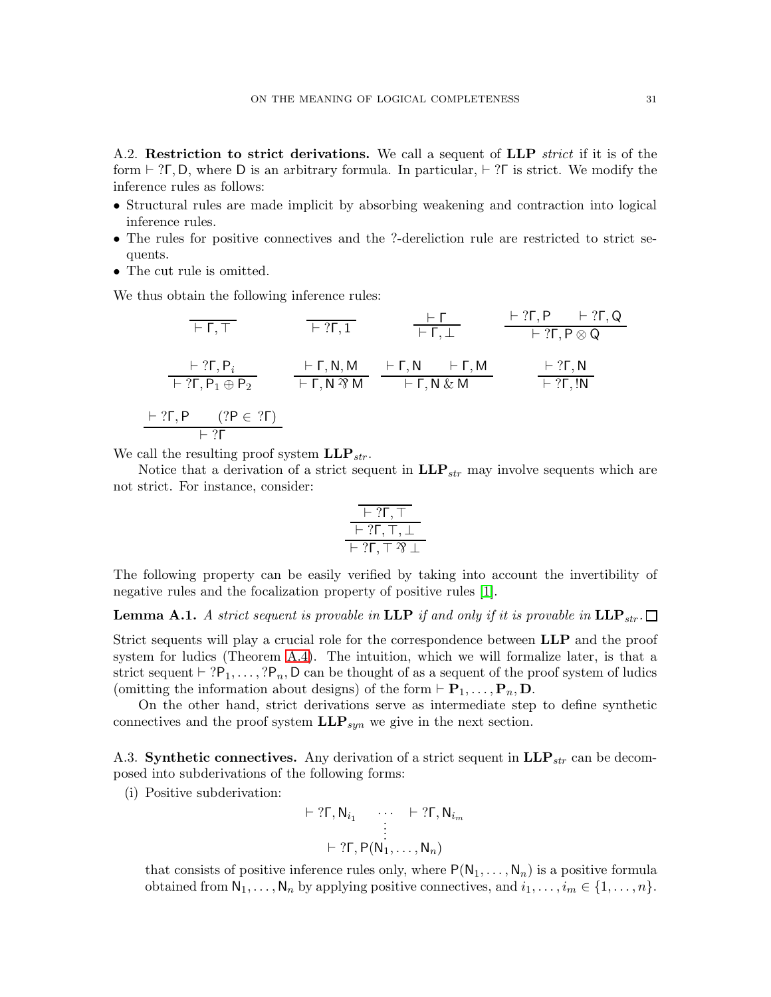<span id="page-30-0"></span>A.2. Restriction to strict derivations. We call a sequent of LLP *strict* if it is of the form  $\vdash$  ?Γ, D, where D is an arbitrary formula. In particular,  $\vdash$  ?Γ is strict. We modify the inference rules as follows:

- Structural rules are made implicit by absorbing weakening and contraction into logical inference rules.
- The rules for positive connectives and the ?-dereliction rule are restricted to strict sequents.
- The cut rule is omitted.

 $\overline{a}$ 

We thus obtain the following inference rules:

$$
\begin{array}{ccc}\n\overline{+ \Gamma, \top} & \overline{+ ? \Gamma, 1} & \overline{+ \Gamma} & \overline{+ ? \Gamma, P} & \overline{+ ? \Gamma, Q} \\
\hline\n+ ? \Gamma, P_i & \overline{+ ? \Gamma, P} & \overline{+ \Gamma, N, M} & \overline{+ \Gamma, N} & \overline{+ ? \Gamma, P \otimes Q} \\
\hline\n+ ? \Gamma, P_1 \oplus P_2 & \overline{+ \Gamma, N ? N M} & \overline{+ \Gamma, N \& M} & \overline{+ ? \Gamma, N} \\
\hline\n+ ? \Gamma, P & (? P \in ? \Gamma) \\
\hline\n+ ? \Gamma\n\end{array}
$$

We call the resulting proof system  $\mathbf{LLP}_{str}$ .

Notice that a derivation of a strict sequent in  $\mathbf{LLP}_{str}$  may involve sequents which are not strict. For instance, consider:

$$
\frac{\overline{\vdash ?\Gamma,\top}}{\vdash ?\Gamma,\top,\bot}
$$
  

$$
\vdash ?\Gamma,\top ?\Gamma \perp
$$

The following property can be easily verified by taking into account the invertibility of negative rules and the focalization property of positive rules [\[1\]](#page-28-24).

**Lemma A.1.** *A strict sequent is provable in* LLP *if and only if it is provable in* LLP<sub>str</sub>.

Strict sequents will play a crucial role for the correspondence between **LLP** and the proof system for ludics (Theorem [A.4\)](#page-33-0). The intuition, which we will formalize later, is that a strict sequent  $\vdash$  ? $P_1, \ldots, ?P_n$ , D can be thought of as a sequent of the proof system of ludics (omitting the information about designs) of the form  $\vdash$  **P**<sub>1</sub>, ..., **P**<sub>n</sub>, **D**.

On the other hand, strict derivations serve as intermediate step to define synthetic connectives and the proof system  $\mathbf{LLP}_{syn}$  we give in the next section.

<span id="page-30-1"></span>A.3. Synthetic connectives. Any derivation of a strict sequent in  $\mathbf{LLP}_{str}$  can be decomposed into subderivations of the following forms:

(i) Positive subderivation:

$$
\vdash ?\Gamma, \mathsf{N}_{i_1} \quad \cdots \quad \vdash ?\Gamma, \mathsf{N}_{i_m}
$$
\n
$$
\vdots
$$
\n
$$
\vdash ?\Gamma, \mathsf{P}(\mathsf{N}_1, \ldots, \mathsf{N}_n)
$$

that consists of positive inference rules only, where  $P(N_1, \ldots, N_n)$  is a positive formula obtained from  $N_1, \ldots, N_n$  by applying positive connectives, and  $i_1, \ldots, i_m \in \{1, \ldots, n\}.$ 

 $\cdot$  2Γ, P  $\cdot$  2Γ,  $\cdot$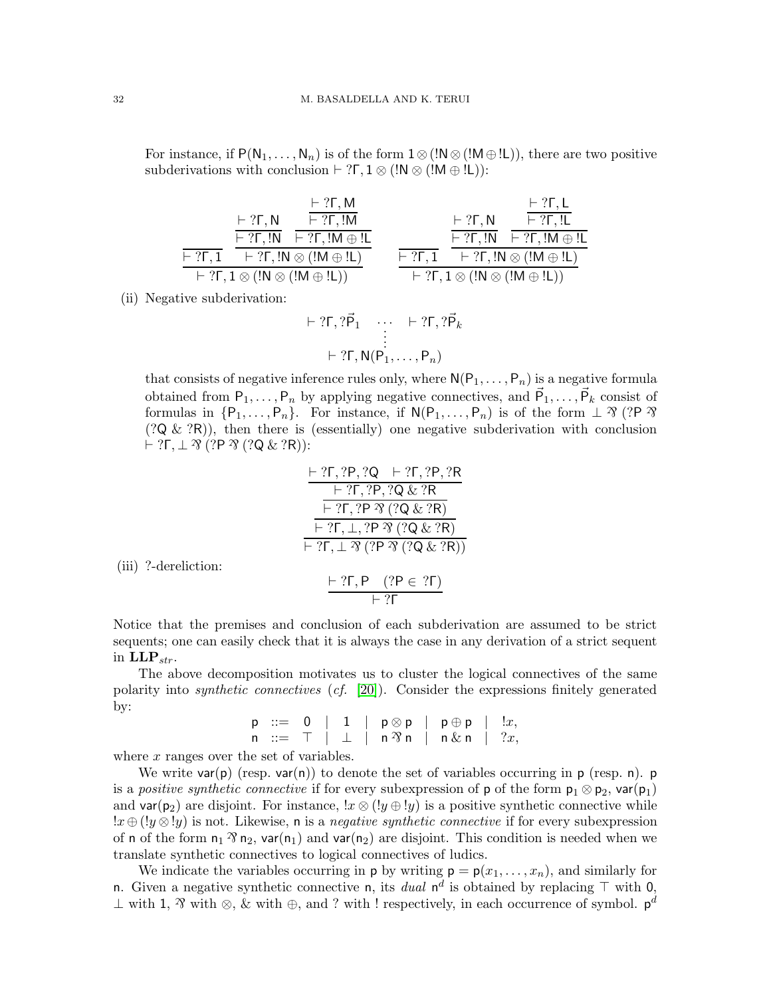For instance, if  $P(N_1, \ldots, N_n)$  is of the form  $1 \otimes (N \otimes (N \oplus L))$ , there are two positive subderivations with conclusion  $\vdash$  ? Γ, 1  $\otimes$  (! $\mathsf{M} \oplus$  !L)):

| $\vdash$ ?Г, М                                                     | $\vdash$ ? $\Gamma$ , L                                                                  |  |  |  |
|--------------------------------------------------------------------|------------------------------------------------------------------------------------------|--|--|--|
| $\vdash$ ? $\Gamma$ , !M<br>$\vdash$ ? $\Gamma$ , N                | $\vdash$ ?F, !L<br>$\vdash$ ?F, N                                                        |  |  |  |
| $\vdash$ ? $\Gamma$ , !N $\vdash$ ? $\Gamma$ , !M $\oplus$ !L      | $\vdash$ ?F, !N $\vdash$ ?F, !M $\oplus$ !L                                              |  |  |  |
| $\vdash$ ? $\Gamma$ , ! $N \otimes (M \oplus I)$<br>$\vdash$ ?F, 1 | $\vdash$ ? $\Gamma$ , !N $\otimes$ (!M $\oplus$ !L)<br>$\vdash$ ?F, 1                    |  |  |  |
| $\vdash$ ? $\Gamma$ , 1 $\otimes$ (!N $\otimes$ (!M $\oplus$ !L))  | $\vdash$ ? $\Gamma$ , $1 \otimes (!\mathsf{N} \otimes (!\mathsf{M} \oplus !\mathsf{L}))$ |  |  |  |

(ii) Negative subderivation:

$$
\vdash ?\Gamma, ?\vec{P}_1 \quad \cdots \quad \vdash ?\Gamma, ?\vec{P}_k
$$
  
 
$$
\vdots
$$
  
 
$$
\vdash ?\Gamma, N(P_1, \ldots, P_n)
$$

that consists of negative inference rules only, where  $N(P_1, \ldots, P_n)$  is a negative formula obtained from  $P_1, \ldots, P_n$  by applying negative connectives, and  $\vec{P}_1, \ldots, \vec{P}_k$  consist of formulas in  $\{P_1, \ldots, P_n\}$ . For instance, if  $N(P_1, \ldots, P_n)$  is of the form  $\perp \mathcal{R}$  (?P  $\mathcal{R}$ )  $(2Q & R)$ , then there is (essentially) one negative subderivation with conclusion  $\vdash$  ?Г,  $\perp$  ? (?P ? (?Q & ?R)):

| $\vdash$ ?F, ?P, ?Q $\vdash$ ?F, ?P, ?R                           |
|-------------------------------------------------------------------|
| $\vdash$ ?F, ?P, ?Q & ?R                                          |
| $\vdash$ ?F, ?P $\mathfrak{D}$ (?Q & ?R)                          |
| $\vdash$ ?F, $\bot$ , ?P $\mathcal{R}$ (?Q & ?R)                  |
| $\vdash$ ?F, $\perp$ $\mathfrak{R}$ (?P $\mathfrak{R}$ (?Q & ?R)) |

(iii) ?-dereliction:

$$
\frac{\vdash ?\Gamma, P \quad (?P \in ?\Gamma)}{\vdash ?\Gamma}
$$

Notice that the premises and conclusion of each subderivation are assumed to be strict sequents; one can easily check that it is always the case in any derivation of a strict sequent in  $\mathbf{LLP}_{str.}$ 

The above decomposition motivates us to cluster the logical connectives of the same polarity into *synthetic connectives* (*cf.* [\[20\]](#page-28-25)). Consider the expressions finitely generated by:

|  |  |  | $p ::= 0   1   p \otimes p   p \oplus p   !x,$                             |  |
|--|--|--|----------------------------------------------------------------------------|--|
|  |  |  | $n := T \mid \perp \mid n \mathfrak{B} n \mid n \& n \mid \mathfrak{R} x,$ |  |

where x ranges over the set of variables.

We write var(p) (resp. var(n)) to denote the set of variables occurring in  $p$  (resp. n). p is a *positive synthetic connective* if for every subexpression of **p** of the form  $p_1 \otimes p_2$ , var( $p_1$ ) and var(p<sub>2</sub>) are disjoint. For instance,  $x \otimes (y \oplus y)$  is a positive synthetic connective while !x⊕ (!y ⊗ !y) is not. Likewise, n is a *negative synthetic connective* if for every subexpression of n of the form  $n_1 \mathfrak{B} n_2$ , var( $n_1$ ) and var( $n_2$ ) are disjoint. This condition is needed when we translate synthetic connectives to logical connectives of ludics.

We indicate the variables occurring in  $p$  by writing  $p = p(x_1, \ldots, x_n)$ , and similarly for n. Given a negative synthetic connective n, its *dual* n<sup>d</sup> is obtained by replacing ⊤ with 0, ⊥ with 1,  $\mathcal{R}$  with ⊗, & with ⊕, and ? with ! respectively, in each occurrence of symbol.  $p^d$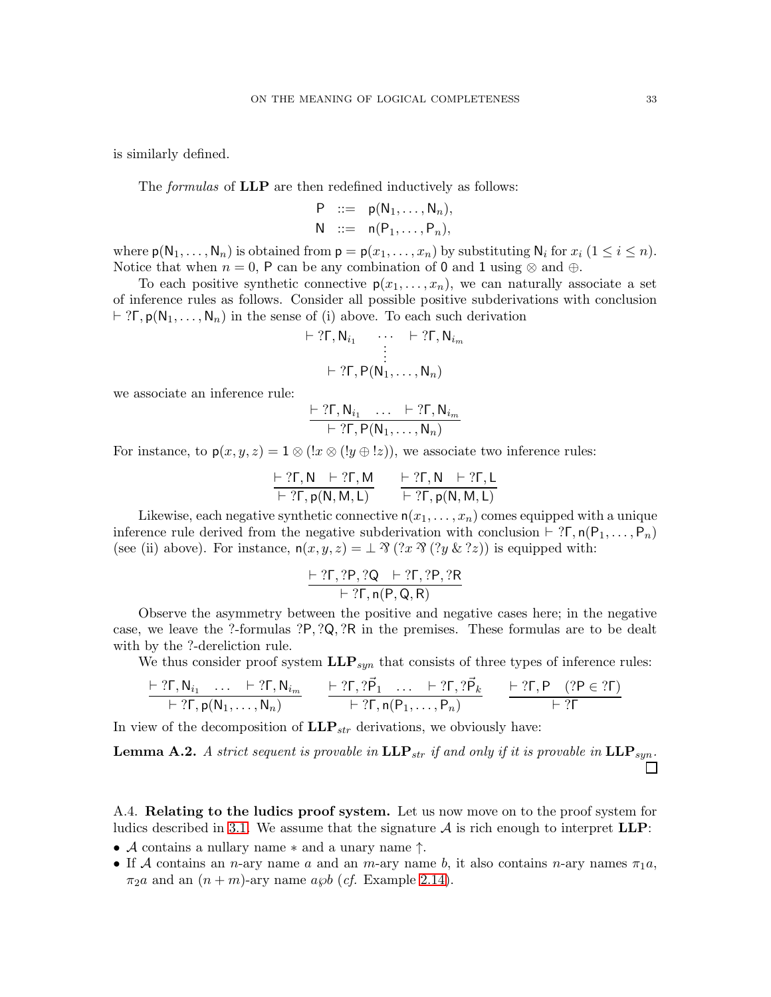is similarly defined.

The *formulas* of LLP are then redefined inductively as follows:

$$
\begin{array}{rcl}\n P & ::= & p(N_1, \ldots, N_n), \\
 N & ::= & n(P_1, \ldots, P_n),\n \end{array}
$$

where  $p(N_1,...,N_n)$  is obtained from  $p = p(x_1,...,x_n)$  by substituting  $N_i$  for  $x_i$   $(1 \le i \le n)$ . Notice that when  $n = 0$ , P can be any combination of 0 and 1 using ⊗ and ⊕.

To each positive synthetic connective  $p(x_1, \ldots, x_n)$ , we can naturally associate a set of inference rules as follows. Consider all possible positive subderivations with conclusion  $\vdash$  ?**Γ**,  $p(N_1, \ldots, N_n)$  in the sense of (i) above. To each such derivation

$$
\vdash ?\Gamma, \mathsf{N}_{i_1} \quad \cdots \quad \vdash ?\Gamma, \mathsf{N}_{i_m}
$$
  
 
$$
\vdots
$$
  
 
$$
\vdash ?\Gamma, \mathsf{P}(\mathsf{N}_1, \ldots, \mathsf{N}_n)
$$

we associate an inference rule:

$$
\frac{\vdash ?\Gamma, N_{i_1} \ldots \vdash ?\Gamma, N_{i_m}}{\vdash ?\Gamma, P(N_1, \ldots, N_n)}
$$

For instance, to  $p(x, y, z) = 1 \otimes (x \otimes (y \oplus z))$ , we associate two inference rules:

$$
\frac{\vdash ?\Gamma, N \vdash ?\Gamma, M}{\vdash ?\Gamma, p(N, M, L)} \qquad \frac{\vdash ?\Gamma, N \vdash ?\Gamma, L}{\vdash ?\Gamma, p(N, M, L)}
$$

Likewise, each negative synthetic connective  $n(x_1, \ldots, x_n)$  comes equipped with a unique inference rule derived from the negative subderivation with conclusion  $\vdash$  ?Γ, n(P<sub>1</sub>, ..., P<sub>n</sub>) (see (ii) above). For instance,  $n(x, y, z) = \perp \mathfrak{D} (2x \mathfrak{D} (2y \& 2z))$  is equipped with:

$$
\frac{\vdash ?\Gamma, ?\mathsf{P}, ?\mathsf{Q} \quad \vdash ?\Gamma, ?\mathsf{P}, ?\mathsf{R}}{\vdash ?\Gamma, \mathsf{n}(\mathsf{P},\mathsf{Q},\mathsf{R})}
$$

Observe the asymmetry between the positive and negative cases here; in the negative case, we leave the ?-formulas ?P, ?Q, ?R in the premises. These formulas are to be dealt with by the ?-dereliction rule.

We thus consider proof system  $\mathbf{LLP}_{syn}$  that consists of three types of inference rules:

$$
\frac{\vdash ?\Gamma, N_{i_1} \quad \dots \quad \vdash ?\Gamma, N_{i_m}}{\vdash ?\Gamma, \mathsf{p}(N_1, \dots, N_n)} \qquad \frac{\vdash ?\Gamma, ?\vec{\mathsf{P}}_1 \quad \dots \quad \vdash ?\Gamma, ?\vec{\mathsf{P}}_k}{\vdash ?\Gamma, \mathsf{n}(\mathsf{P}_1, \dots, \mathsf{P}_n)} \qquad \frac{\vdash ?\Gamma, \mathsf{P} \quad (? \mathsf{P} \in ?\Gamma)}{\vdash ?\Gamma}
$$

In view of the decomposition of  $\mathbf{LLP}_{str}$  derivations, we obviously have:

**Lemma A.2.** A strict sequent is provable in  $LLP_{str}$  if and only if it is provable in  $LLP_{syn}$ .  $\Box$ 

<span id="page-32-0"></span>A.4. **Relating to the ludics proof system.** Let us now move on to the proof system for ludics described in [3.1.](#page-19-2) We assume that the signature  $A$  is rich enough to interpret  $\mathbf{LLP}$ :

- A contains a nullary name ∗ and a unary name ↑.
- If A contains an n-ary name a and an m-ary name b, it also contains n-ary names  $\pi_1 a$ ,  $\pi_2$ *a* and an  $(n + m)$ -ary name *a<sub>\$</sub>b* (*cf.* Example [2.14\)](#page-16-2).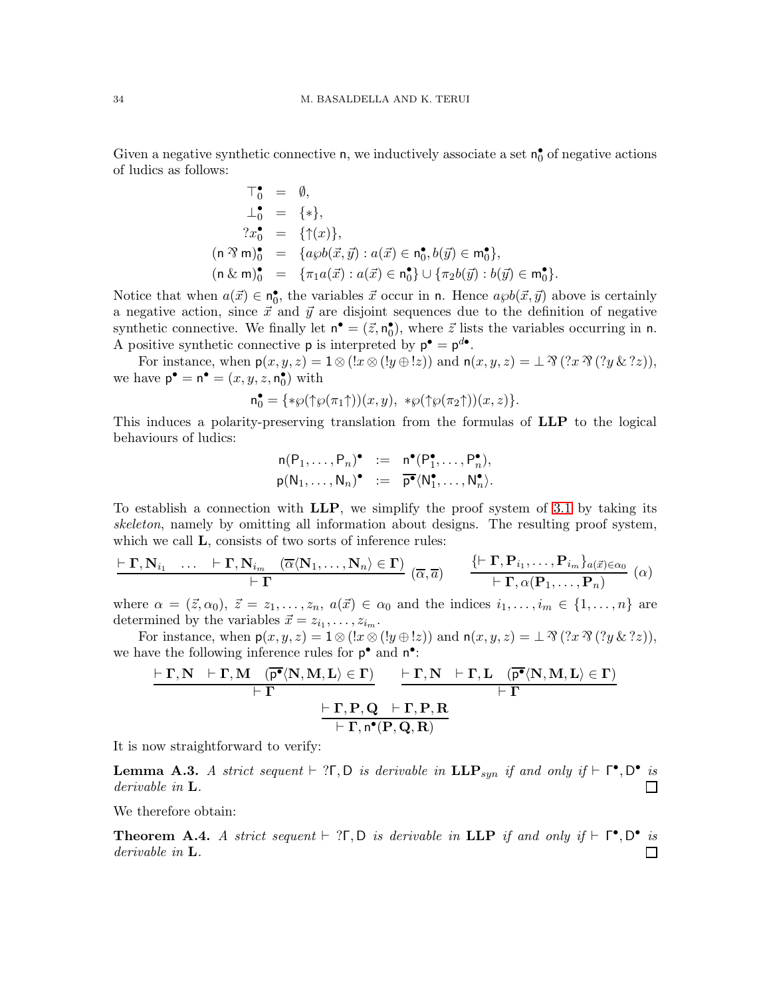Given a negative synthetic connective **n**, we inductively associate a set  $n_0^{\bullet}$  of negative actions of ludics as follows:

$$
\begin{array}{rcl}\n\mathsf{T}_0^{\bullet} & = & \emptyset, \\
\bot_0^{\bullet} & = & \{ * \}, \\
?x_0^{\bullet} & = & \{ \uparrow(x) \}, \\
(\mathsf{n} \otimes \mathsf{m})_0^{\bullet} & = & \{ a \wp b(\vec{x}, \vec{y}) : a(\vec{x}) \in \mathsf{n}_0^{\bullet}, b(\vec{y}) \in \mathsf{m}_0^{\bullet} \}, \\
(\mathsf{n} \& \mathsf{m})_0^{\bullet} & = & \{ \pi_1 a(\vec{x}) : a(\vec{x}) \in \mathsf{n}_0^{\bullet} \} \cup \{ \pi_2 b(\vec{y}) : b(\vec{y}) \in \mathsf{m}_0^{\bullet} \}.\n\end{array}
$$

Notice that when  $a(\vec{x}) \in \mathsf{n}_0^{\bullet}$ , the variables  $\vec{x}$  occur in n. Hence  $a\wp b(\vec{x}, \vec{y})$  above is certainly a negative action, since  $\vec{x}$  and  $\vec{y}$  are disjoint sequences due to the definition of negative synthetic connective. We finally let  $\mathbf{n}^{\bullet} = (\vec{z}, \mathbf{n}_0^{\bullet})$ , where  $\vec{z}$  lists the variables occurring in **n**. A positive synthetic connective **p** is interpreted by  $p^{\bullet} = p^{d\bullet}$ .

For instance, when  $p(x, y, z) = 1 \otimes (x \otimes (y \oplus y)$  and  $n(x, y, z) = \perp \mathfrak{D}(x \mathfrak{D}(y \otimes y)$ , we have  $\mathbf{p}^{\bullet} = \mathbf{n}^{\bullet} = (x, y, z, \mathbf{n}_0^{\bullet})$  with

$$
\mathbf{n}_0^\bullet=\{\ast \wp(\uparrow\wp(\pi_1\uparrow))(x,y),\ \ast \wp(\uparrow\wp(\pi_2\uparrow))(x,z)\}.
$$

This induces a polarity-preserving translation from the formulas of LLP to the logical behaviours of ludics:

$$
\begin{array}{rcl}\nn(P_1,\ldots,P_n)^\bullet & := & n^\bullet(P_1^\bullet,\ldots,P_n^\bullet), \\
p(N_1,\ldots,N_n)^\bullet & := & \overline{p^\bullet}\langle N_1^\bullet,\ldots,N_n^\bullet\rangle.\n\end{array}
$$

To establish a connection with  $\mathbf{LLP}$ , we simplify the proof system of [3.1](#page-19-2) by taking its *skeleton*, namely by omitting all information about designs. The resulting proof system, which we call **L**, consists of two sorts of inference rules:

$$
\frac{\vdash \Gamma, \mathbf{N}_{i_1} \quad \dots \quad \vdash \Gamma, \mathbf{N}_{i_m} \quad (\overline{\alpha} \langle \mathbf{N}_1, \dots, \mathbf{N}_n \rangle \in \Gamma)}{\vdash \Gamma} \quad (\overline{\alpha}, \overline{a}) \qquad \frac{\{\vdash \Gamma, \mathbf{P}_{i_1}, \dots, \mathbf{P}_{i_m}\}_{a(\overrightarrow{x}) \in \alpha_0}}{\vdash \Gamma, \alpha(\mathbf{P}_1, \dots, \mathbf{P}_n)} \quad (\alpha)
$$

where  $\alpha = (\vec{z}, \alpha_0), \ \vec{z} = z_1, \ldots, z_n, \ a(\vec{x}) \in \alpha_0$  and the indices  $i_1, \ldots, i_m \in \{1, \ldots, n\}$  are determined by the variables  $\vec{x} = z_{i_1}, \dots, z_{i_m}$ .

For instance, when  $p(x, y, z) = 1 \otimes (x \otimes (y \oplus y)$  and  $n(x, y, z) = \perp \mathfrak{D}(x \otimes (y \otimes z))$ , we have the following inference rules for  $p^{\bullet}$  and  $n^{\bullet}$ :

$$
\frac{\vdash \Gamma, N \quad \vdash \Gamma, M \quad (\overline{\mathsf{p}^{\bullet}} \langle N, M, L \rangle \in \Gamma)}{\vdash \Gamma} \qquad \qquad \frac{\vdash \Gamma, N \quad \vdash \Gamma, L \quad (\overline{\mathsf{p}^{\bullet}} \langle N, M, L \rangle \in \Gamma)}{\vdash \Gamma, \mathsf{P}, \mathsf{Q} \quad \vdash \Gamma, \mathsf{P}, \mathsf{R}} \\qquad \qquad \qquad \vdash \Gamma, \mathsf{n}^{\bullet} (\mathsf{P}, \mathsf{Q}, \mathsf{R})
$$

It is now straightforward to verify:

Lemma A.3. *A strict sequent*  $\vdash$  ? Γ, D *is derivable in* LLP<sub>syn</sub> *if and only if*  $\vdash \Gamma^{\bullet}, \mathsf{D}^{\bullet}$  *is derivable in* L*.*  $\Box$ 

We therefore obtain:

<span id="page-33-0"></span>**Theorem A.4.** *A strict sequent*  $\vdash$  ? Γ, D *is derivable in* LLP *if and only if*  $\vdash \vdash \ulcorner \bullet, \mathsf{D} \bullet$  *is derivable in* L*.*П